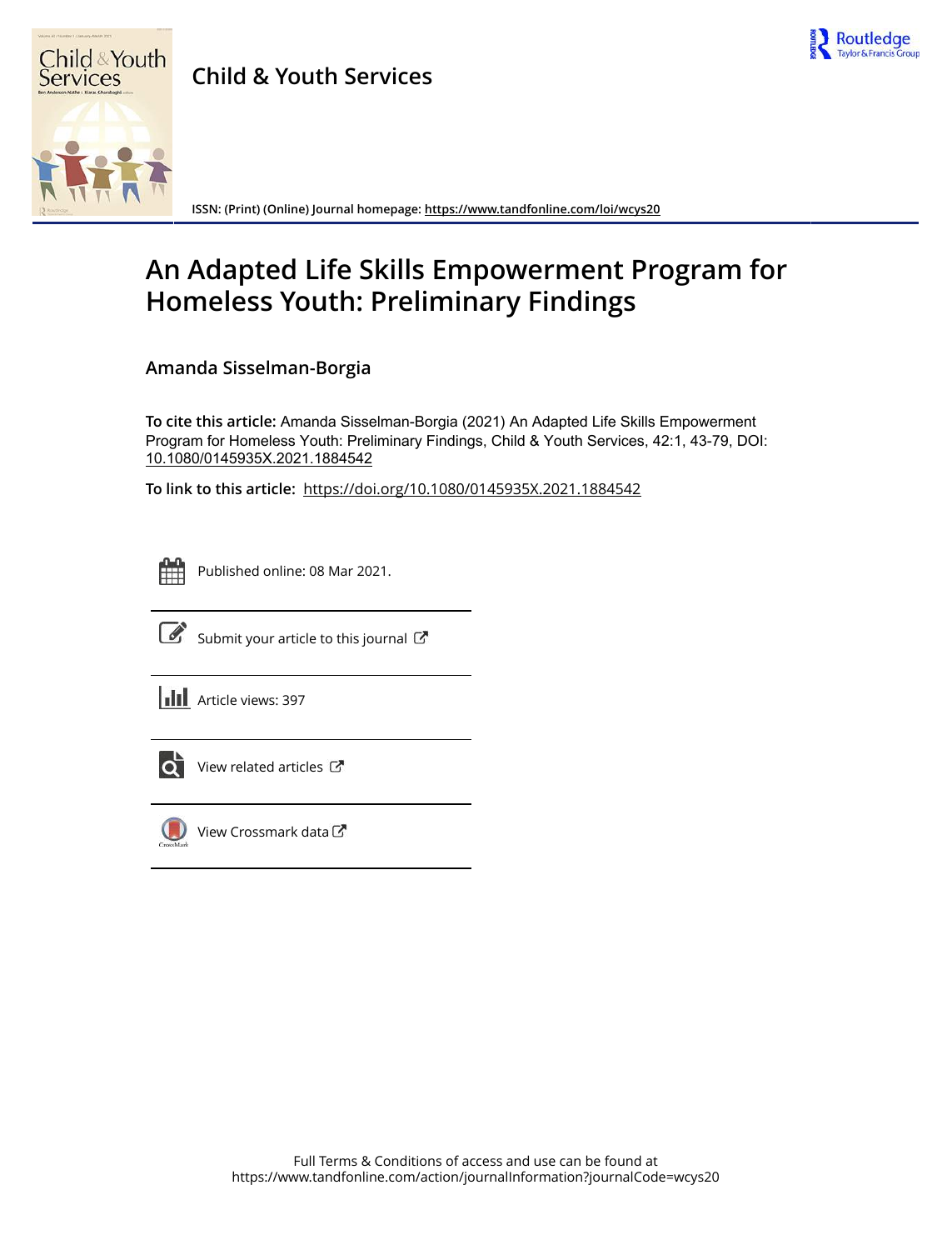

# **Child & Youth Services**



**ISSN: (Print) (Online) Journal homepage:<https://www.tandfonline.com/loi/wcys20>**

# **An Adapted Life Skills Empowerment Program for Homeless Youth: Preliminary Findings**

**Amanda Sisselman-Borgia**

**To cite this article:** Amanda Sisselman-Borgia (2021) An Adapted Life Skills Empowerment Program for Homeless Youth: Preliminary Findings, Child & Youth Services, 42:1, 43-79, DOI: [10.1080/0145935X.2021.1884542](https://www.tandfonline.com/action/showCitFormats?doi=10.1080/0145935X.2021.1884542)

**To link to this article:** <https://doi.org/10.1080/0145935X.2021.1884542>



Published online: 08 Mar 2021.



 $\overrightarrow{S}$  [Submit your article to this journal](https://www.tandfonline.com/action/authorSubmission?journalCode=wcys20&show=instructions)  $\overrightarrow{S}$ 

**III** Article views: 397



View related articles



[View Crossmark data](http://crossmark.crossref.org/dialog/?doi=10.1080/0145935X.2021.1884542&domain=pdf&date_stamp=2021-03-08)し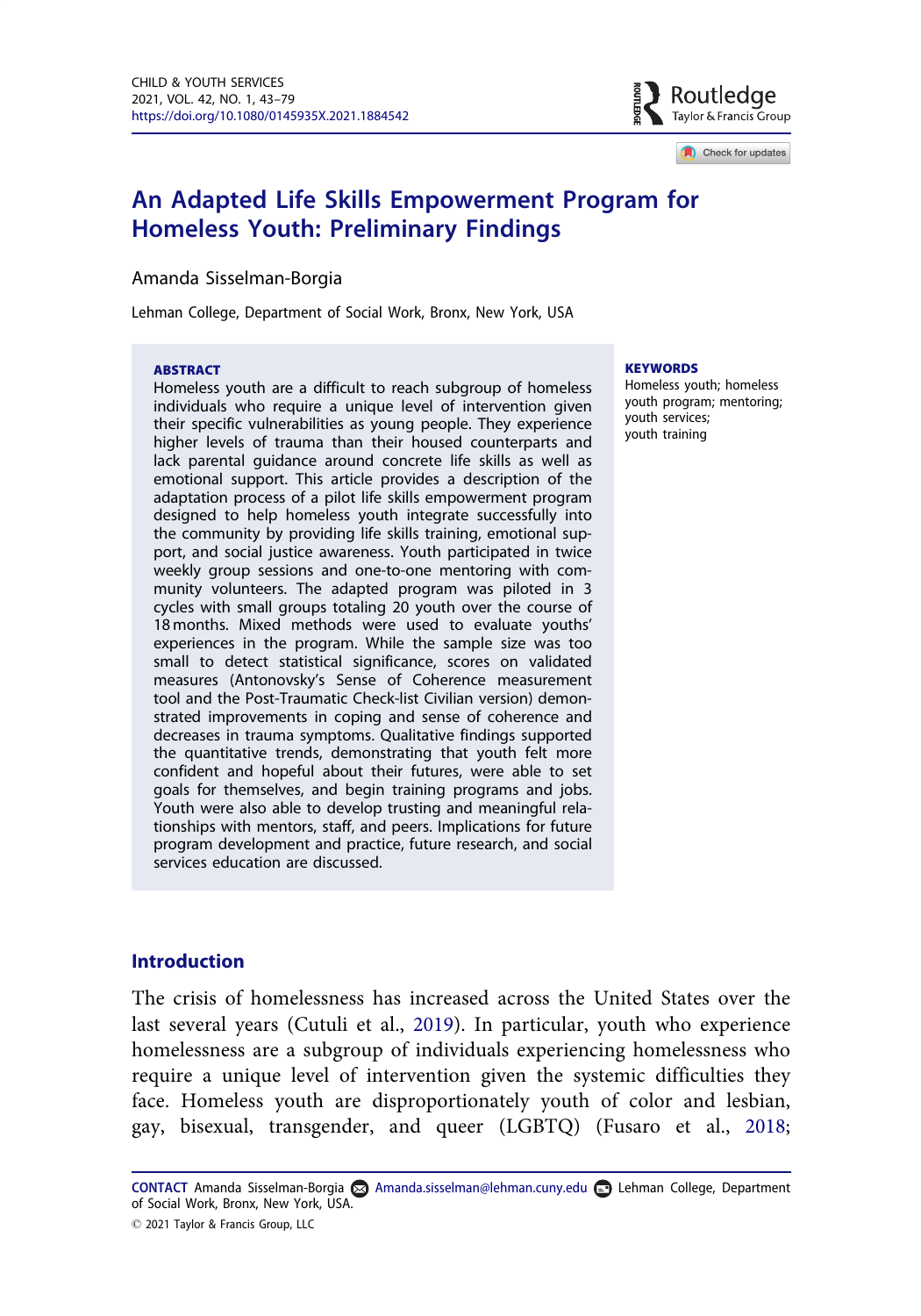

Check for updates

# <span id="page-1-0"></span>An Adapted Life Skills Empowerment Program for Homeless Youth: Preliminary Findings

#### Amanda Sisselman-Borgia

Lehman College, Department of Social Work, Bronx, New York, USA

#### ABSTRACT

Homeless youth are a difficult to reach subgroup of homeless individuals who require a unique level of intervention given their specific vulnerabilities as young people. They experience higher levels of trauma than their housed counterparts and lack parental guidance around concrete life skills as well as emotional support. This article provides a description of the adaptation process of a pilot life skills empowerment program designed to help homeless youth integrate successfully into the community by providing life skills training, emotional support, and social justice awareness. Youth participated in twice weekly group sessions and one-to-one mentoring with community volunteers. The adapted program was piloted in 3 cycles with small groups totaling 20 youth over the course of 18 months. Mixed methods were used to evaluate youths' experiences in the program. While the sample size was too small to detect statistical significance, scores on validated measures (Antonovsky's Sense of Coherence measurement tool and the Post-Traumatic Check-list Civilian version) demonstrated improvements in coping and sense of coherence and decreases in trauma symptoms. Qualitative findings supported the quantitative trends, demonstrating that youth felt more confident and hopeful about their futures, were able to set goals for themselves, and begin training programs and jobs. Youth were also able to develop trusting and meaningful relationships with mentors, staff, and peers. Implications for future program development and practice, future research, and social services education are discussed.

#### **KEYWORDS**

Homeless youth; homeless youth program; mentoring; youth services; youth training

## Introduction

The crisis of homelessness has increased across the United States over the last several years (Cutuli et al., [2019](#page-35-0)). In particular, youth who experience homelessness are a subgroup of individuals experiencing homelessness who require a unique level of intervention given the systemic difficulties they face. Homeless youth are disproportionately youth of color and lesbian, gay, bisexual, transgender, and queer (LGBTQ) (Fusaro et al., [2018;](#page-35-0)

CONTACT Amanda Sisselman-Borgia Amanda.sisselman@lehman.cuny.edu Lehman College, Department of Social Work, Bronx, New York, USA.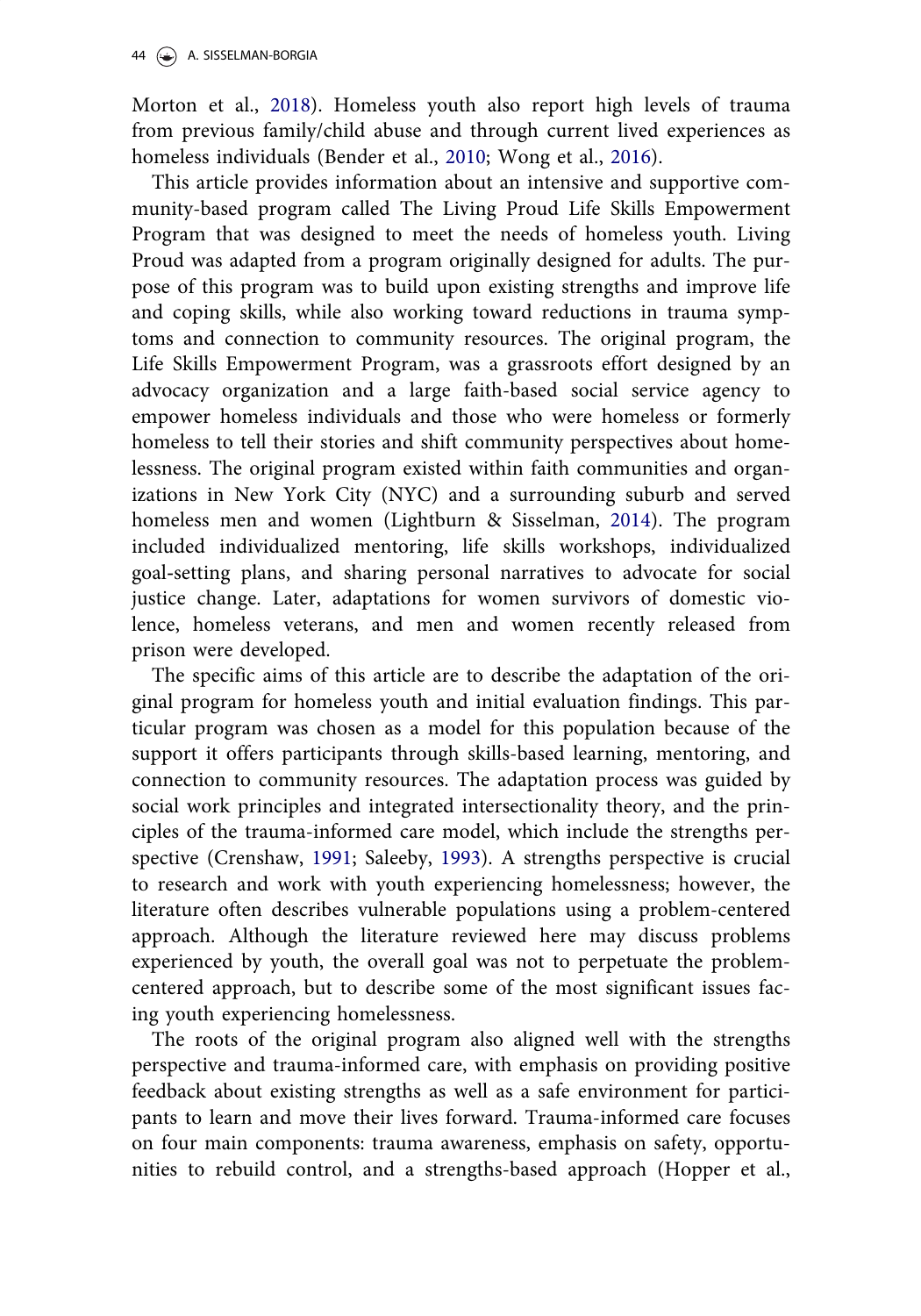<span id="page-2-0"></span>Morton et al., [2018\)](#page-36-0). Homeless youth also report high levels of trauma from previous family/child abuse and through current lived experiences as homeless individuals (Bender et al., [2010;](#page-34-0) Wong et al., [2016](#page-37-0)).

This article provides information about an intensive and supportive community-based program called The Living Proud Life Skills Empowerment Program that was designed to meet the needs of homeless youth. Living Proud was adapted from a program originally designed for adults. The purpose of this program was to build upon existing strengths and improve life and coping skills, while also working toward reductions in trauma symptoms and connection to community resources. The original program, the Life Skills Empowerment Program, was a grassroots effort designed by an advocacy organization and a large faith-based social service agency to empower homeless individuals and those who were homeless or formerly homeless to tell their stories and shift community perspectives about homelessness. The original program existed within faith communities and organizations in New York City (NYC) and a surrounding suburb and served homeless men and women (Lightburn & Sisselman, [2014](#page-36-0)). The program included individualized mentoring, life skills workshops, individualized goal-setting plans, and sharing personal narratives to advocate for social justice change. Later, adaptations for women survivors of domestic violence, homeless veterans, and men and women recently released from prison were developed.

The specific aims of this article are to describe the adaptation of the original program for homeless youth and initial evaluation findings. This particular program was chosen as a model for this population because of the support it offers participants through skills-based learning, mentoring, and connection to community resources. The adaptation process was guided by social work principles and integrated intersectionality theory, and the principles of the trauma-informed care model, which include the strengths perspective (Crenshaw, [1991;](#page-34-0) Saleeby, [1993](#page-36-0)). A strengths perspective is crucial to research and work with youth experiencing homelessness; however, the literature often describes vulnerable populations using a problem-centered approach. Although the literature reviewed here may discuss problems experienced by youth, the overall goal was not to perpetuate the problemcentered approach, but to describe some of the most significant issues facing youth experiencing homelessness.

The roots of the original program also aligned well with the strengths perspective and trauma-informed care, with emphasis on providing positive feedback about existing strengths as well as a safe environment for participants to learn and move their lives forward. Trauma-informed care focuses on four main components: trauma awareness, emphasis on safety, opportunities to rebuild control, and a strengths-based approach (Hopper et al.,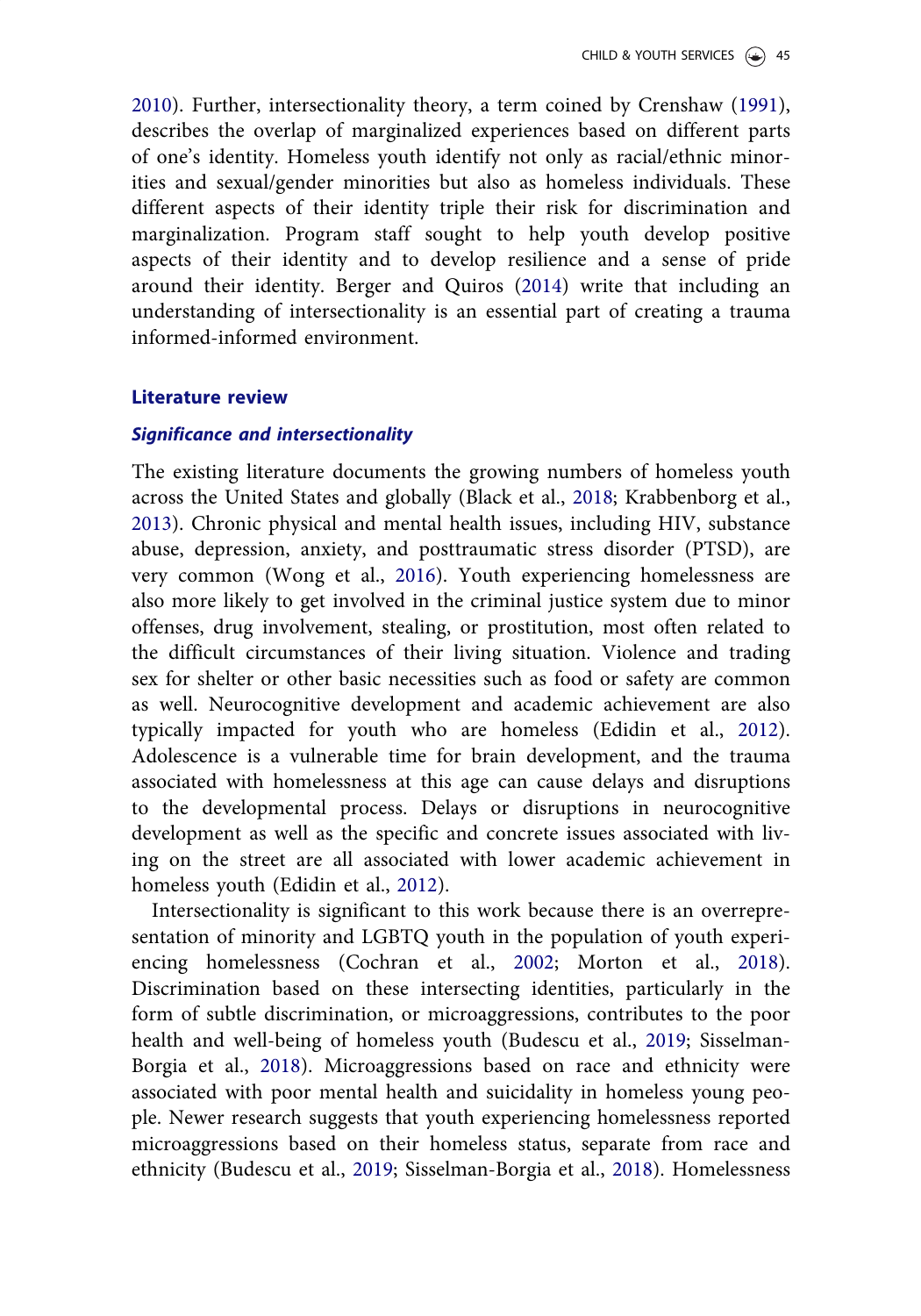<span id="page-3-0"></span>[2010](#page-35-0)). Further, intersectionality theory, a term coined by Crenshaw ([1991\)](#page-34-0), describes the overlap of marginalized experiences based on different parts of one's identity. Homeless youth identify not only as racial/ethnic minorities and sexual/gender minorities but also as homeless individuals. These different aspects of their identity triple their risk for discrimination and marginalization. Program staff sought to help youth develop positive aspects of their identity and to develop resilience and a sense of pride around their identity. Berger and Quiros [\(2014\)](#page-34-0) write that including an understanding of intersectionality is an essential part of creating a trauma informed-informed environment.

#### Literature review

#### Significance and intersectionality

The existing literature documents the growing numbers of homeless youth across the United States and globally (Black et al., [2018](#page-34-0); Krabbenborg et al., [2013](#page-36-0)). Chronic physical and mental health issues, including HIV, substance abuse, depression, anxiety, and posttraumatic stress disorder (PTSD), are very common (Wong et al., [2016](#page-37-0)). Youth experiencing homelessness are also more likely to get involved in the criminal justice system due to minor offenses, drug involvement, stealing, or prostitution, most often related to the difficult circumstances of their living situation. Violence and trading sex for shelter or other basic necessities such as food or safety are common as well. Neurocognitive development and academic achievement are also typically impacted for youth who are homeless (Edidin et al., [2012\)](#page-35-0). Adolescence is a vulnerable time for brain development, and the trauma associated with homelessness at this age can cause delays and disruptions to the developmental process. Delays or disruptions in neurocognitive development as well as the specific and concrete issues associated with living on the street are all associated with lower academic achievement in homeless youth (Edidin et al., [2012](#page-35-0)).

Intersectionality is significant to this work because there is an overrepresentation of minority and LGBTQ youth in the population of youth experiencing homelessness (Cochran et al., [2002](#page-34-0); Morton et al., [2018\)](#page-36-0). Discrimination based on these intersecting identities, particularly in the form of subtle discrimination, or microaggressions, contributes to the poor health and well-being of homeless youth (Budescu et al., [2019](#page-34-0); Sisselman-Borgia et al., [2018\)](#page-37-0). Microaggressions based on race and ethnicity were associated with poor mental health and suicidality in homeless young people. Newer research suggests that youth experiencing homelessness reported microaggressions based on their homeless status, separate from race and ethnicity (Budescu et al., [2019](#page-34-0); Sisselman-Borgia et al., [2018](#page-37-0)). Homelessness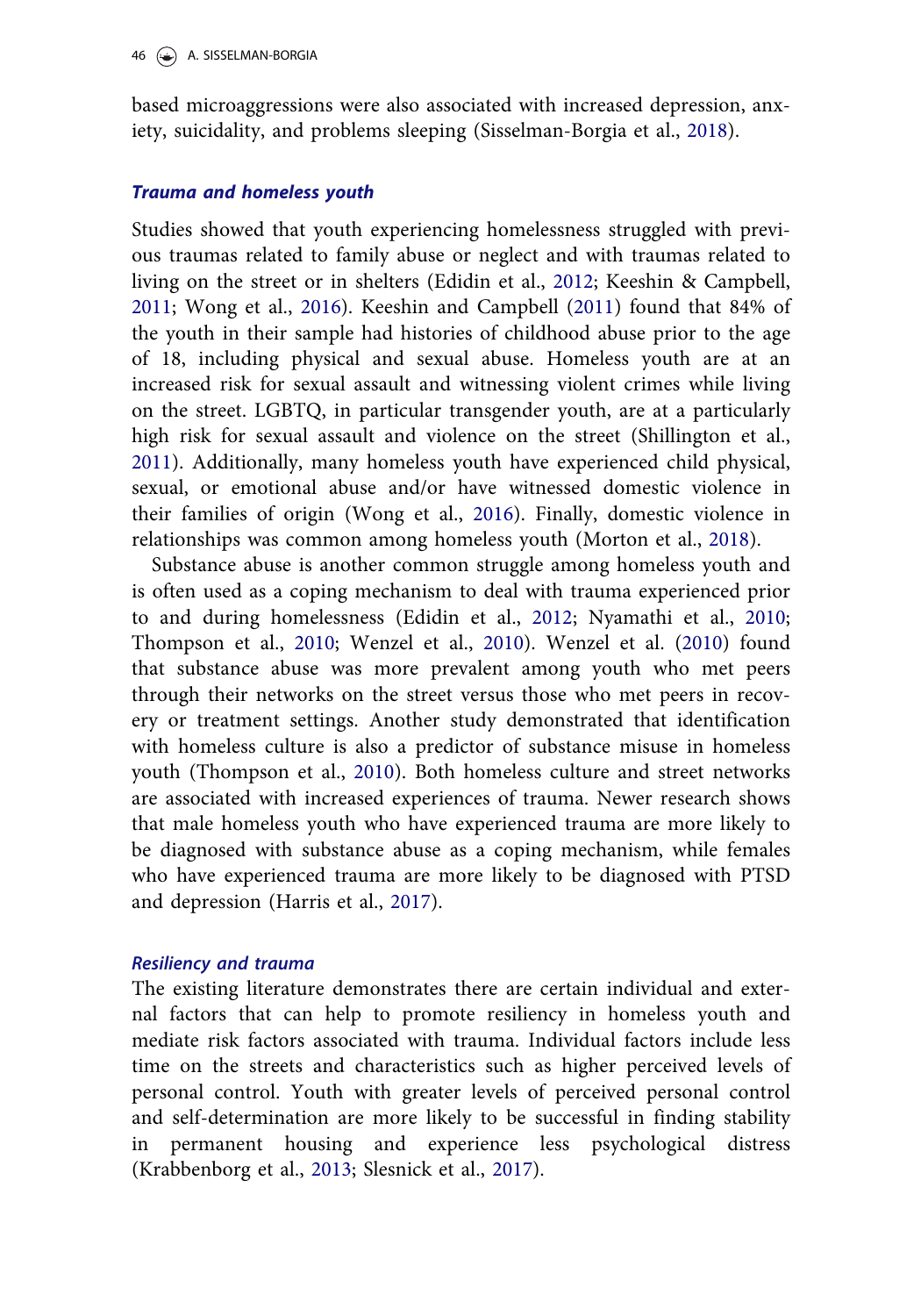<span id="page-4-0"></span>based microaggressions were also associated with increased depression, anxiety, suicidality, and problems sleeping (Sisselman-Borgia et al., [2018](#page-37-0)).

#### Trauma and homeless youth

Studies showed that youth experiencing homelessness struggled with previous traumas related to family abuse or neglect and with traumas related to living on the street or in shelters (Edidin et al., [2012;](#page-35-0) Keeshin & Campbell, [2011](#page-35-0); Wong et al., [2016\)](#page-37-0). Keeshin and Campbell [\(2011](#page-35-0)) found that 84% of the youth in their sample had histories of childhood abuse prior to the age of 18, including physical and sexual abuse. Homeless youth are at an increased risk for sexual assault and witnessing violent crimes while living on the street. LGBTQ, in particular transgender youth, are at a particularly high risk for sexual assault and violence on the street (Shillington et al., [2011](#page-36-0)). Additionally, many homeless youth have experienced child physical, sexual, or emotional abuse and/or have witnessed domestic violence in their families of origin (Wong et al., [2016\)](#page-37-0). Finally, domestic violence in relationships was common among homeless youth (Morton et al., [2018](#page-36-0)).

Substance abuse is another common struggle among homeless youth and is often used as a coping mechanism to deal with trauma experienced prior to and during homelessness (Edidin et al., [2012](#page-35-0); Nyamathi et al., [2010;](#page-36-0) Thompson et al., [2010](#page-37-0); Wenzel et al., [2010\)](#page-37-0). Wenzel et al. [\(2010](#page-37-0)) found that substance abuse was more prevalent among youth who met peers through their networks on the street versus those who met peers in recovery or treatment settings. Another study demonstrated that identification with homeless culture is also a predictor of substance misuse in homeless youth (Thompson et al., [2010\)](#page-37-0). Both homeless culture and street networks are associated with increased experiences of trauma. Newer research shows that male homeless youth who have experienced trauma are more likely to be diagnosed with substance abuse as a coping mechanism, while females who have experienced trauma are more likely to be diagnosed with PTSD and depression (Harris et al., [2017\)](#page-35-0).

#### Resiliency and trauma

The existing literature demonstrates there are certain individual and external factors that can help to promote resiliency in homeless youth and mediate risk factors associated with trauma. Individual factors include less time on the streets and characteristics such as higher perceived levels of personal control. Youth with greater levels of perceived personal control and self-determination are more likely to be successful in finding stability in permanent housing and experience less psychological distress (Krabbenborg et al., [2013](#page-36-0); Slesnick et al., [2017](#page-37-0)).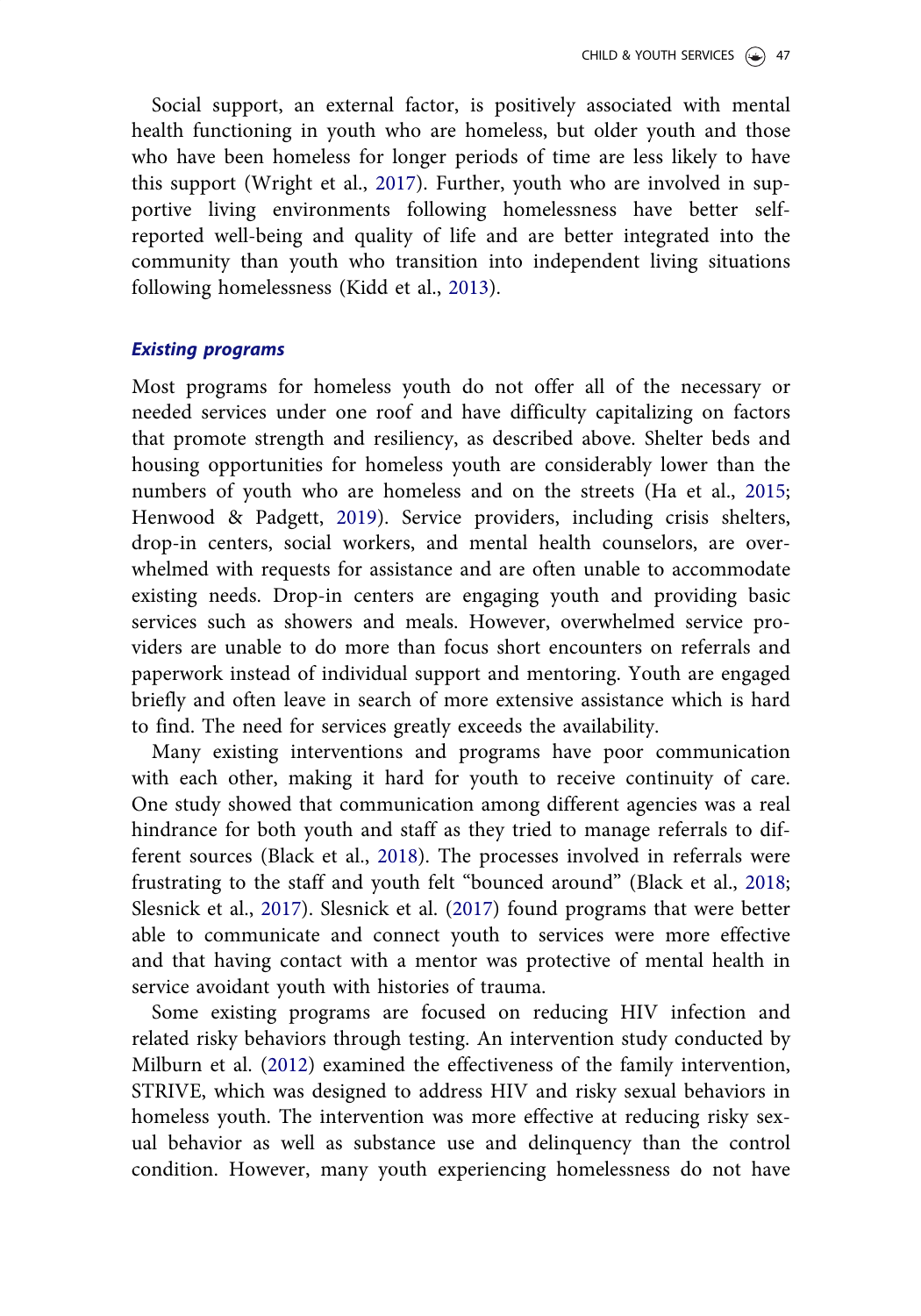<span id="page-5-0"></span>Social support, an external factor, is positively associated with mental health functioning in youth who are homeless, but older youth and those who have been homeless for longer periods of time are less likely to have this support (Wright et al., [2017\)](#page-37-0). Further, youth who are involved in supportive living environments following homelessness have better selfreported well-being and quality of life and are better integrated into the community than youth who transition into independent living situations following homelessness (Kidd et al., [2013\)](#page-35-0).

# Existing programs

Most programs for homeless youth do not offer all of the necessary or needed services under one roof and have difficulty capitalizing on factors that promote strength and resiliency, as described above. Shelter beds and housing opportunities for homeless youth are considerably lower than the numbers of youth who are homeless and on the streets (Ha et al., [2015;](#page-35-0) Henwood & Padgett, [2019](#page-35-0)). Service providers, including crisis shelters, drop-in centers, social workers, and mental health counselors, are overwhelmed with requests for assistance and are often unable to accommodate existing needs. Drop-in centers are engaging youth and providing basic services such as showers and meals. However, overwhelmed service providers are unable to do more than focus short encounters on referrals and paperwork instead of individual support and mentoring. Youth are engaged briefly and often leave in search of more extensive assistance which is hard to find. The need for services greatly exceeds the availability.

Many existing interventions and programs have poor communication with each other, making it hard for youth to receive continuity of care. One study showed that communication among different agencies was a real hindrance for both youth and staff as they tried to manage referrals to different sources (Black et al., [2018\)](#page-34-0). The processes involved in referrals were frustrating to the staff and youth felt "bounced around" (Black et al., [2018;](#page-34-0) Slesnick et al., [2017\)](#page-37-0). Slesnick et al. ([2017\)](#page-37-0) found programs that were better able to communicate and connect youth to services were more effective and that having contact with a mentor was protective of mental health in service avoidant youth with histories of trauma.

Some existing programs are focused on reducing HIV infection and related risky behaviors through testing. An intervention study conducted by Milburn et al. [\(2012](#page-36-0)) examined the effectiveness of the family intervention, STRIVE, which was designed to address HIV and risky sexual behaviors in homeless youth. The intervention was more effective at reducing risky sexual behavior as well as substance use and delinquency than the control condition. However, many youth experiencing homelessness do not have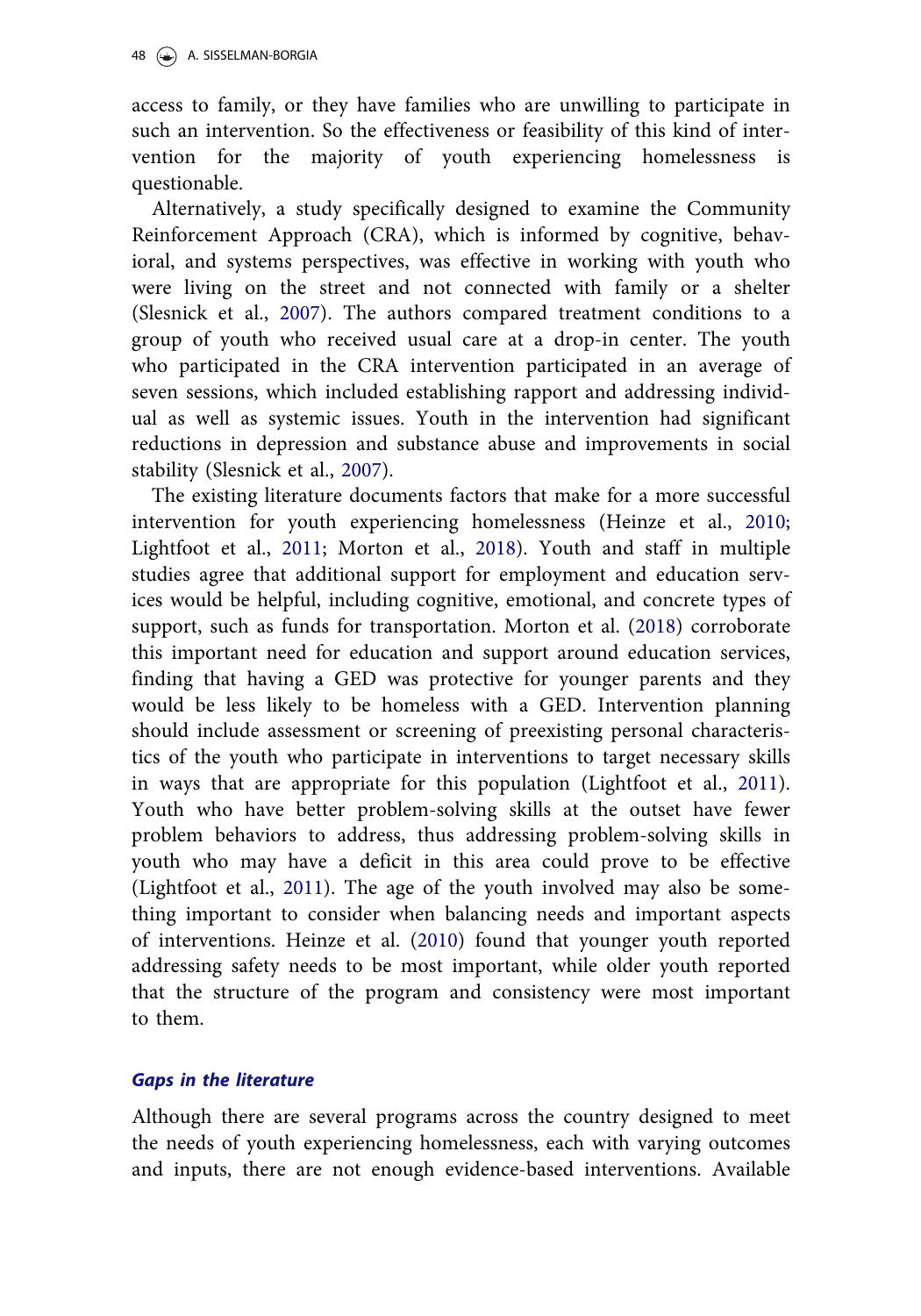<span id="page-6-0"></span>access to family, or they have families who are unwilling to participate in such an intervention. So the effectiveness or feasibility of this kind of intervention for the majority of youth experiencing homelessness is questionable.

Alternatively, a study specifically designed to examine the Community Reinforcement Approach (CRA), which is informed by cognitive, behavioral, and systems perspectives, was effective in working with youth who were living on the street and not connected with family or a shelter (Slesnick et al., [2007](#page-37-0)). The authors compared treatment conditions to a group of youth who received usual care at a drop-in center. The youth who participated in the CRA intervention participated in an average of seven sessions, which included establishing rapport and addressing individual as well as systemic issues. Youth in the intervention had significant reductions in depression and substance abuse and improvements in social stability (Slesnick et al., [2007\)](#page-37-0).

The existing literature documents factors that make for a more successful intervention for youth experiencing homelessness (Heinze et al., [2010;](#page-35-0) Lightfoot et al., [2011](#page-36-0); Morton et al., [2018](#page-36-0)). Youth and staff in multiple studies agree that additional support for employment and education services would be helpful, including cognitive, emotional, and concrete types of support, such as funds for transportation. Morton et al. ([2018\)](#page-36-0) corroborate this important need for education and support around education services, finding that having a GED was protective for younger parents and they would be less likely to be homeless with a GED. Intervention planning should include assessment or screening of preexisting personal characteristics of the youth who participate in interventions to target necessary skills in ways that are appropriate for this population (Lightfoot et al., [2011\)](#page-36-0). Youth who have better problem-solving skills at the outset have fewer problem behaviors to address, thus addressing problem-solving skills in youth who may have a deficit in this area could prove to be effective (Lightfoot et al., [2011\)](#page-36-0). The age of the youth involved may also be something important to consider when balancing needs and important aspects of interventions. Heinze et al. [\(2010\)](#page-35-0) found that younger youth reported addressing safety needs to be most important, while older youth reported that the structure of the program and consistency were most important to them.

## Gaps in the literature

Although there are several programs across the country designed to meet the needs of youth experiencing homelessness, each with varying outcomes and inputs, there are not enough evidence-based interventions. Available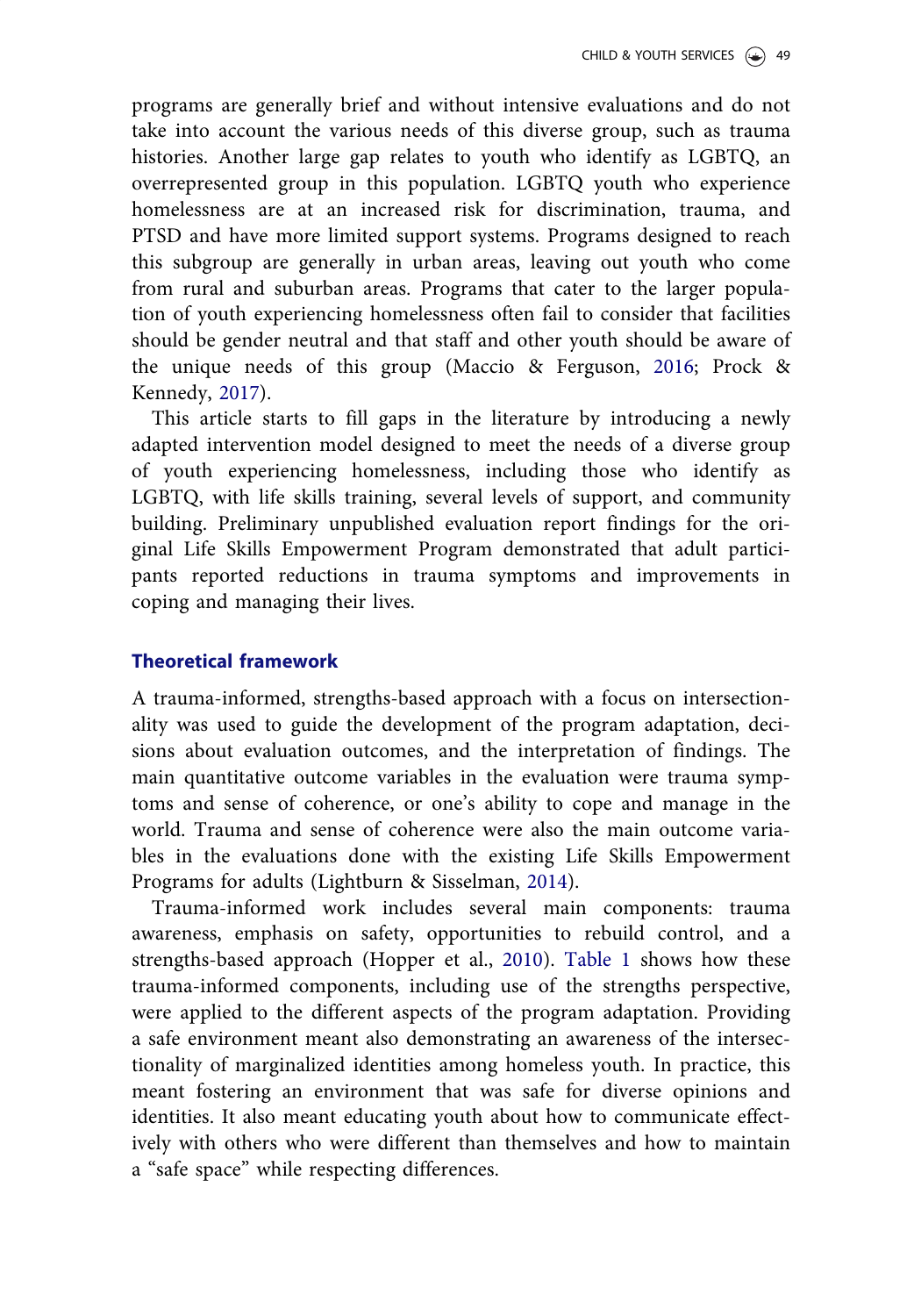<span id="page-7-0"></span>programs are generally brief and without intensive evaluations and do not take into account the various needs of this diverse group, such as trauma histories. Another large gap relates to youth who identify as LGBTQ, an overrepresented group in this population. LGBTQ youth who experience homelessness are at an increased risk for discrimination, trauma, and PTSD and have more limited support systems. Programs designed to reach this subgroup are generally in urban areas, leaving out youth who come from rural and suburban areas. Programs that cater to the larger population of youth experiencing homelessness often fail to consider that facilities should be gender neutral and that staff and other youth should be aware of the unique needs of this group (Maccio & Ferguson, [2016;](#page-36-0) Prock & Kennedy, [2017\)](#page-36-0).

This article starts to fill gaps in the literature by introducing a newly adapted intervention model designed to meet the needs of a diverse group of youth experiencing homelessness, including those who identify as LGBTQ, with life skills training, several levels of support, and community building. Preliminary unpublished evaluation report findings for the original Life Skills Empowerment Program demonstrated that adult participants reported reductions in trauma symptoms and improvements in coping and managing their lives.

#### Theoretical framework

A trauma-informed, strengths-based approach with a focus on intersectionality was used to guide the development of the program adaptation, decisions about evaluation outcomes, and the interpretation of findings. The main quantitative outcome variables in the evaluation were trauma symptoms and sense of coherence, or one's ability to cope and manage in the world. Trauma and sense of coherence were also the main outcome variables in the evaluations done with the existing Life Skills Empowerment Programs for adults (Lightburn & Sisselman, [2014\)](#page-36-0).

Trauma-informed work includes several main components: trauma awareness, emphasis on safety, opportunities to rebuild control, and a strengths-based approach (Hopper et al., [2010](#page-35-0)). [Table 1](#page-8-0) shows how these trauma-informed components, including use of the strengths perspective, were applied to the different aspects of the program adaptation. Providing a safe environment meant also demonstrating an awareness of the intersectionality of marginalized identities among homeless youth. In practice, this meant fostering an environment that was safe for diverse opinions and identities. It also meant educating youth about how to communicate effectively with others who were different than themselves and how to maintain a "safe space" while respecting differences.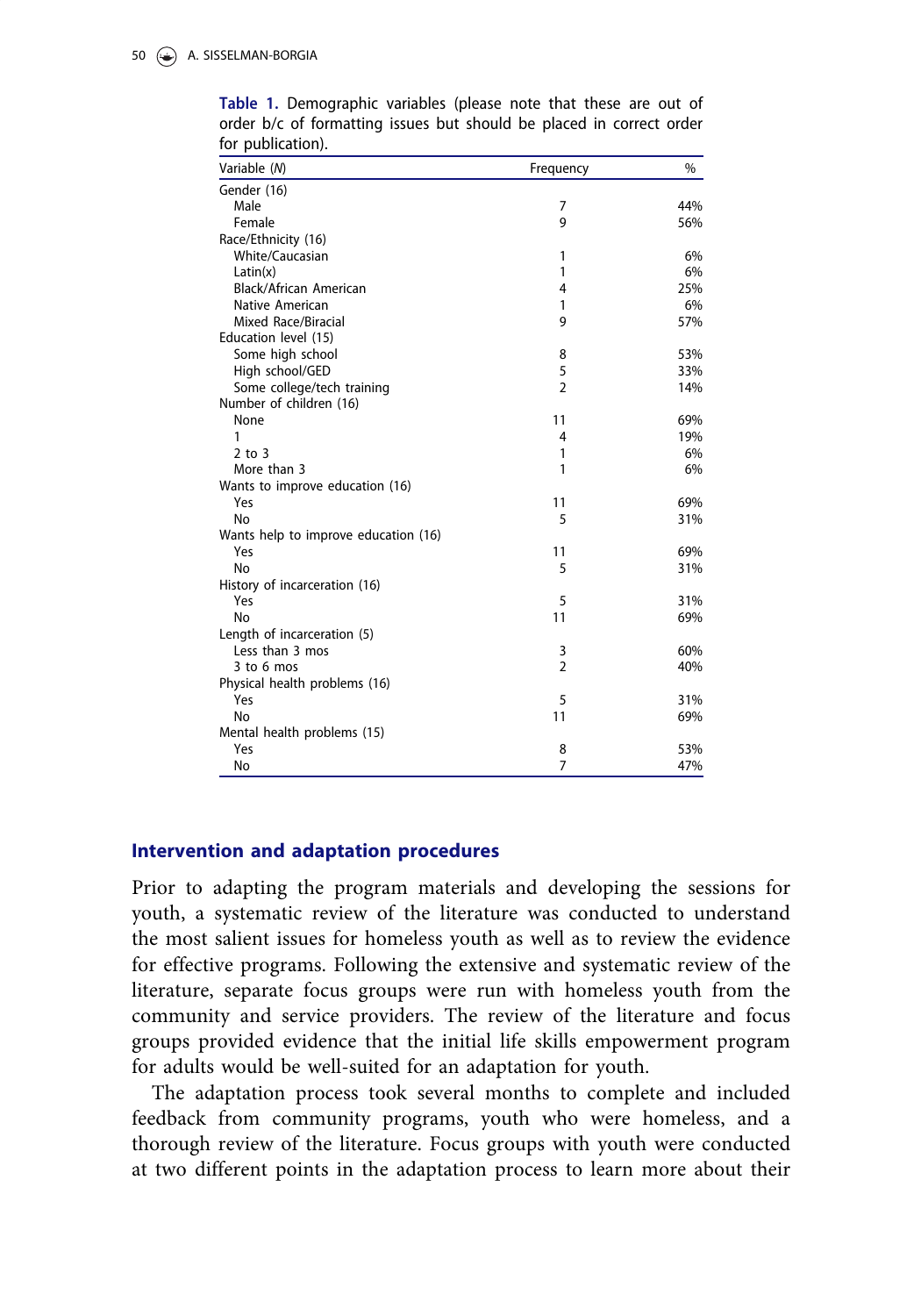| Variable (N)                         | Frequency      | $\%$ |
|--------------------------------------|----------------|------|
| Gender (16)                          |                |      |
| Male                                 | 7              | 44%  |
| Female                               | 9              | 56%  |
| Race/Ethnicity (16)                  |                |      |
| White/Caucasian                      | 1              | 6%   |
| Latin(x)                             | 1              | 6%   |
| Black/African American               | 4              | 25%  |
| Native American                      | 1              | 6%   |
| Mixed Race/Biracial                  | 9              | 57%  |
| Education level (15)                 |                |      |
| Some high school                     | 8              | 53%  |
| High school/GED                      | 5              | 33%  |
| Some college/tech training           | $\overline{2}$ | 14%  |
| Number of children (16)              |                |      |
| None                                 | 11             | 69%  |
| 1                                    | 4              | 19%  |
| $2$ to $3$                           | 1              | 6%   |
| More than 3                          | 1              | 6%   |
| Wants to improve education (16)      |                |      |
| Yes                                  | 11             | 69%  |
| No                                   | 5              | 31%  |
| Wants help to improve education (16) |                |      |
| Yes                                  | 11             | 69%  |
| No                                   | 5              | 31%  |
| History of incarceration (16)        |                |      |
| Yes                                  | 5              | 31%  |
| No                                   | 11             | 69%  |
| Length of incarceration (5)          |                |      |
| Less than 3 mos                      | 3              | 60%  |
| $3$ to 6 mos                         | $\overline{2}$ | 40%  |
| Physical health problems (16)        |                |      |
| Yes                                  | 5              | 31%  |
| No                                   | 11             | 69%  |
| Mental health problems (15)          |                |      |
| Yes                                  | 8              | 53%  |
| No                                   | $\overline{7}$ | 47%  |

<span id="page-8-0"></span>Table 1. Demographic variables (please note that these are out of order b/c of formatting issues but should be placed in correct order for publication).

#### Intervention and adaptation procedures

Prior to adapting the program materials and developing the sessions for youth, a systematic review of the literature was conducted to understand the most salient issues for homeless youth as well as to review the evidence for effective programs. Following the extensive and systematic review of the literature, separate focus groups were run with homeless youth from the community and service providers. The review of the literature and focus groups provided evidence that the initial life skills empowerment program for adults would be well-suited for an adaptation for youth.

The adaptation process took several months to complete and included feedback from community programs, youth who were homeless, and a thorough review of the literature. Focus groups with youth were conducted at two different points in the adaptation process to learn more about their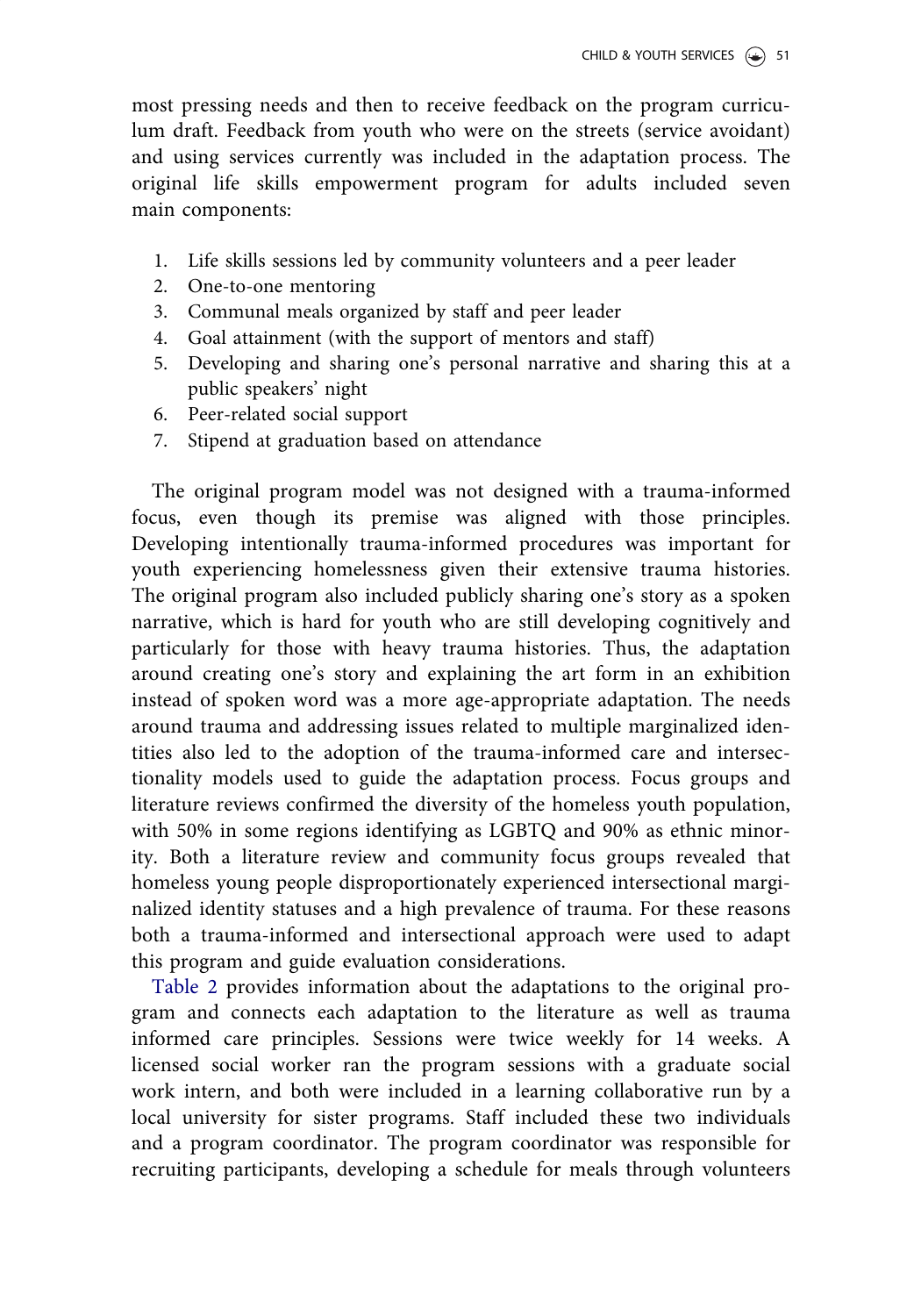most pressing needs and then to receive feedback on the program curriculum draft. Feedback from youth who were on the streets (service avoidant) and using services currently was included in the adaptation process. The original life skills empowerment program for adults included seven main components:

- 1. Life skills sessions led by community volunteers and a peer leader
- 2. One-to-one mentoring
- 3. Communal meals organized by staff and peer leader
- 4. Goal attainment (with the support of mentors and staff)
- 5. Developing and sharing one's personal narrative and sharing this at a public speakers' night
- 6. Peer-related social support
- 7. Stipend at graduation based on attendance

The original program model was not designed with a trauma-informed focus, even though its premise was aligned with those principles. Developing intentionally trauma-informed procedures was important for youth experiencing homelessness given their extensive trauma histories. The original program also included publicly sharing one's story as a spoken narrative, which is hard for youth who are still developing cognitively and particularly for those with heavy trauma histories. Thus, the adaptation around creating one's story and explaining the art form in an exhibition instead of spoken word was a more age-appropriate adaptation. The needs around trauma and addressing issues related to multiple marginalized identities also led to the adoption of the trauma-informed care and intersectionality models used to guide the adaptation process. Focus groups and literature reviews confirmed the diversity of the homeless youth population, with 50% in some regions identifying as LGBTQ and 90% as ethnic minority. Both a literature review and community focus groups revealed that homeless young people disproportionately experienced intersectional marginalized identity statuses and a high prevalence of trauma. For these reasons both a trauma-informed and intersectional approach were used to adapt this program and guide evaluation considerations.

[Table 2](#page-10-0) provides information about the adaptations to the original program and connects each adaptation to the literature as well as trauma informed care principles. Sessions were twice weekly for 14 weeks. A licensed social worker ran the program sessions with a graduate social work intern, and both were included in a learning collaborative run by a local university for sister programs. Staff included these two individuals and a program coordinator. The program coordinator was responsible for recruiting participants, developing a schedule for meals through volunteers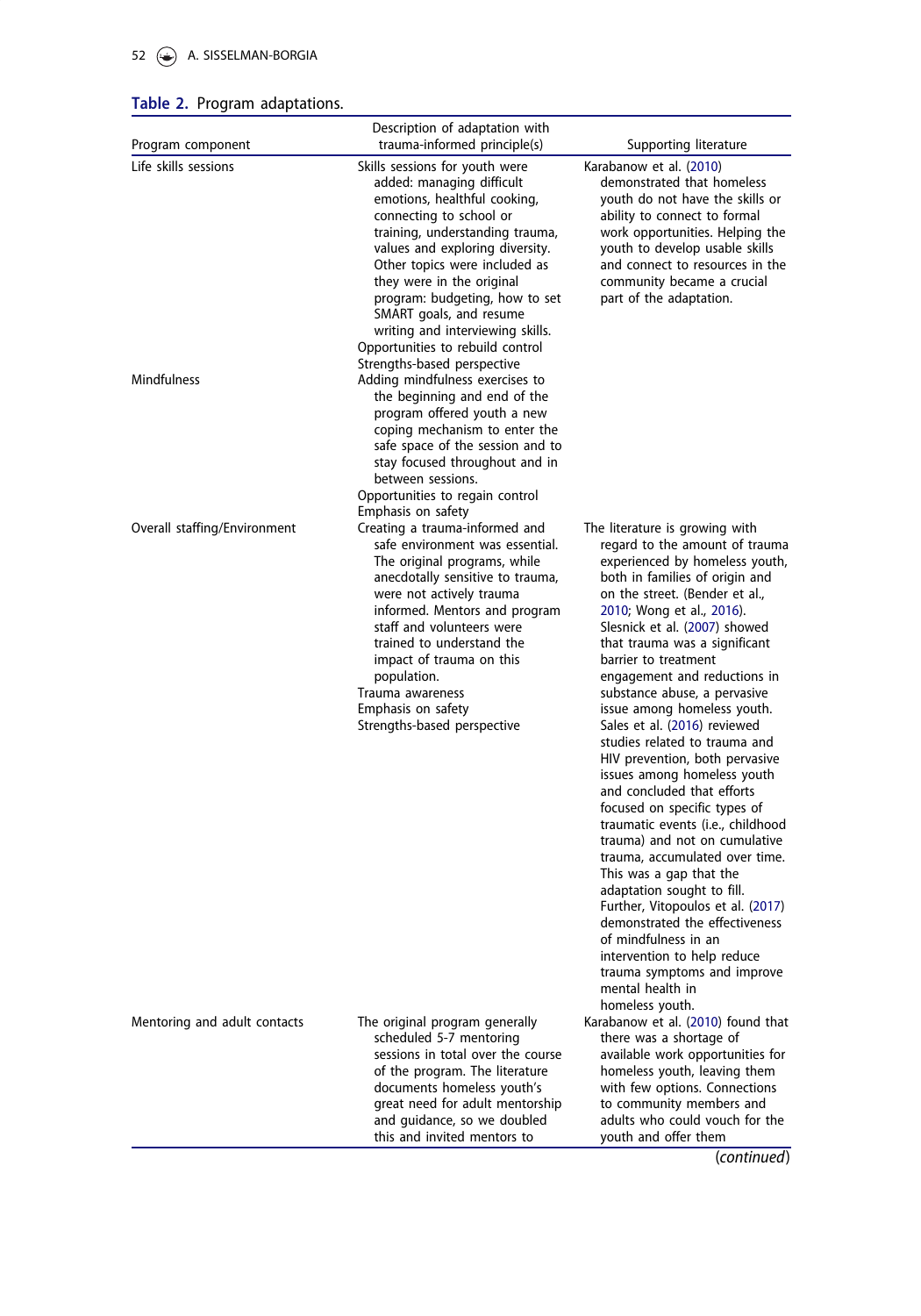# <span id="page-10-0"></span>52 A. SISSELMAN-BORGIA

# Table 2. Program adaptations.

| Program component                   | Description of adaptation with<br>trauma-informed principle(s)                                                                                                                                                                                                                                                                                                                                                                                                                                    | Supporting literature                                                                                                                                                                                                                                                                                                                                                                                                                                                                                                                                                                                                                                                                                                                                                                                                                                                                                                                                             |
|-------------------------------------|---------------------------------------------------------------------------------------------------------------------------------------------------------------------------------------------------------------------------------------------------------------------------------------------------------------------------------------------------------------------------------------------------------------------------------------------------------------------------------------------------|-------------------------------------------------------------------------------------------------------------------------------------------------------------------------------------------------------------------------------------------------------------------------------------------------------------------------------------------------------------------------------------------------------------------------------------------------------------------------------------------------------------------------------------------------------------------------------------------------------------------------------------------------------------------------------------------------------------------------------------------------------------------------------------------------------------------------------------------------------------------------------------------------------------------------------------------------------------------|
| Life skills sessions<br>Mindfulness | Skills sessions for youth were<br>added: managing difficult<br>emotions, healthful cooking,<br>connecting to school or<br>training, understanding trauma,<br>values and exploring diversity.<br>Other topics were included as<br>they were in the original<br>program: budgeting, how to set<br>SMART goals, and resume<br>writing and interviewing skills.<br>Opportunities to rebuild control<br>Strengths-based perspective<br>Adding mindfulness exercises to<br>the beginning and end of the | Karabanow et al. (2010)<br>demonstrated that homeless<br>youth do not have the skills or<br>ability to connect to formal<br>work opportunities. Helping the<br>youth to develop usable skills<br>and connect to resources in the<br>community became a crucial<br>part of the adaptation.                                                                                                                                                                                                                                                                                                                                                                                                                                                                                                                                                                                                                                                                         |
|                                     | program offered youth a new<br>coping mechanism to enter the<br>safe space of the session and to<br>stay focused throughout and in<br>between sessions.<br>Opportunities to regain control                                                                                                                                                                                                                                                                                                        |                                                                                                                                                                                                                                                                                                                                                                                                                                                                                                                                                                                                                                                                                                                                                                                                                                                                                                                                                                   |
| Overall staffing/Environment        | Emphasis on safety<br>Creating a trauma-informed and<br>safe environment was essential.<br>The original programs, while<br>anecdotally sensitive to trauma,<br>were not actively trauma<br>informed. Mentors and program<br>staff and volunteers were<br>trained to understand the<br>impact of trauma on this<br>population.<br>Trauma awareness<br>Emphasis on safety<br>Strengths-based perspective                                                                                            | The literature is growing with<br>regard to the amount of trauma<br>experienced by homeless youth,<br>both in families of origin and<br>on the street. (Bender et al.,<br>2010; Wong et al., 2016).<br>Slesnick et al. (2007) showed<br>that trauma was a significant<br>barrier to treatment<br>engagement and reductions in<br>substance abuse, a pervasive<br>issue among homeless youth.<br>Sales et al. (2016) reviewed<br>studies related to trauma and<br>HIV prevention, both pervasive<br>issues among homeless youth<br>and concluded that efforts<br>focused on specific types of<br>traumatic events (i.e., childhood<br>trauma) and not on cumulative<br>trauma, accumulated over time.<br>This was a gap that the<br>adaptation sought to fill.<br>Further, Vitopoulos et al. (2017)<br>demonstrated the effectiveness<br>of mindfulness in an<br>intervention to help reduce<br>trauma symptoms and improve<br>mental health in<br>homeless youth. |
| Mentoring and adult contacts        | The original program generally<br>scheduled 5-7 mentoring<br>sessions in total over the course<br>of the program. The literature<br>documents homeless youth's<br>great need for adult mentorship<br>and quidance, so we doubled<br>this and invited mentors to                                                                                                                                                                                                                                   | Karabanow et al. (2010) found that<br>there was a shortage of<br>available work opportunities for<br>homeless youth, leaving them<br>with few options. Connections<br>to community members and<br>adults who could vouch for the<br>youth and offer them<br>(constant)                                                                                                                                                                                                                                                                                                                                                                                                                                                                                                                                                                                                                                                                                            |

(continued)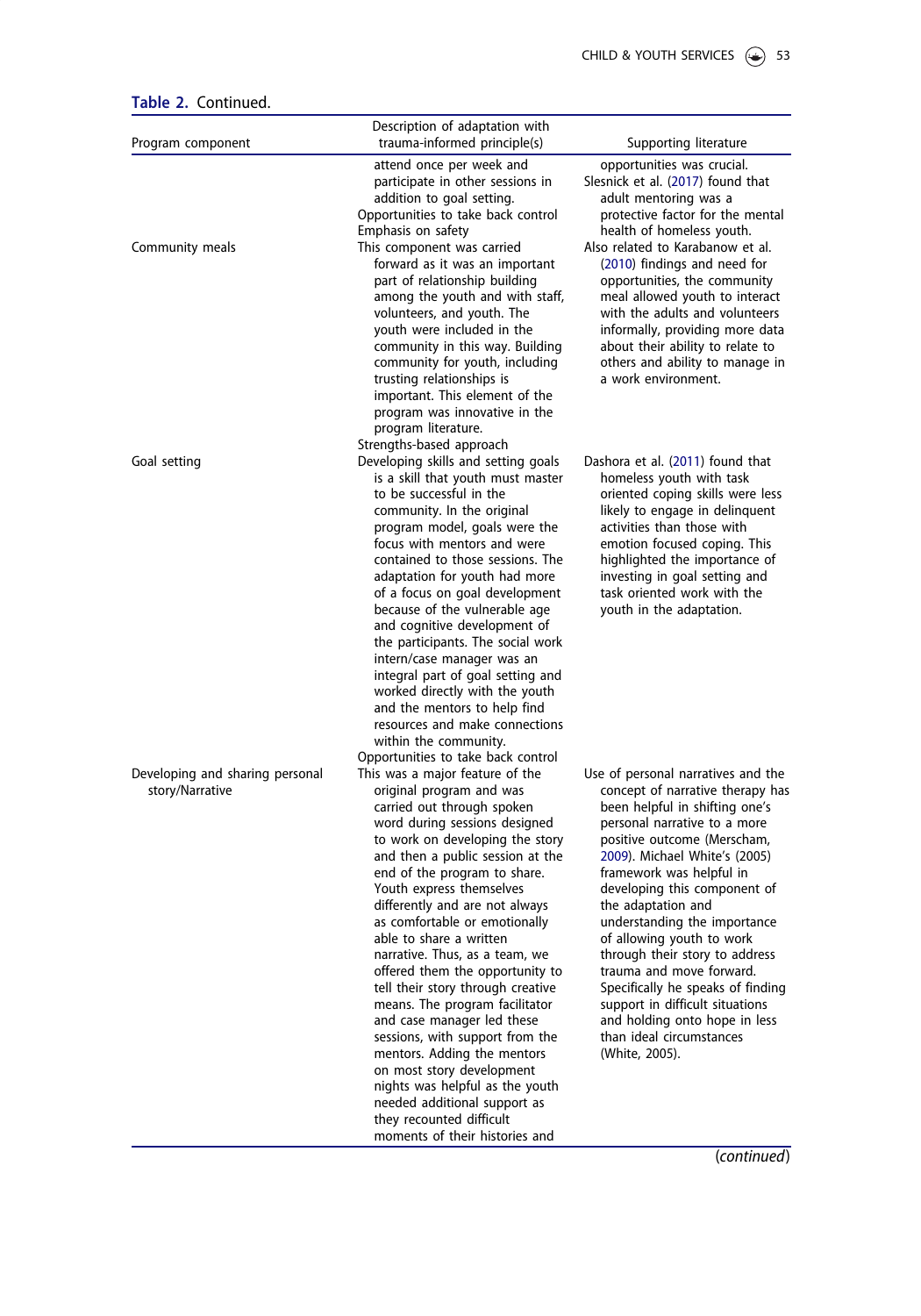<span id="page-11-0"></span>

| Table 2. Continued. |  |
|---------------------|--|
|---------------------|--|

| Program component                                  | Description of adaptation with<br>trauma-informed principle(s)                                                                                                                                                                                                                                                                                                                                                                                                                                                                                                                                                                                                                                                                                                        | Supporting literature                                                                                                                                                                                                                                                                                                                                                                                                                                                                                                                                                        |
|----------------------------------------------------|-----------------------------------------------------------------------------------------------------------------------------------------------------------------------------------------------------------------------------------------------------------------------------------------------------------------------------------------------------------------------------------------------------------------------------------------------------------------------------------------------------------------------------------------------------------------------------------------------------------------------------------------------------------------------------------------------------------------------------------------------------------------------|------------------------------------------------------------------------------------------------------------------------------------------------------------------------------------------------------------------------------------------------------------------------------------------------------------------------------------------------------------------------------------------------------------------------------------------------------------------------------------------------------------------------------------------------------------------------------|
|                                                    |                                                                                                                                                                                                                                                                                                                                                                                                                                                                                                                                                                                                                                                                                                                                                                       |                                                                                                                                                                                                                                                                                                                                                                                                                                                                                                                                                                              |
| Community meals                                    | attend once per week and<br>participate in other sessions in<br>addition to goal setting.<br>Opportunities to take back control<br>Emphasis on safety<br>This component was carried<br>forward as it was an important                                                                                                                                                                                                                                                                                                                                                                                                                                                                                                                                                 | opportunities was crucial.<br>Slesnick et al. (2017) found that<br>adult mentoring was a<br>protective factor for the mental<br>health of homeless youth.<br>Also related to Karabanow et al.<br>(2010) findings and need for                                                                                                                                                                                                                                                                                                                                                |
|                                                    | part of relationship building<br>among the youth and with staff,<br>volunteers, and youth. The<br>youth were included in the<br>community in this way. Building<br>community for youth, including<br>trusting relationships is<br>important. This element of the<br>program was innovative in the<br>program literature.<br>Strengths-based approach                                                                                                                                                                                                                                                                                                                                                                                                                  | opportunities, the community<br>meal allowed youth to interact<br>with the adults and volunteers<br>informally, providing more data<br>about their ability to relate to<br>others and ability to manage in<br>a work environment.                                                                                                                                                                                                                                                                                                                                            |
| Goal setting                                       | Developing skills and setting goals<br>is a skill that youth must master<br>to be successful in the<br>community. In the original<br>program model, goals were the<br>focus with mentors and were<br>contained to those sessions. The<br>adaptation for youth had more<br>of a focus on goal development<br>because of the vulnerable age<br>and cognitive development of<br>the participants. The social work<br>intern/case manager was an<br>integral part of goal setting and<br>worked directly with the youth<br>and the mentors to help find<br>resources and make connections<br>within the community.<br>Opportunities to take back control                                                                                                                  | Dashora et al. (2011) found that<br>homeless youth with task<br>oriented coping skills were less<br>likely to engage in delinguent<br>activities than those with<br>emotion focused coping. This<br>highlighted the importance of<br>investing in goal setting and<br>task oriented work with the<br>youth in the adaptation.                                                                                                                                                                                                                                                |
| Developing and sharing personal<br>story/Narrative | This was a major feature of the<br>original program and was<br>carried out through spoken<br>word during sessions designed<br>to work on developing the story<br>and then a public session at the<br>end of the program to share.<br>Youth express themselves<br>differently and are not always<br>as comfortable or emotionally<br>able to share a written<br>narrative. Thus, as a team, we<br>offered them the opportunity to<br>tell their story through creative<br>means. The program facilitator<br>and case manager led these<br>sessions, with support from the<br>mentors. Adding the mentors<br>on most story development<br>nights was helpful as the youth<br>needed additional support as<br>they recounted difficult<br>moments of their histories and | Use of personal narratives and the<br>concept of narrative therapy has<br>been helpful in shifting one's<br>personal narrative to a more<br>positive outcome (Merscham,<br>2009). Michael White's (2005)<br>framework was helpful in<br>developing this component of<br>the adaptation and<br>understanding the importance<br>of allowing youth to work<br>through their story to address<br>trauma and move forward.<br>Specifically he speaks of finding<br>support in difficult situations<br>and holding onto hope in less<br>than ideal circumstances<br>(White, 2005). |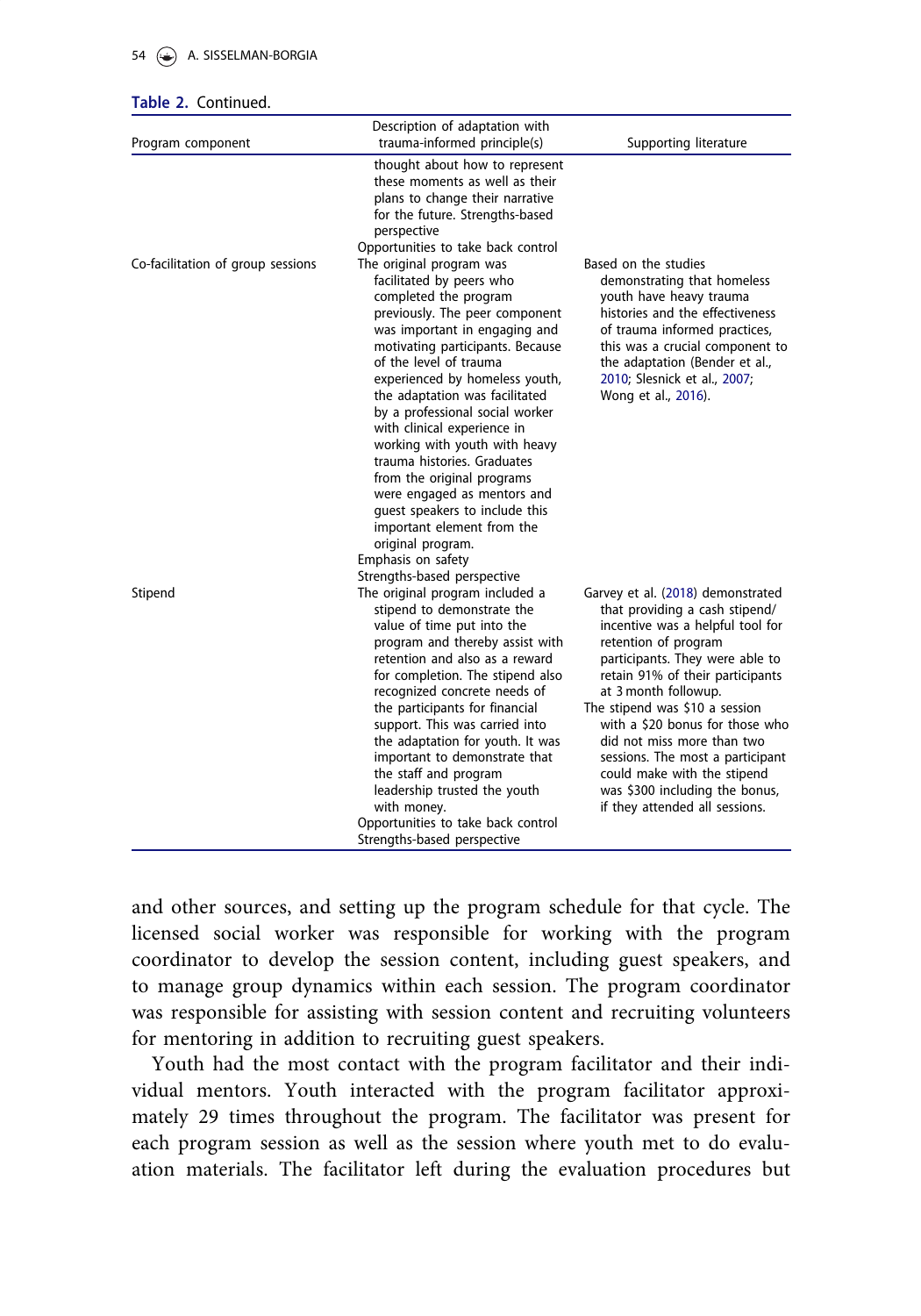#### <span id="page-12-0"></span>54 A. SISSELMAN-BORGIA

#### Table 2. Continued.

| Program component                 | Description of adaptation with<br>trauma-informed principle(s)                                                                                                                                                                                                                                                                                                                                                                                                                                                                                            | Supporting literature                                                                                                                                                                                                                                                                                                                                                                                                                                                    |
|-----------------------------------|-----------------------------------------------------------------------------------------------------------------------------------------------------------------------------------------------------------------------------------------------------------------------------------------------------------------------------------------------------------------------------------------------------------------------------------------------------------------------------------------------------------------------------------------------------------|--------------------------------------------------------------------------------------------------------------------------------------------------------------------------------------------------------------------------------------------------------------------------------------------------------------------------------------------------------------------------------------------------------------------------------------------------------------------------|
| Co-facilitation of group sessions | thought about how to represent<br>these moments as well as their<br>plans to change their narrative<br>for the future. Strengths-based<br>perspective<br>Opportunities to take back control<br>The original program was<br>facilitated by peers who<br>completed the program<br>previously. The peer component                                                                                                                                                                                                                                            | Based on the studies<br>demonstrating that homeless<br>youth have heavy trauma<br>histories and the effectiveness                                                                                                                                                                                                                                                                                                                                                        |
|                                   | was important in engaging and<br>motivating participants. Because<br>of the level of trauma<br>experienced by homeless youth,<br>the adaptation was facilitated<br>by a professional social worker<br>with clinical experience in<br>working with youth with heavy<br>trauma histories. Graduates<br>from the original programs<br>were engaged as mentors and<br>quest speakers to include this<br>important element from the<br>original program.<br>Emphasis on safety                                                                                 | of trauma informed practices,<br>this was a crucial component to<br>the adaptation (Bender et al.,<br>2010; Slesnick et al., 2007;<br>Wong et al., 2016).                                                                                                                                                                                                                                                                                                                |
| Stipend                           | Strengths-based perspective<br>The original program included a<br>stipend to demonstrate the<br>value of time put into the<br>program and thereby assist with<br>retention and also as a reward<br>for completion. The stipend also<br>recognized concrete needs of<br>the participants for financial<br>support. This was carried into<br>the adaptation for youth. It was<br>important to demonstrate that<br>the staff and program<br>leadership trusted the youth<br>with money.<br>Opportunities to take back control<br>Strengths-based perspective | Garvey et al. (2018) demonstrated<br>that providing a cash stipend/<br>incentive was a helpful tool for<br>retention of program<br>participants. They were able to<br>retain 91% of their participants<br>at 3 month followup.<br>The stipend was \$10 a session<br>with a \$20 bonus for those who<br>did not miss more than two<br>sessions. The most a participant<br>could make with the stipend<br>was \$300 including the bonus,<br>if they attended all sessions. |

and other sources, and setting up the program schedule for that cycle. The licensed social worker was responsible for working with the program coordinator to develop the session content, including guest speakers, and to manage group dynamics within each session. The program coordinator was responsible for assisting with session content and recruiting volunteers for mentoring in addition to recruiting guest speakers.

Youth had the most contact with the program facilitator and their individual mentors. Youth interacted with the program facilitator approximately 29 times throughout the program. The facilitator was present for each program session as well as the session where youth met to do evaluation materials. The facilitator left during the evaluation procedures but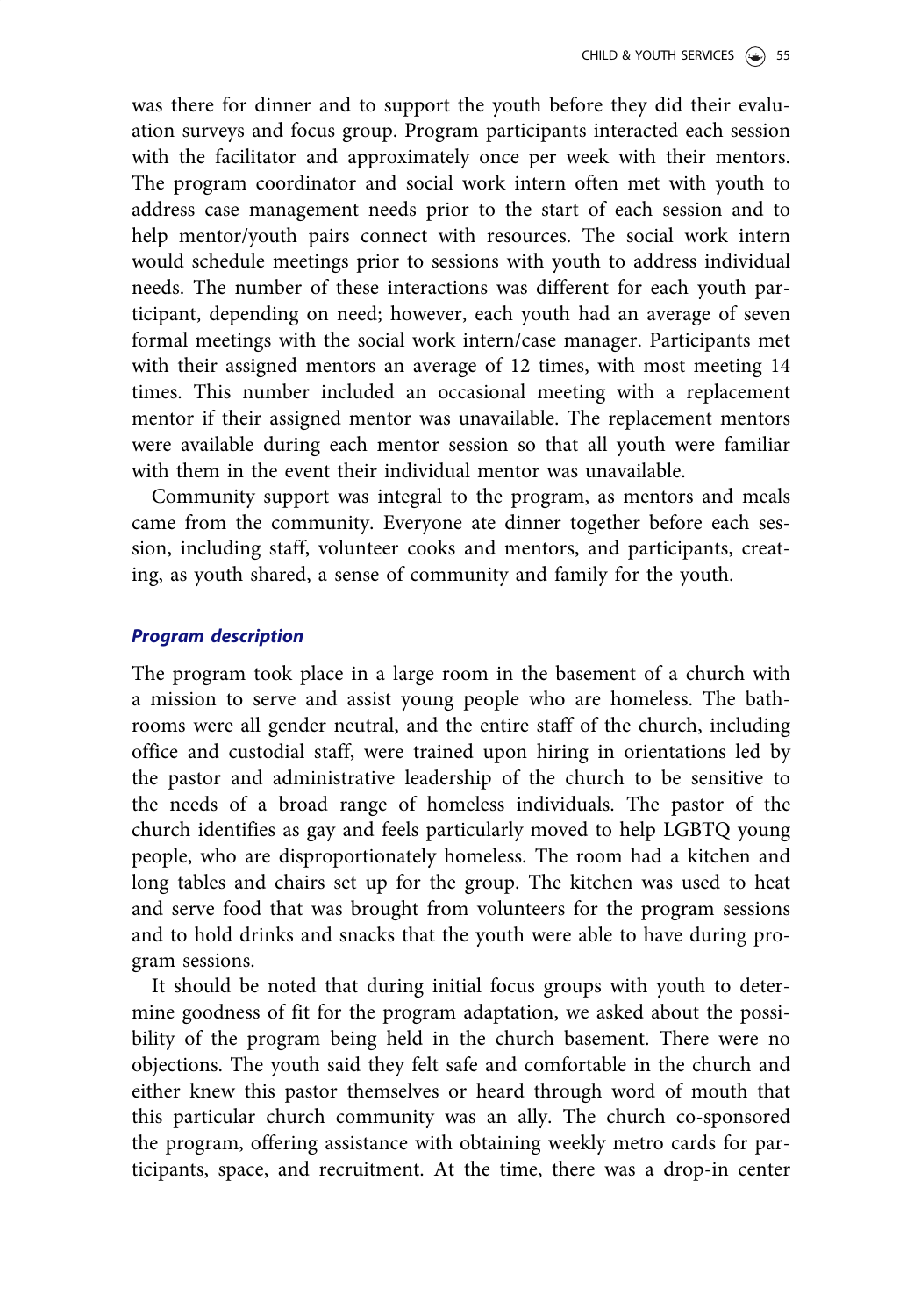was there for dinner and to support the youth before they did their evaluation surveys and focus group. Program participants interacted each session with the facilitator and approximately once per week with their mentors. The program coordinator and social work intern often met with youth to address case management needs prior to the start of each session and to help mentor/youth pairs connect with resources. The social work intern would schedule meetings prior to sessions with youth to address individual needs. The number of these interactions was different for each youth participant, depending on need; however, each youth had an average of seven formal meetings with the social work intern/case manager. Participants met with their assigned mentors an average of 12 times, with most meeting 14 times. This number included an occasional meeting with a replacement mentor if their assigned mentor was unavailable. The replacement mentors were available during each mentor session so that all youth were familiar with them in the event their individual mentor was unavailable.

Community support was integral to the program, as mentors and meals came from the community. Everyone ate dinner together before each session, including staff, volunteer cooks and mentors, and participants, creating, as youth shared, a sense of community and family for the youth.

#### Program description

The program took place in a large room in the basement of a church with a mission to serve and assist young people who are homeless. The bathrooms were all gender neutral, and the entire staff of the church, including office and custodial staff, were trained upon hiring in orientations led by the pastor and administrative leadership of the church to be sensitive to the needs of a broad range of homeless individuals. The pastor of the church identifies as gay and feels particularly moved to help LGBTQ young people, who are disproportionately homeless. The room had a kitchen and long tables and chairs set up for the group. The kitchen was used to heat and serve food that was brought from volunteers for the program sessions and to hold drinks and snacks that the youth were able to have during program sessions.

It should be noted that during initial focus groups with youth to determine goodness of fit for the program adaptation, we asked about the possibility of the program being held in the church basement. There were no objections. The youth said they felt safe and comfortable in the church and either knew this pastor themselves or heard through word of mouth that this particular church community was an ally. The church co-sponsored the program, offering assistance with obtaining weekly metro cards for participants, space, and recruitment. At the time, there was a drop-in center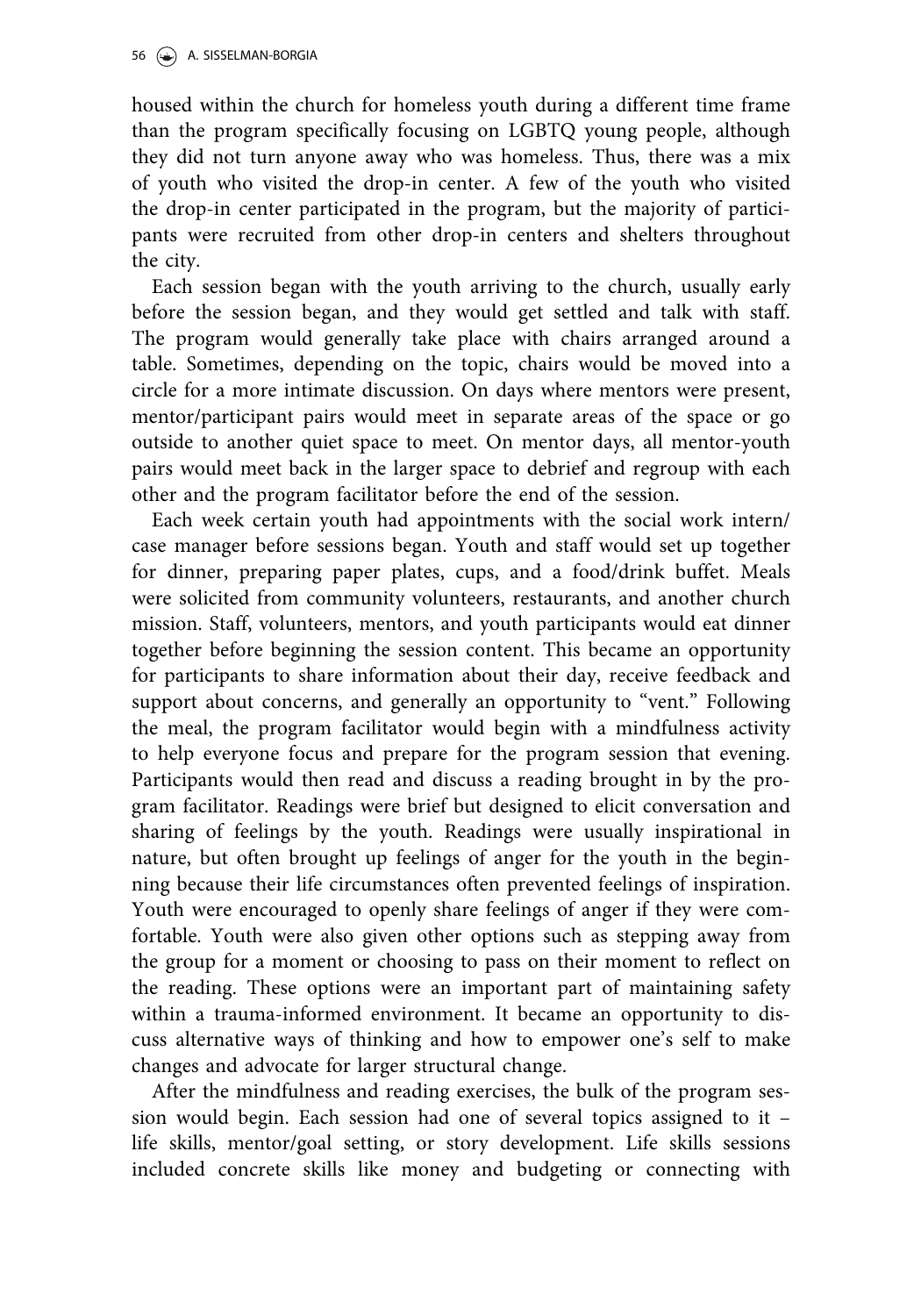housed within the church for homeless youth during a different time frame than the program specifically focusing on LGBTQ young people, although they did not turn anyone away who was homeless. Thus, there was a mix of youth who visited the drop-in center. A few of the youth who visited the drop-in center participated in the program, but the majority of participants were recruited from other drop-in centers and shelters throughout the city.

Each session began with the youth arriving to the church, usually early before the session began, and they would get settled and talk with staff. The program would generally take place with chairs arranged around a table. Sometimes, depending on the topic, chairs would be moved into a circle for a more intimate discussion. On days where mentors were present, mentor/participant pairs would meet in separate areas of the space or go outside to another quiet space to meet. On mentor days, all mentor-youth pairs would meet back in the larger space to debrief and regroup with each other and the program facilitator before the end of the session.

Each week certain youth had appointments with the social work intern/ case manager before sessions began. Youth and staff would set up together for dinner, preparing paper plates, cups, and a food/drink buffet. Meals were solicited from community volunteers, restaurants, and another church mission. Staff, volunteers, mentors, and youth participants would eat dinner together before beginning the session content. This became an opportunity for participants to share information about their day, receive feedback and support about concerns, and generally an opportunity to "vent." Following the meal, the program facilitator would begin with a mindfulness activity to help everyone focus and prepare for the program session that evening. Participants would then read and discuss a reading brought in by the program facilitator. Readings were brief but designed to elicit conversation and sharing of feelings by the youth. Readings were usually inspirational in nature, but often brought up feelings of anger for the youth in the beginning because their life circumstances often prevented feelings of inspiration. Youth were encouraged to openly share feelings of anger if they were comfortable. Youth were also given other options such as stepping away from the group for a moment or choosing to pass on their moment to reflect on the reading. These options were an important part of maintaining safety within a trauma-informed environment. It became an opportunity to discuss alternative ways of thinking and how to empower one's self to make changes and advocate for larger structural change.

After the mindfulness and reading exercises, the bulk of the program session would begin. Each session had one of several topics assigned to it – life skills, mentor/goal setting, or story development. Life skills sessions included concrete skills like money and budgeting or connecting with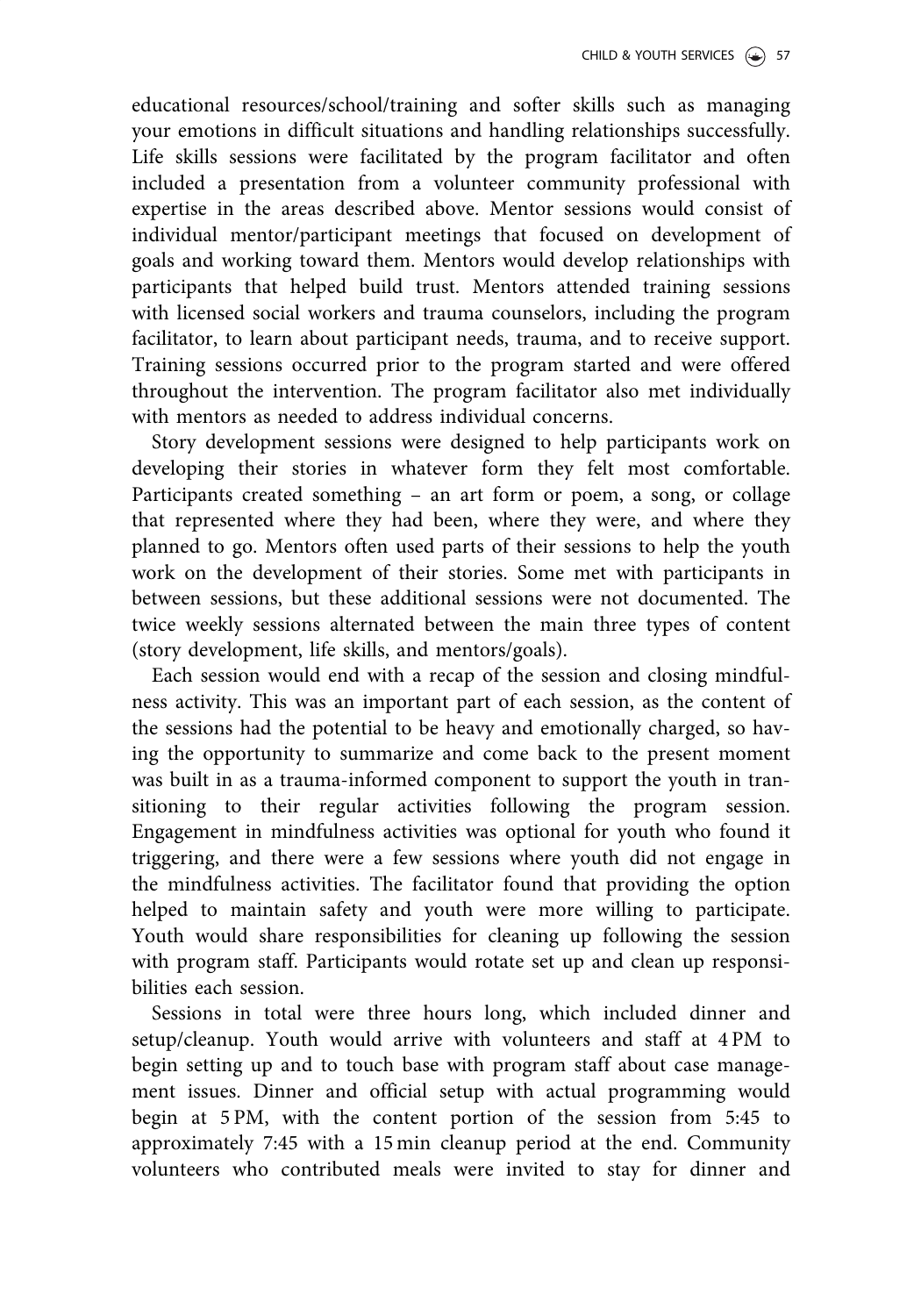educational resources/school/training and softer skills such as managing your emotions in difficult situations and handling relationships successfully. Life skills sessions were facilitated by the program facilitator and often included a presentation from a volunteer community professional with expertise in the areas described above. Mentor sessions would consist of individual mentor/participant meetings that focused on development of goals and working toward them. Mentors would develop relationships with participants that helped build trust. Mentors attended training sessions with licensed social workers and trauma counselors, including the program facilitator, to learn about participant needs, trauma, and to receive support. Training sessions occurred prior to the program started and were offered throughout the intervention. The program facilitator also met individually with mentors as needed to address individual concerns.

Story development sessions were designed to help participants work on developing their stories in whatever form they felt most comfortable. Participants created something – an art form or poem, a song, or collage that represented where they had been, where they were, and where they planned to go. Mentors often used parts of their sessions to help the youth work on the development of their stories. Some met with participants in between sessions, but these additional sessions were not documented. The twice weekly sessions alternated between the main three types of content (story development, life skills, and mentors/goals).

Each session would end with a recap of the session and closing mindfulness activity. This was an important part of each session, as the content of the sessions had the potential to be heavy and emotionally charged, so having the opportunity to summarize and come back to the present moment was built in as a trauma-informed component to support the youth in transitioning to their regular activities following the program session. Engagement in mindfulness activities was optional for youth who found it triggering, and there were a few sessions where youth did not engage in the mindfulness activities. The facilitator found that providing the option helped to maintain safety and youth were more willing to participate. Youth would share responsibilities for cleaning up following the session with program staff. Participants would rotate set up and clean up responsibilities each session.

Sessions in total were three hours long, which included dinner and setup/cleanup. Youth would arrive with volunteers and staff at 4 PM to begin setting up and to touch base with program staff about case management issues. Dinner and official setup with actual programming would begin at 5 PM, with the content portion of the session from 5:45 to approximately 7:45 with a 15 min cleanup period at the end. Community volunteers who contributed meals were invited to stay for dinner and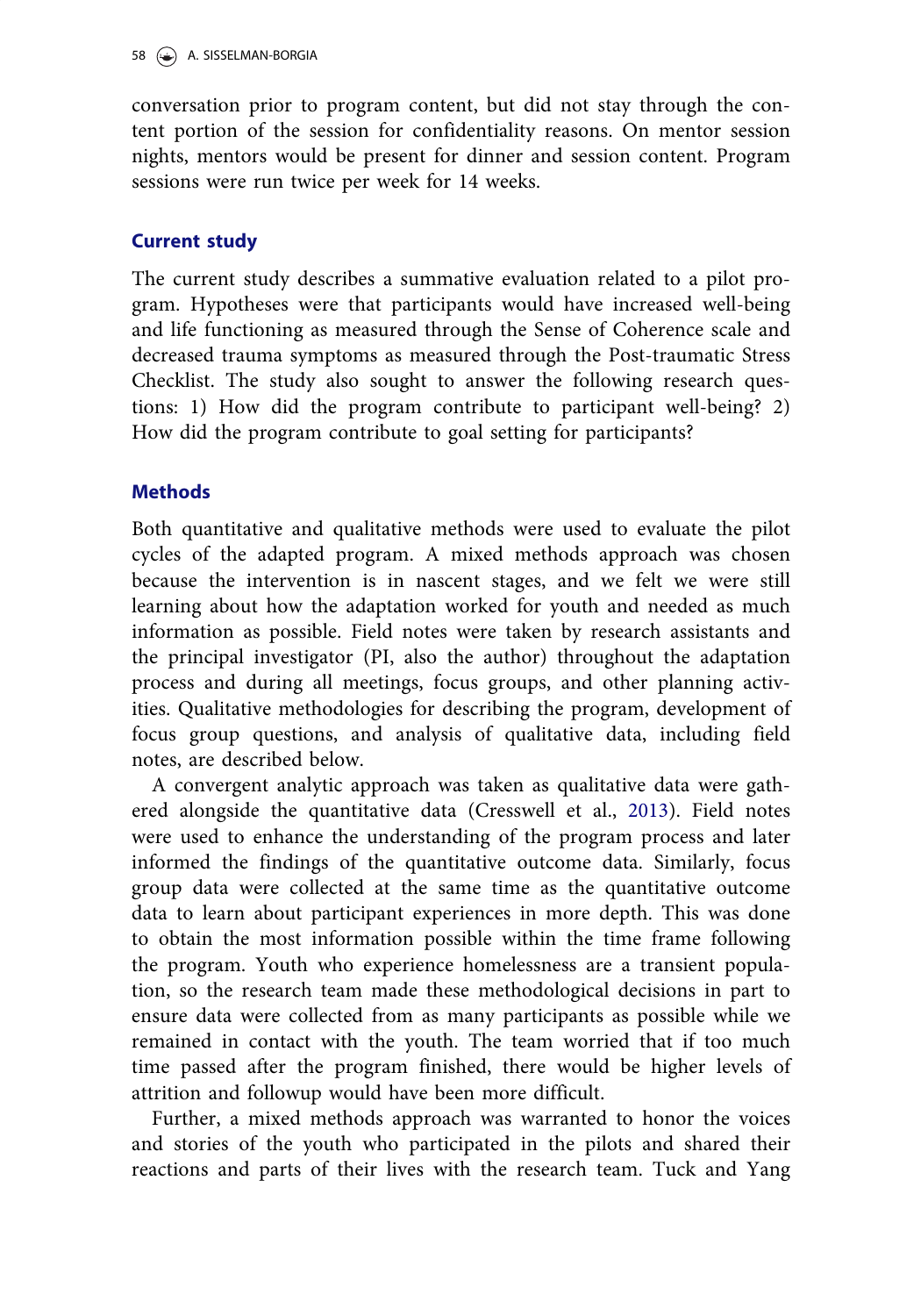<span id="page-16-0"></span>conversation prior to program content, but did not stay through the content portion of the session for confidentiality reasons. On mentor session nights, mentors would be present for dinner and session content. Program sessions were run twice per week for 14 weeks.

# Current study

The current study describes a summative evaluation related to a pilot program. Hypotheses were that participants would have increased well-being and life functioning as measured through the Sense of Coherence scale and decreased trauma symptoms as measured through the Post-traumatic Stress Checklist. The study also sought to answer the following research questions: 1) How did the program contribute to participant well-being? 2) How did the program contribute to goal setting for participants?

# **Methods**

Both quantitative and qualitative methods were used to evaluate the pilot cycles of the adapted program. A mixed methods approach was chosen because the intervention is in nascent stages, and we felt we were still learning about how the adaptation worked for youth and needed as much information as possible. Field notes were taken by research assistants and the principal investigator (PI, also the author) throughout the adaptation process and during all meetings, focus groups, and other planning activities. Qualitative methodologies for describing the program, development of focus group questions, and analysis of qualitative data, including field notes, are described below.

A convergent analytic approach was taken as qualitative data were gathered alongside the quantitative data (Cresswell et al., [2013\)](#page-34-0). Field notes were used to enhance the understanding of the program process and later informed the findings of the quantitative outcome data. Similarly, focus group data were collected at the same time as the quantitative outcome data to learn about participant experiences in more depth. This was done to obtain the most information possible within the time frame following the program. Youth who experience homelessness are a transient population, so the research team made these methodological decisions in part to ensure data were collected from as many participants as possible while we remained in contact with the youth. The team worried that if too much time passed after the program finished, there would be higher levels of attrition and followup would have been more difficult.

Further, a mixed methods approach was warranted to honor the voices and stories of the youth who participated in the pilots and shared their reactions and parts of their lives with the research team. Tuck and Yang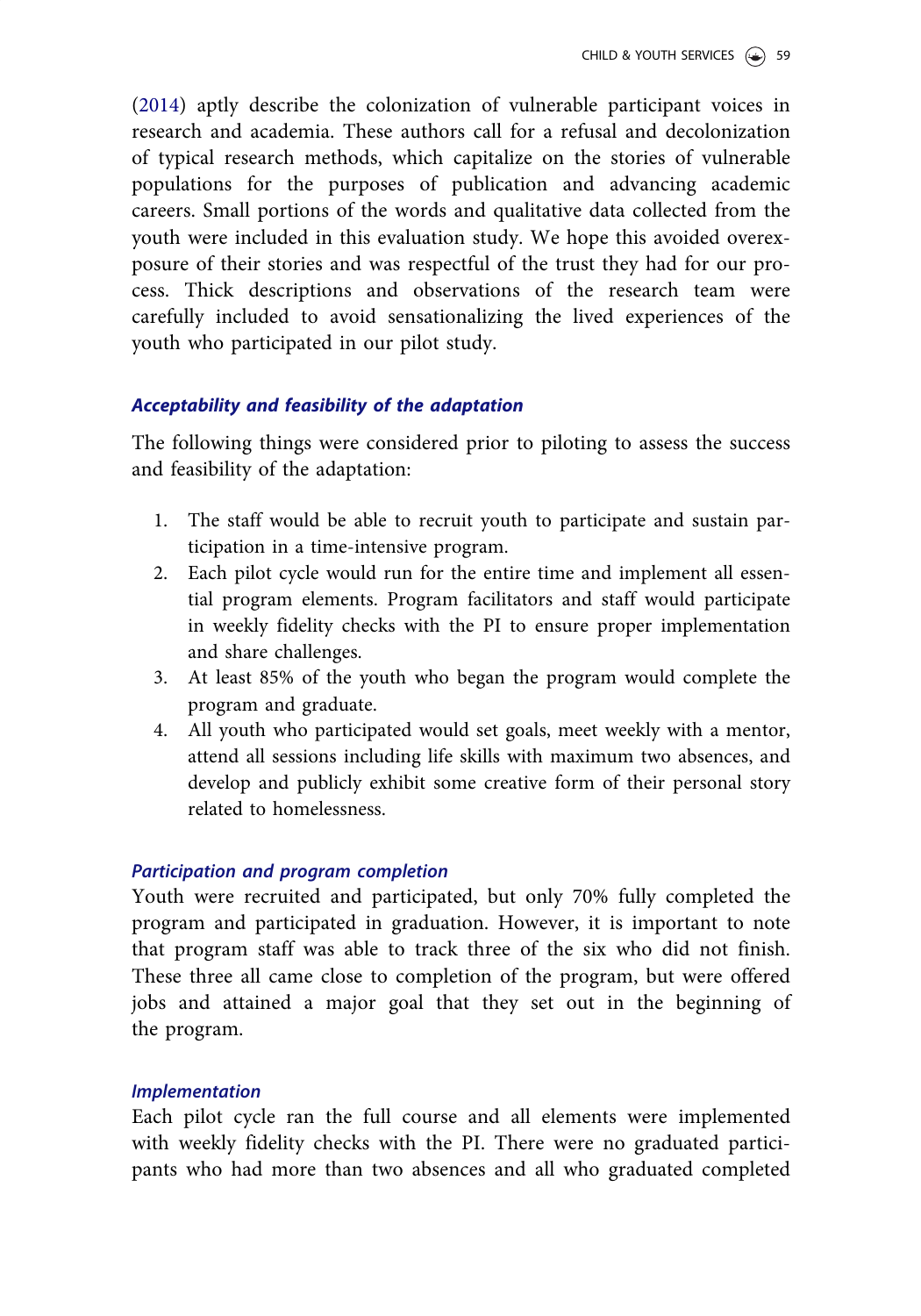([2014](#page-37-0)) aptly describe the colonization of vulnerable participant voices in research and academia. These authors call for a refusal and decolonization of typical research methods, which capitalize on the stories of vulnerable populations for the purposes of publication and advancing academic careers. Small portions of the words and qualitative data collected from the youth were included in this evaluation study. We hope this avoided overexposure of their stories and was respectful of the trust they had for our process. Thick descriptions and observations of the research team were carefully included to avoid sensationalizing the lived experiences of the youth who participated in our pilot study.

# Acceptability and feasibility of the adaptation

The following things were considered prior to piloting to assess the success and feasibility of the adaptation:

- 1. The staff would be able to recruit youth to participate and sustain participation in a time-intensive program.
- 2. Each pilot cycle would run for the entire time and implement all essential program elements. Program facilitators and staff would participate in weekly fidelity checks with the PI to ensure proper implementation and share challenges.
- 3. At least 85% of the youth who began the program would complete the program and graduate.
- 4. All youth who participated would set goals, meet weekly with a mentor, attend all sessions including life skills with maximum two absences, and develop and publicly exhibit some creative form of their personal story related to homelessness.

## Participation and program completion

Youth were recruited and participated, but only 70% fully completed the program and participated in graduation. However, it is important to note that program staff was able to track three of the six who did not finish. These three all came close to completion of the program, but were offered jobs and attained a major goal that they set out in the beginning of the program.

## Implementation

Each pilot cycle ran the full course and all elements were implemented with weekly fidelity checks with the PI. There were no graduated participants who had more than two absences and all who graduated completed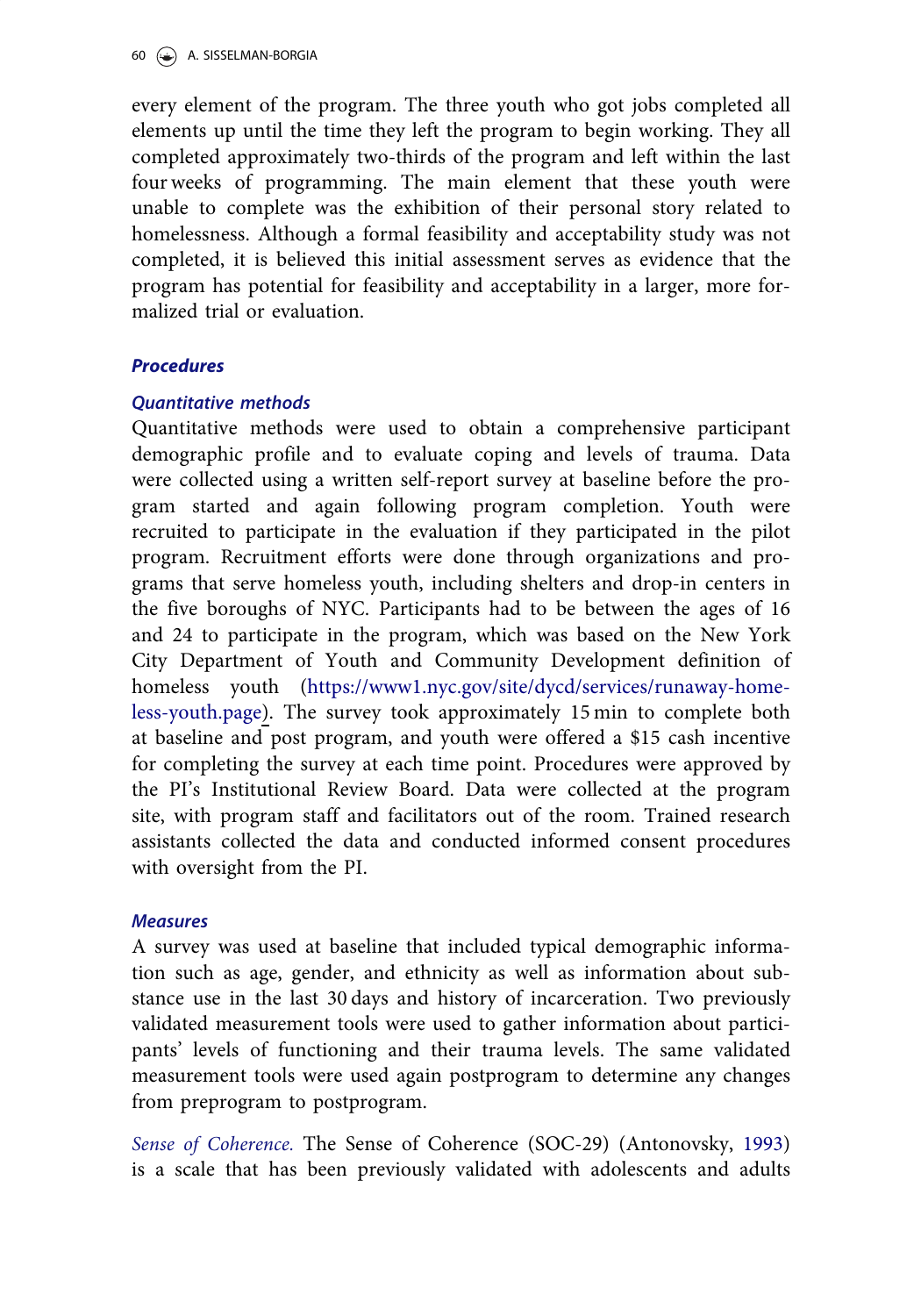<span id="page-18-0"></span>every element of the program. The three youth who got jobs completed all elements up until the time they left the program to begin working. They all completed approximately two-thirds of the program and left within the last four weeks of programming. The main element that these youth were unable to complete was the exhibition of their personal story related to homelessness. Although a formal feasibility and acceptability study was not completed, it is believed this initial assessment serves as evidence that the program has potential for feasibility and acceptability in a larger, more formalized trial or evaluation.

# Procedures

# Quantitative methods

Quantitative methods were used to obtain a comprehensive participant demographic profile and to evaluate coping and levels of trauma. Data were collected using a written self-report survey at baseline before the program started and again following program completion. Youth were recruited to participate in the evaluation if they participated in the pilot program. Recruitment efforts were done through organizations and programs that serve homeless youth, including shelters and drop-in centers in the five boroughs of NYC. Participants had to be between the ages of 16 and 24 to participate in the program, which was based on the New York City Department of Youth and Community Development definition of homeless youth [\(https://www1.nyc.gov/site/dycd/services/runaway-home](https://www1.nyc.gov/site/dycd/services/runaway-homeless-youth.page)[less-youth.page](https://www1.nyc.gov/site/dycd/services/runaway-homeless-youth.page)). The survey took approximately 15 min to complete both at baseline and post program, and youth were offered a \$15 cash incentive for completing the survey at each time point. Procedures were approved by the PI's Institutional Review Board. Data were collected at the program site, with program staff and facilitators out of the room. Trained research assistants collected the data and conducted informed consent procedures with oversight from the PI.

## **Measures**

A survey was used at baseline that included typical demographic information such as age, gender, and ethnicity as well as information about substance use in the last 30 days and history of incarceration. Two previously validated measurement tools were used to gather information about participants' levels of functioning and their trauma levels. The same validated measurement tools were used again postprogram to determine any changes from preprogram to postprogram.

Sense of Coherence. The Sense of Coherence (SOC-29) (Antonovsky, [1993\)](#page-34-0) is a scale that has been previously validated with adolescents and adults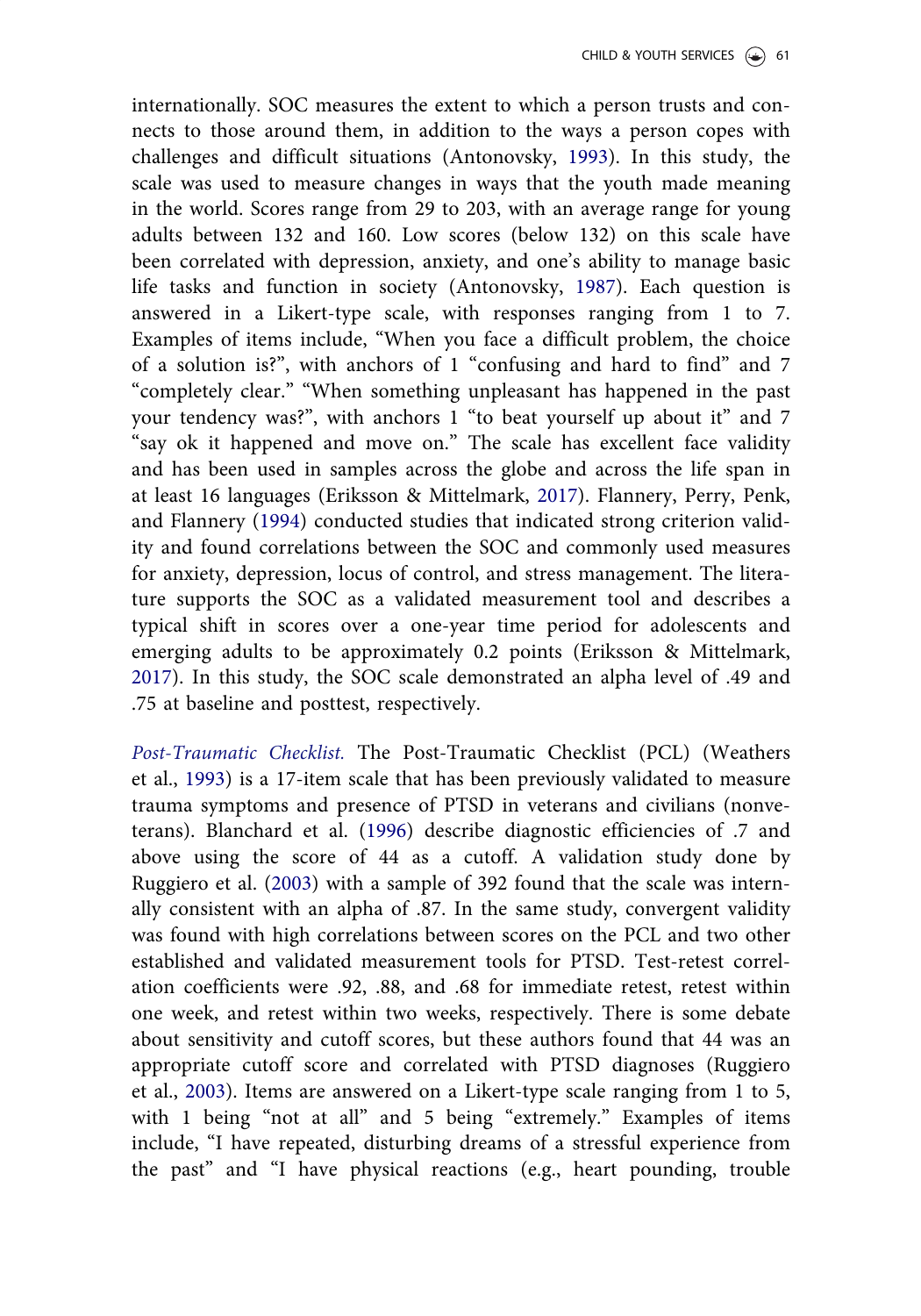<span id="page-19-0"></span>internationally. SOC measures the extent to which a person trusts and connects to those around them, in addition to the ways a person copes with challenges and difficult situations (Antonovsky, [1993\)](#page-34-0). In this study, the scale was used to measure changes in ways that the youth made meaning in the world. Scores range from 29 to 203, with an average range for young adults between 132 and 160. Low scores (below 132) on this scale have been correlated with depression, anxiety, and one's ability to manage basic life tasks and function in society (Antonovsky, [1987\)](#page-34-0). Each question is answered in a Likert-type scale, with responses ranging from 1 to 7. Examples of items include, "When you face a difficult problem, the choice of a solution is?", with anchors of 1 "confusing and hard to find" and 7 "completely clear." "When something unpleasant has happened in the past your tendency was?", with anchors 1 "to beat yourself up about it" and 7 "say ok it happened and move on." The scale has excellent face validity and has been used in samples across the globe and across the life span in at least 16 languages (Eriksson & Mittelmark, [2017](#page-35-0)). Flannery, Perry, Penk, and Flannery [\(1994](#page-35-0)) conducted studies that indicated strong criterion validity and found correlations between the SOC and commonly used measures for anxiety, depression, locus of control, and stress management. The literature supports the SOC as a validated measurement tool and describes a typical shift in scores over a one-year time period for adolescents and emerging adults to be approximately 0.2 points (Eriksson & Mittelmark, [2017](#page-35-0)). In this study, the SOC scale demonstrated an alpha level of .49 and .75 at baseline and posttest, respectively.

Post-Traumatic Checklist. The Post-Traumatic Checklist (PCL) (Weathers et al., [1993](#page-37-0)) is a 17-item scale that has been previously validated to measure trauma symptoms and presence of PTSD in veterans and civilians (nonveterans). Blanchard et al. [\(1996](#page-34-0)) describe diagnostic efficiencies of .7 and above using the score of 44 as a cutoff. A validation study done by Ruggiero et al. ([2003\)](#page-36-0) with a sample of 392 found that the scale was internally consistent with an alpha of .87. In the same study, convergent validity was found with high correlations between scores on the PCL and two other established and validated measurement tools for PTSD. Test-retest correlation coefficients were .92, .88, and .68 for immediate retest, retest within one week, and retest within two weeks, respectively. There is some debate about sensitivity and cutoff scores, but these authors found that 44 was an appropriate cutoff score and correlated with PTSD diagnoses (Ruggiero et al., [2003](#page-36-0)). Items are answered on a Likert-type scale ranging from 1 to 5, with 1 being "not at all" and 5 being "extremely." Examples of items include, "I have repeated, disturbing dreams of a stressful experience from the past" and "I have physical reactions (e.g., heart pounding, trouble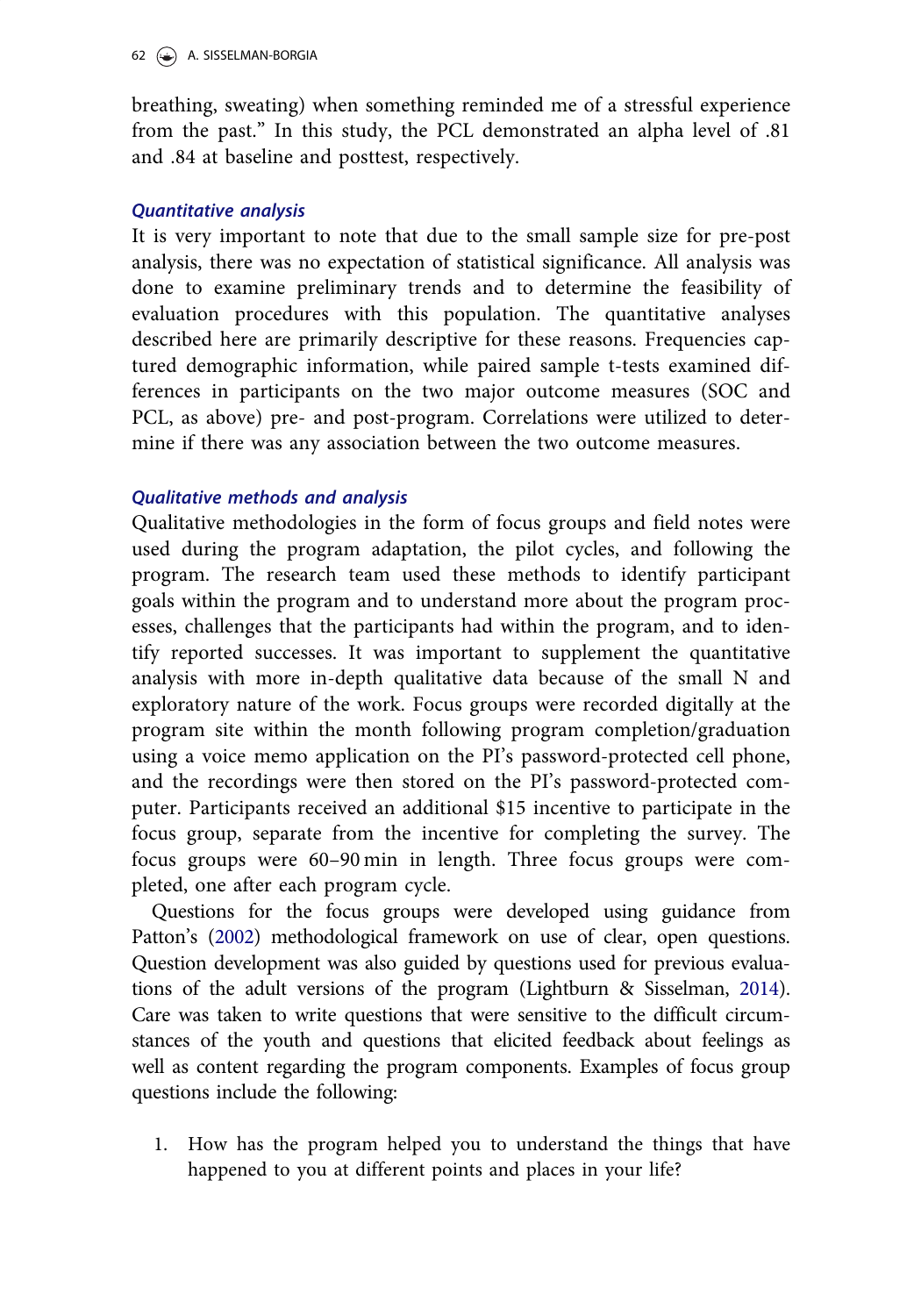<span id="page-20-0"></span>breathing, sweating) when something reminded me of a stressful experience from the past." In this study, the PCL demonstrated an alpha level of .81 and .84 at baseline and posttest, respectively.

# Quantitative analysis

It is very important to note that due to the small sample size for pre-post analysis, there was no expectation of statistical significance. All analysis was done to examine preliminary trends and to determine the feasibility of evaluation procedures with this population. The quantitative analyses described here are primarily descriptive for these reasons. Frequencies captured demographic information, while paired sample t-tests examined differences in participants on the two major outcome measures (SOC and PCL, as above) pre- and post-program. Correlations were utilized to determine if there was any association between the two outcome measures.

# Qualitative methods and analysis

Qualitative methodologies in the form of focus groups and field notes were used during the program adaptation, the pilot cycles, and following the program. The research team used these methods to identify participant goals within the program and to understand more about the program processes, challenges that the participants had within the program, and to identify reported successes. It was important to supplement the quantitative analysis with more in-depth qualitative data because of the small N and exploratory nature of the work. Focus groups were recorded digitally at the program site within the month following program completion/graduation using a voice memo application on the PI's password-protected cell phone, and the recordings were then stored on the PI's password-protected computer. Participants received an additional \$15 incentive to participate in the focus group, separate from the incentive for completing the survey. The focus groups were 60–90 min in length. Three focus groups were completed, one after each program cycle.

Questions for the focus groups were developed using guidance from Patton's ([2002\)](#page-36-0) methodological framework on use of clear, open questions. Question development was also guided by questions used for previous evaluations of the adult versions of the program (Lightburn & Sisselman, [2014](#page-36-0)). Care was taken to write questions that were sensitive to the difficult circumstances of the youth and questions that elicited feedback about feelings as well as content regarding the program components. Examples of focus group questions include the following:

1. How has the program helped you to understand the things that have happened to you at different points and places in your life?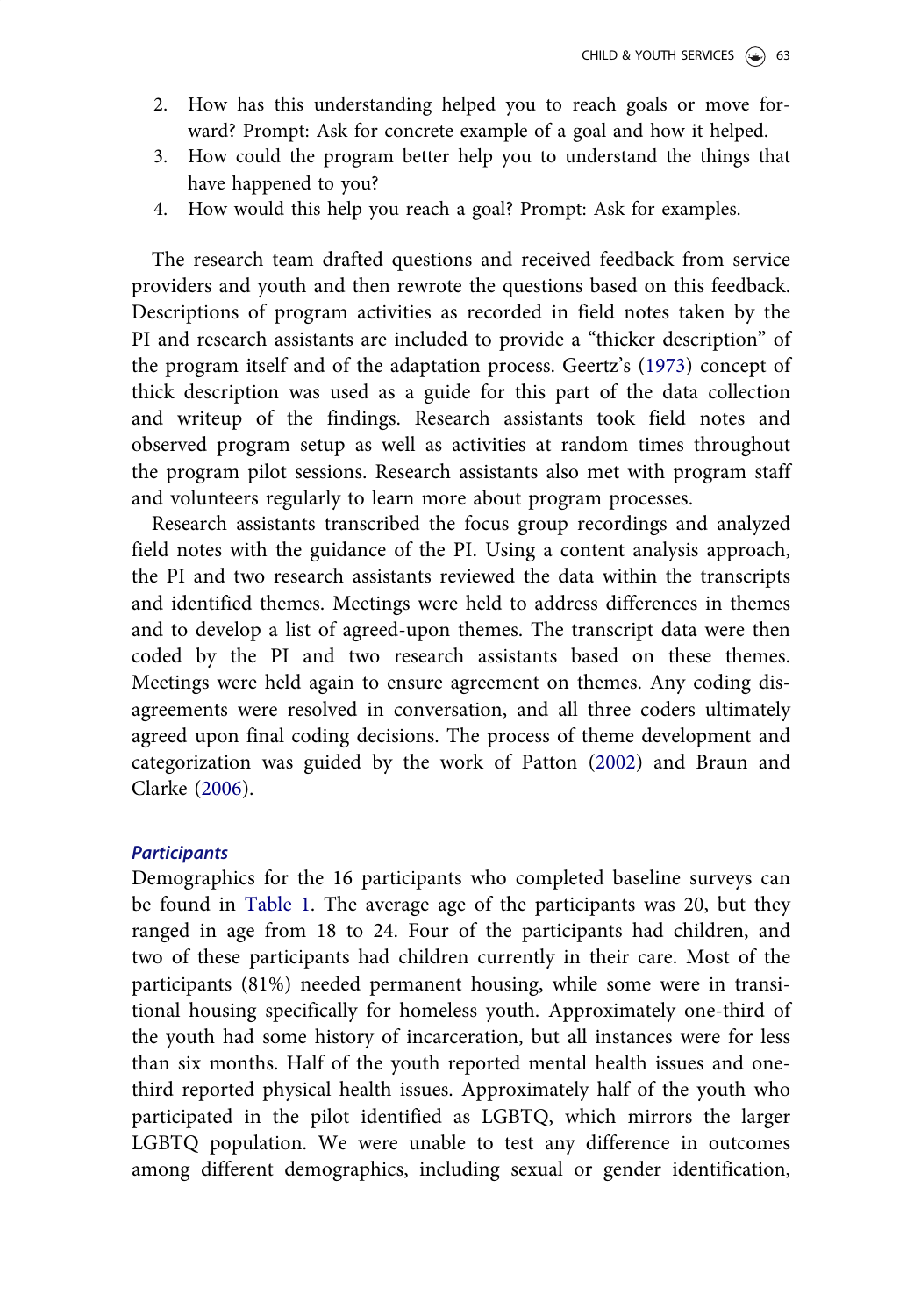- <span id="page-21-0"></span>2. How has this understanding helped you to reach goals or move forward? Prompt: Ask for concrete example of a goal and how it helped.
- 3. How could the program better help you to understand the things that have happened to you?
- 4. How would this help you reach a goal? Prompt: Ask for examples.

The research team drafted questions and received feedback from service providers and youth and then rewrote the questions based on this feedback. Descriptions of program activities as recorded in field notes taken by the PI and research assistants are included to provide a "thicker description" of the program itself and of the adaptation process. Geertz's [\(1973](#page-35-0)) concept of thick description was used as a guide for this part of the data collection and writeup of the findings. Research assistants took field notes and observed program setup as well as activities at random times throughout the program pilot sessions. Research assistants also met with program staff and volunteers regularly to learn more about program processes.

Research assistants transcribed the focus group recordings and analyzed field notes with the guidance of the PI. Using a content analysis approach, the PI and two research assistants reviewed the data within the transcripts and identified themes. Meetings were held to address differences in themes and to develop a list of agreed-upon themes. The transcript data were then coded by the PI and two research assistants based on these themes. Meetings were held again to ensure agreement on themes. Any coding disagreements were resolved in conversation, and all three coders ultimately agreed upon final coding decisions. The process of theme development and categorization was guided by the work of Patton ([2002\)](#page-36-0) and Braun and Clarke [\(2006](#page-34-0)).

#### **Participants**

Demographics for the 16 participants who completed baseline surveys can be found in [Table 1.](#page-8-0) The average age of the participants was 20, but they ranged in age from 18 to 24. Four of the participants had children, and two of these participants had children currently in their care. Most of the participants (81%) needed permanent housing, while some were in transitional housing specifically for homeless youth. Approximately one-third of the youth had some history of incarceration, but all instances were for less than six months. Half of the youth reported mental health issues and onethird reported physical health issues. Approximately half of the youth who participated in the pilot identified as LGBTQ, which mirrors the larger LGBTQ population. We were unable to test any difference in outcomes among different demographics, including sexual or gender identification,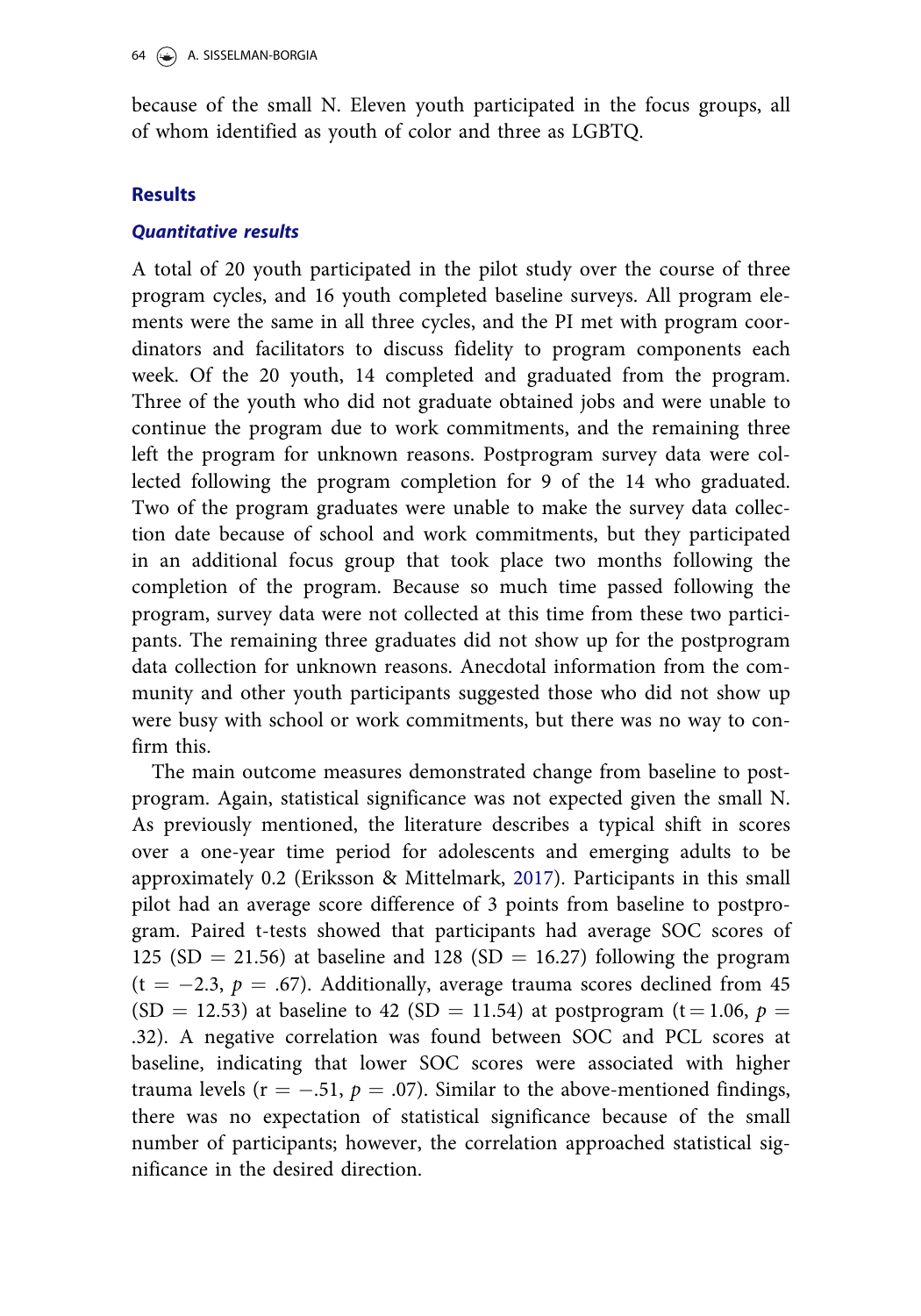because of the small N. Eleven youth participated in the focus groups, all of whom identified as youth of color and three as LGBTQ.

# **Results**

# Quantitative results

A total of 20 youth participated in the pilot study over the course of three program cycles, and 16 youth completed baseline surveys. All program elements were the same in all three cycles, and the PI met with program coordinators and facilitators to discuss fidelity to program components each week. Of the 20 youth, 14 completed and graduated from the program. Three of the youth who did not graduate obtained jobs and were unable to continue the program due to work commitments, and the remaining three left the program for unknown reasons. Postprogram survey data were collected following the program completion for 9 of the 14 who graduated. Two of the program graduates were unable to make the survey data collection date because of school and work commitments, but they participated in an additional focus group that took place two months following the completion of the program. Because so much time passed following the program, survey data were not collected at this time from these two participants. The remaining three graduates did not show up for the postprogram data collection for unknown reasons. Anecdotal information from the community and other youth participants suggested those who did not show up were busy with school or work commitments, but there was no way to confirm this.

The main outcome measures demonstrated change from baseline to postprogram. Again, statistical significance was not expected given the small N. As previously mentioned, the literature describes a typical shift in scores over a one-year time period for adolescents and emerging adults to be approximately 0.2 (Eriksson & Mittelmark, [2017\)](#page-35-0). Participants in this small pilot had an average score difference of 3 points from baseline to postprogram. Paired t-tests showed that participants had average SOC scores of 125 (SD = 21.56) at baseline and 128 (SD = 16.27) following the program  $(t = -2.3, p = .67)$ . Additionally, average trauma scores declined from 45 (SD = 12.53) at baseline to 42 (SD = 11.54) at postprogram (t = 1.06,  $p =$ .32). A negative correlation was found between SOC and PCL scores at baseline, indicating that lower SOC scores were associated with higher trauma levels ( $r = -.51$ ,  $p = .07$ ). Similar to the above-mentioned findings, there was no expectation of statistical significance because of the small number of participants; however, the correlation approached statistical significance in the desired direction.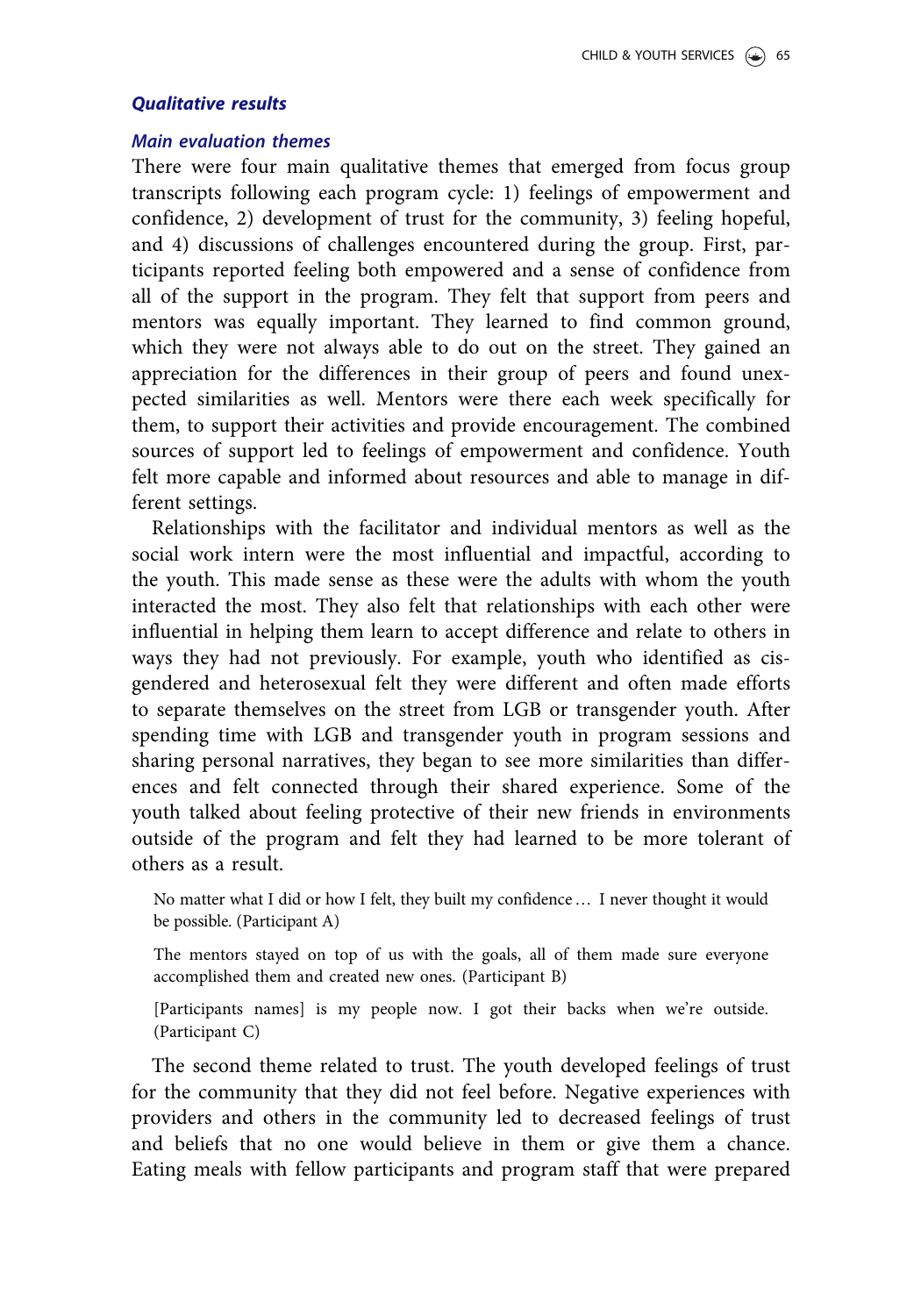#### Qualitative results

#### Main evaluation themes

There were four main qualitative themes that emerged from focus group transcripts following each program cycle: 1) feelings of empowerment and confidence, 2) development of trust for the community, 3) feeling hopeful, and 4) discussions of challenges encountered during the group. First, participants reported feeling both empowered and a sense of confidence from all of the support in the program. They felt that support from peers and mentors was equally important. They learned to find common ground, which they were not always able to do out on the street. They gained an appreciation for the differences in their group of peers and found unexpected similarities as well. Mentors were there each week specifically for them, to support their activities and provide encouragement. The combined sources of support led to feelings of empowerment and confidence. Youth felt more capable and informed about resources and able to manage in different settings.

Relationships with the facilitator and individual mentors as well as the social work intern were the most influential and impactful, according to the youth. This made sense as these were the adults with whom the youth interacted the most. They also felt that relationships with each other were influential in helping them learn to accept difference and relate to others in ways they had not previously. For example, youth who identified as cisgendered and heterosexual felt they were different and often made efforts to separate themselves on the street from LGB or transgender youth. After spending time with LGB and transgender youth in program sessions and sharing personal narratives, they began to see more similarities than differences and felt connected through their shared experience. Some of the youth talked about feeling protective of their new friends in environments outside of the program and felt they had learned to be more tolerant of others as a result.

No matter what I did or how I felt, they built my confidence… I never thought it would be possible. (Participant A)

The mentors stayed on top of us with the goals, all of them made sure everyone accomplished them and created new ones. (Participant B)

[Participants names] is my people now. I got their backs when we're outside. (Participant C)

The second theme related to trust. The youth developed feelings of trust for the community that they did not feel before. Negative experiences with providers and others in the community led to decreased feelings of trust and beliefs that no one would believe in them or give them a chance. Eating meals with fellow participants and program staff that were prepared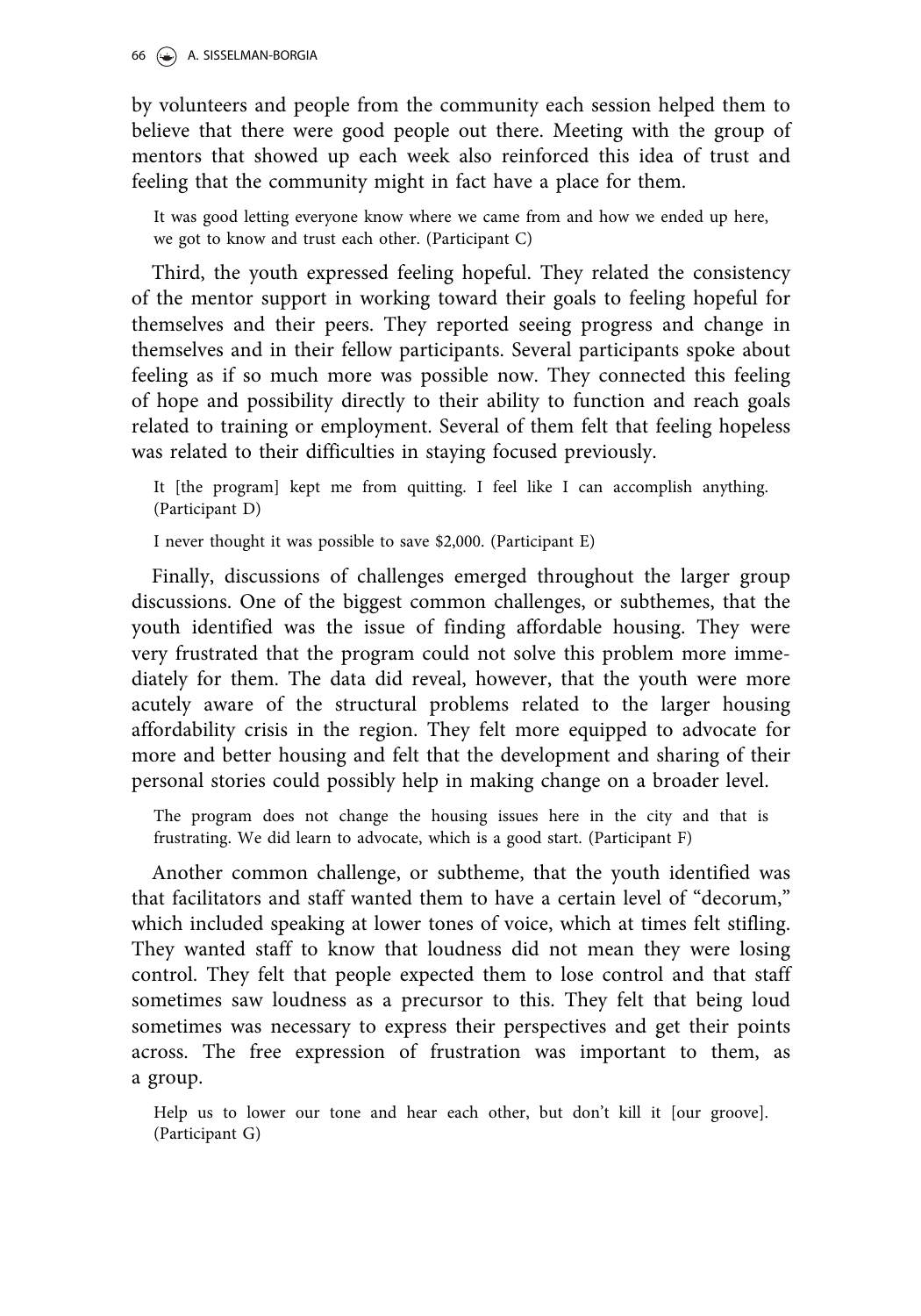by volunteers and people from the community each session helped them to believe that there were good people out there. Meeting with the group of mentors that showed up each week also reinforced this idea of trust and feeling that the community might in fact have a place for them.

It was good letting everyone know where we came from and how we ended up here, we got to know and trust each other. (Participant C)

Third, the youth expressed feeling hopeful. They related the consistency of the mentor support in working toward their goals to feeling hopeful for themselves and their peers. They reported seeing progress and change in themselves and in their fellow participants. Several participants spoke about feeling as if so much more was possible now. They connected this feeling of hope and possibility directly to their ability to function and reach goals related to training or employment. Several of them felt that feeling hopeless was related to their difficulties in staying focused previously.

It [the program] kept me from quitting. I feel like I can accomplish anything. (Participant D)

I never thought it was possible to save \$2,000. (Participant E)

Finally, discussions of challenges emerged throughout the larger group discussions. One of the biggest common challenges, or subthemes, that the youth identified was the issue of finding affordable housing. They were very frustrated that the program could not solve this problem more immediately for them. The data did reveal, however, that the youth were more acutely aware of the structural problems related to the larger housing affordability crisis in the region. They felt more equipped to advocate for more and better housing and felt that the development and sharing of their personal stories could possibly help in making change on a broader level.

The program does not change the housing issues here in the city and that is frustrating. We did learn to advocate, which is a good start. (Participant F)

Another common challenge, or subtheme, that the youth identified was that facilitators and staff wanted them to have a certain level of "decorum," which included speaking at lower tones of voice, which at times felt stifling. They wanted staff to know that loudness did not mean they were losing control. They felt that people expected them to lose control and that staff sometimes saw loudness as a precursor to this. They felt that being loud sometimes was necessary to express their perspectives and get their points across. The free expression of frustration was important to them, as a group.

Help us to lower our tone and hear each other, but don't kill it [our groove]. (Participant G)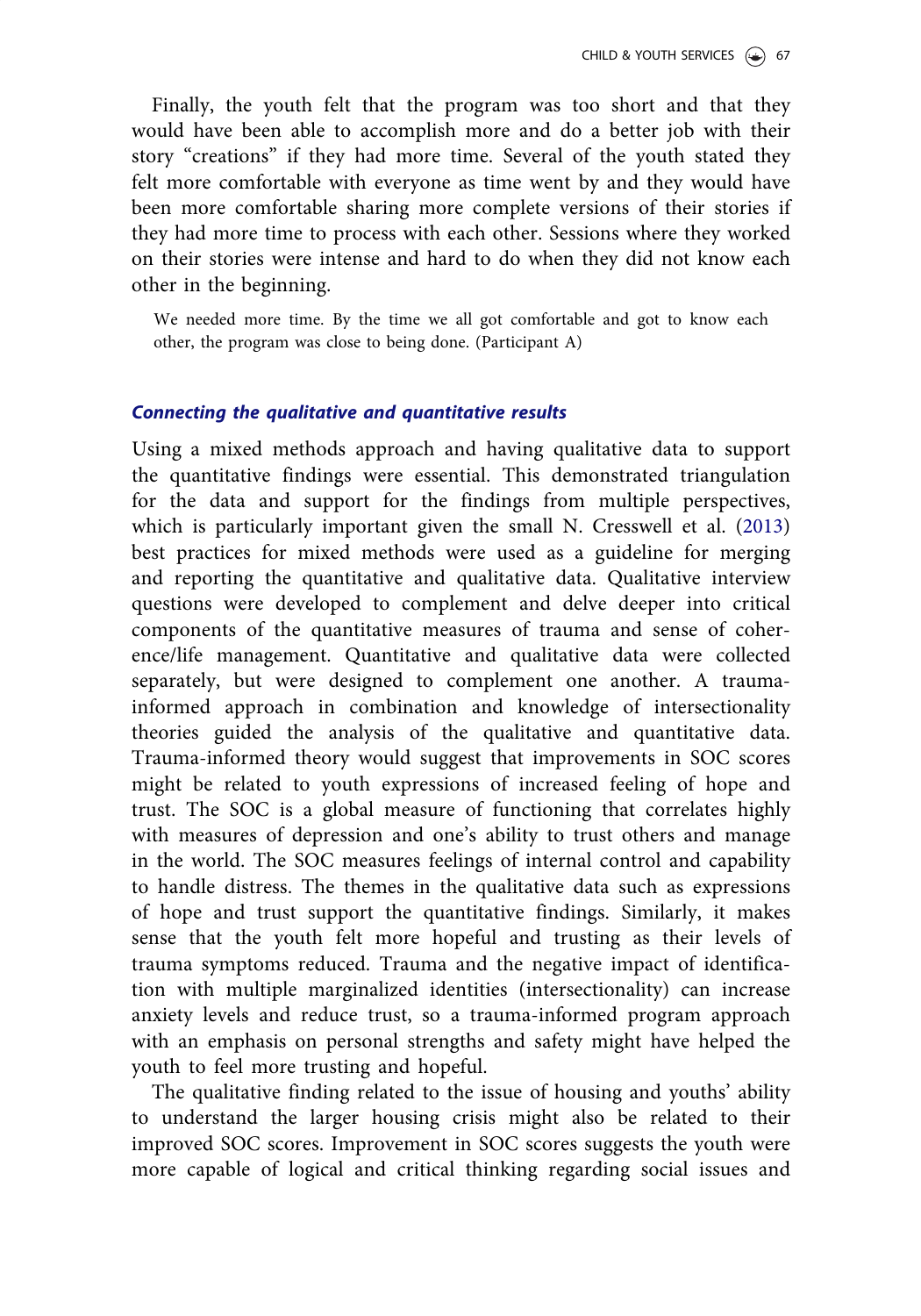Finally, the youth felt that the program was too short and that they would have been able to accomplish more and do a better job with their story "creations" if they had more time. Several of the youth stated they felt more comfortable with everyone as time went by and they would have been more comfortable sharing more complete versions of their stories if they had more time to process with each other. Sessions where they worked on their stories were intense and hard to do when they did not know each other in the beginning.

We needed more time. By the time we all got comfortable and got to know each other, the program was close to being done. (Participant A)

#### Connecting the qualitative and quantitative results

Using a mixed methods approach and having qualitative data to support the quantitative findings were essential. This demonstrated triangulation for the data and support for the findings from multiple perspectives, which is particularly important given the small N. Cresswell et al. [\(2013\)](#page-34-0) best practices for mixed methods were used as a guideline for merging and reporting the quantitative and qualitative data. Qualitative interview questions were developed to complement and delve deeper into critical components of the quantitative measures of trauma and sense of coherence/life management. Quantitative and qualitative data were collected separately, but were designed to complement one another. A traumainformed approach in combination and knowledge of intersectionality theories guided the analysis of the qualitative and quantitative data. Trauma-informed theory would suggest that improvements in SOC scores might be related to youth expressions of increased feeling of hope and trust. The SOC is a global measure of functioning that correlates highly with measures of depression and one's ability to trust others and manage in the world. The SOC measures feelings of internal control and capability to handle distress. The themes in the qualitative data such as expressions of hope and trust support the quantitative findings. Similarly, it makes sense that the youth felt more hopeful and trusting as their levels of trauma symptoms reduced. Trauma and the negative impact of identification with multiple marginalized identities (intersectionality) can increase anxiety levels and reduce trust, so a trauma-informed program approach with an emphasis on personal strengths and safety might have helped the youth to feel more trusting and hopeful.

The qualitative finding related to the issue of housing and youths' ability to understand the larger housing crisis might also be related to their improved SOC scores. Improvement in SOC scores suggests the youth were more capable of logical and critical thinking regarding social issues and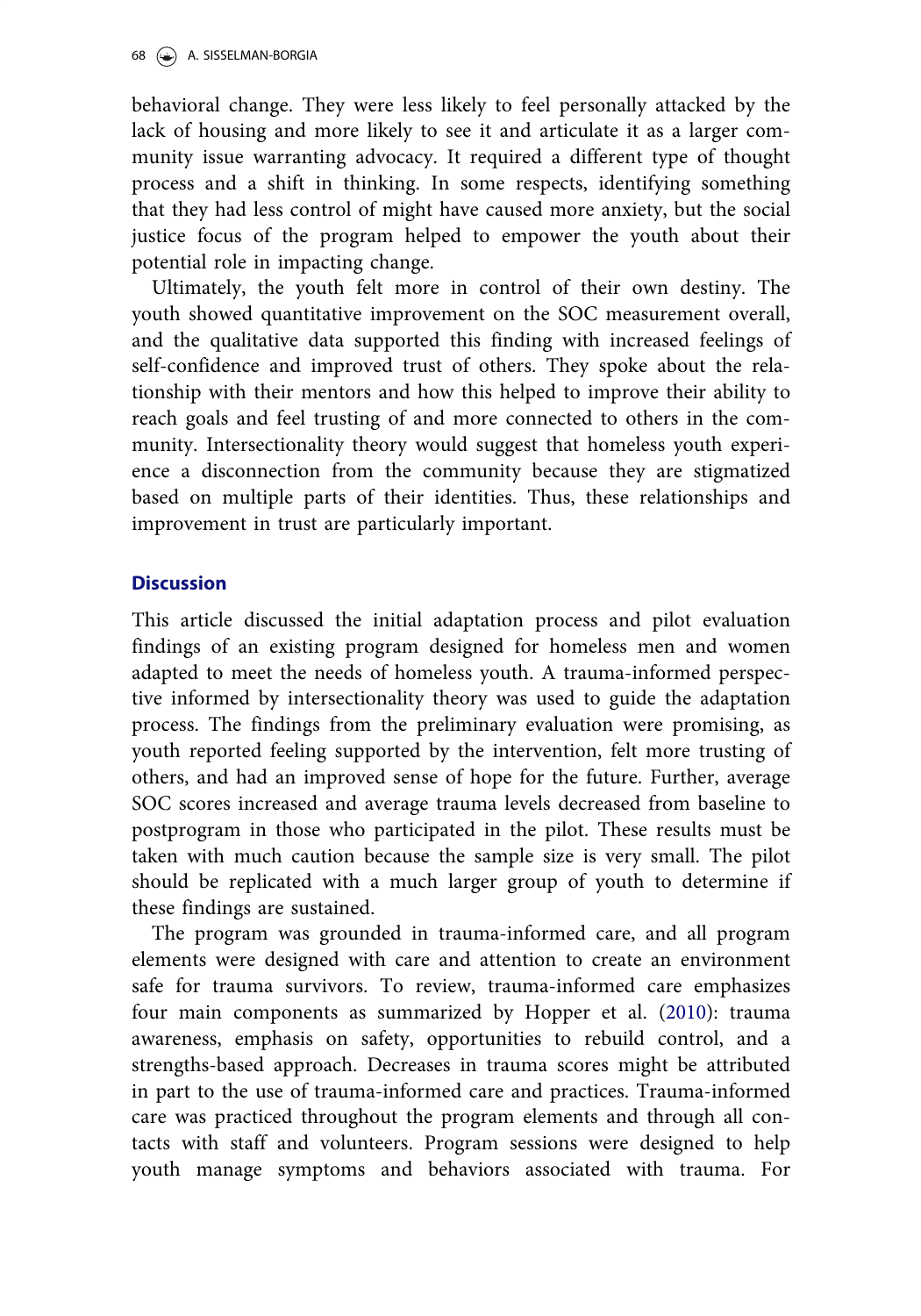behavioral change. They were less likely to feel personally attacked by the lack of housing and more likely to see it and articulate it as a larger community issue warranting advocacy. It required a different type of thought process and a shift in thinking. In some respects, identifying something that they had less control of might have caused more anxiety, but the social justice focus of the program helped to empower the youth about their potential role in impacting change.

Ultimately, the youth felt more in control of their own destiny. The youth showed quantitative improvement on the SOC measurement overall, and the qualitative data supported this finding with increased feelings of self-confidence and improved trust of others. They spoke about the relationship with their mentors and how this helped to improve their ability to reach goals and feel trusting of and more connected to others in the community. Intersectionality theory would suggest that homeless youth experience a disconnection from the community because they are stigmatized based on multiple parts of their identities. Thus, these relationships and improvement in trust are particularly important.

# **Discussion**

This article discussed the initial adaptation process and pilot evaluation findings of an existing program designed for homeless men and women adapted to meet the needs of homeless youth. A trauma-informed perspective informed by intersectionality theory was used to guide the adaptation process. The findings from the preliminary evaluation were promising, as youth reported feeling supported by the intervention, felt more trusting of others, and had an improved sense of hope for the future. Further, average SOC scores increased and average trauma levels decreased from baseline to postprogram in those who participated in the pilot. These results must be taken with much caution because the sample size is very small. The pilot should be replicated with a much larger group of youth to determine if these findings are sustained.

The program was grounded in trauma-informed care, and all program elements were designed with care and attention to create an environment safe for trauma survivors. To review, trauma-informed care emphasizes four main components as summarized by Hopper et al. [\(2010](#page-35-0)): trauma awareness, emphasis on safety, opportunities to rebuild control, and a strengths-based approach. Decreases in trauma scores might be attributed in part to the use of trauma-informed care and practices. Trauma-informed care was practiced throughout the program elements and through all contacts with staff and volunteers. Program sessions were designed to help youth manage symptoms and behaviors associated with trauma. For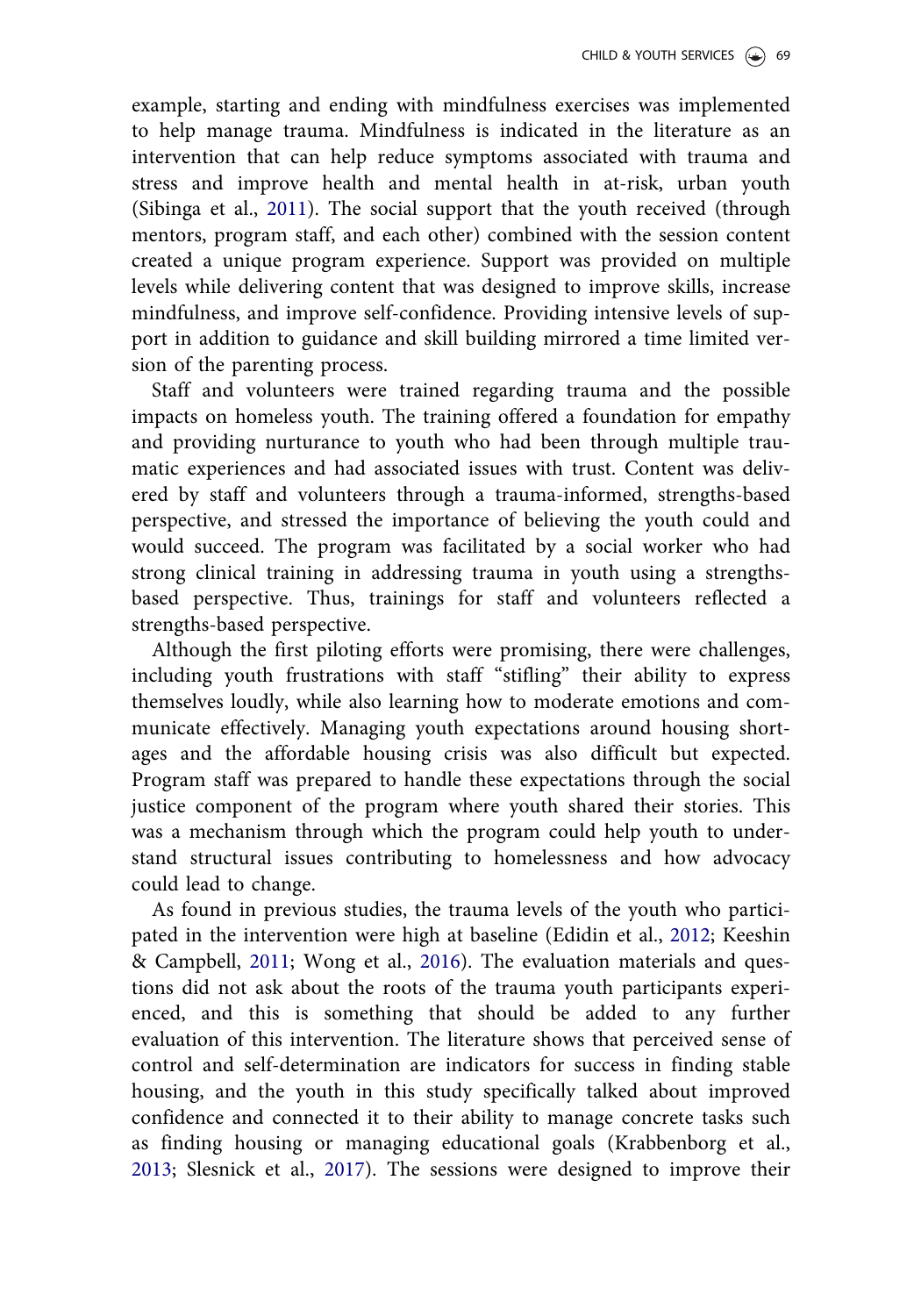<span id="page-27-0"></span>example, starting and ending with mindfulness exercises was implemented to help manage trauma. Mindfulness is indicated in the literature as an intervention that can help reduce symptoms associated with trauma and stress and improve health and mental health in at-risk, urban youth (Sibinga et al., [2011](#page-37-0)). The social support that the youth received (through mentors, program staff, and each other) combined with the session content created a unique program experience. Support was provided on multiple levels while delivering content that was designed to improve skills, increase mindfulness, and improve self-confidence. Providing intensive levels of support in addition to guidance and skill building mirrored a time limited version of the parenting process.

Staff and volunteers were trained regarding trauma and the possible impacts on homeless youth. The training offered a foundation for empathy and providing nurturance to youth who had been through multiple traumatic experiences and had associated issues with trust. Content was delivered by staff and volunteers through a trauma-informed, strengths-based perspective, and stressed the importance of believing the youth could and would succeed. The program was facilitated by a social worker who had strong clinical training in addressing trauma in youth using a strengthsbased perspective. Thus, trainings for staff and volunteers reflected a strengths-based perspective.

Although the first piloting efforts were promising, there were challenges, including youth frustrations with staff "stifling" their ability to express themselves loudly, while also learning how to moderate emotions and communicate effectively. Managing youth expectations around housing shortages and the affordable housing crisis was also difficult but expected. Program staff was prepared to handle these expectations through the social justice component of the program where youth shared their stories. This was a mechanism through which the program could help youth to understand structural issues contributing to homelessness and how advocacy could lead to change.

As found in previous studies, the trauma levels of the youth who participated in the intervention were high at baseline (Edidin et al., [2012;](#page-35-0) Keeshin & Campbell, [2011;](#page-35-0) Wong et al., [2016\)](#page-37-0). The evaluation materials and questions did not ask about the roots of the trauma youth participants experienced, and this is something that should be added to any further evaluation of this intervention. The literature shows that perceived sense of control and self-determination are indicators for success in finding stable housing, and the youth in this study specifically talked about improved confidence and connected it to their ability to manage concrete tasks such as finding housing or managing educational goals (Krabbenborg et al., [2013](#page-36-0); Slesnick et al., [2017\)](#page-37-0). The sessions were designed to improve their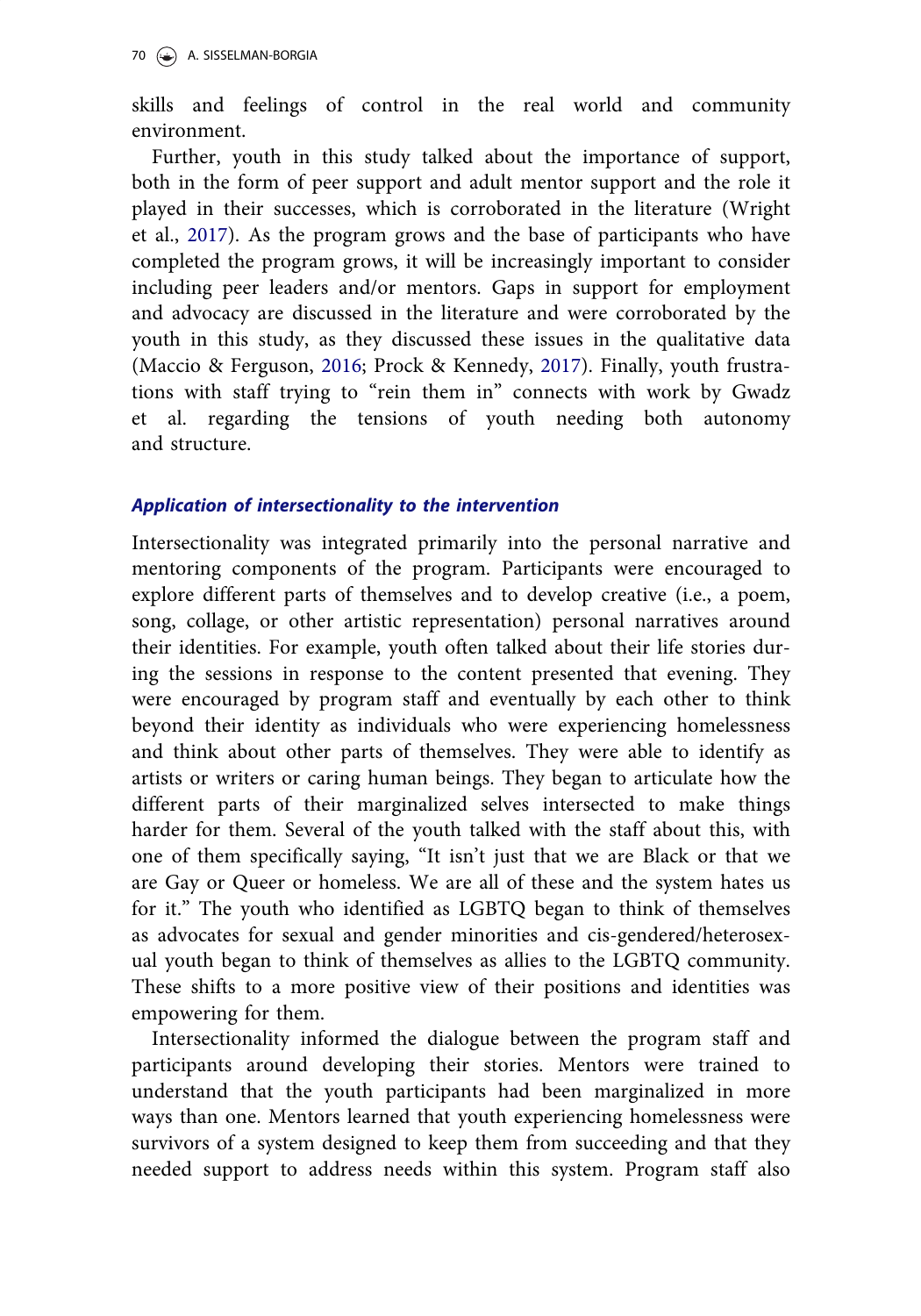skills and feelings of control in the real world and community environment.

Further, youth in this study talked about the importance of support, both in the form of peer support and adult mentor support and the role it played in their successes, which is corroborated in the literature (Wright et al., [2017\)](#page-37-0). As the program grows and the base of participants who have completed the program grows, it will be increasingly important to consider including peer leaders and/or mentors. Gaps in support for employment and advocacy are discussed in the literature and were corroborated by the youth in this study, as they discussed these issues in the qualitative data (Maccio & Ferguson, [2016;](#page-36-0) Prock & Kennedy, [2017\)](#page-36-0). Finally, youth frustrations with staff trying to "rein them in" connects with work by Gwadz et al. regarding the tensions of youth needing both autonomy and structure.

#### Application of intersectionality to the intervention

Intersectionality was integrated primarily into the personal narrative and mentoring components of the program. Participants were encouraged to explore different parts of themselves and to develop creative (i.e., a poem, song, collage, or other artistic representation) personal narratives around their identities. For example, youth often talked about their life stories during the sessions in response to the content presented that evening. They were encouraged by program staff and eventually by each other to think beyond their identity as individuals who were experiencing homelessness and think about other parts of themselves. They were able to identify as artists or writers or caring human beings. They began to articulate how the different parts of their marginalized selves intersected to make things harder for them. Several of the youth talked with the staff about this, with one of them specifically saying, "It isn't just that we are Black or that we are Gay or Queer or homeless. We are all of these and the system hates us for it." The youth who identified as LGBTQ began to think of themselves as advocates for sexual and gender minorities and cis-gendered/heterosexual youth began to think of themselves as allies to the LGBTQ community. These shifts to a more positive view of their positions and identities was empowering for them.

Intersectionality informed the dialogue between the program staff and participants around developing their stories. Mentors were trained to understand that the youth participants had been marginalized in more ways than one. Mentors learned that youth experiencing homelessness were survivors of a system designed to keep them from succeeding and that they needed support to address needs within this system. Program staff also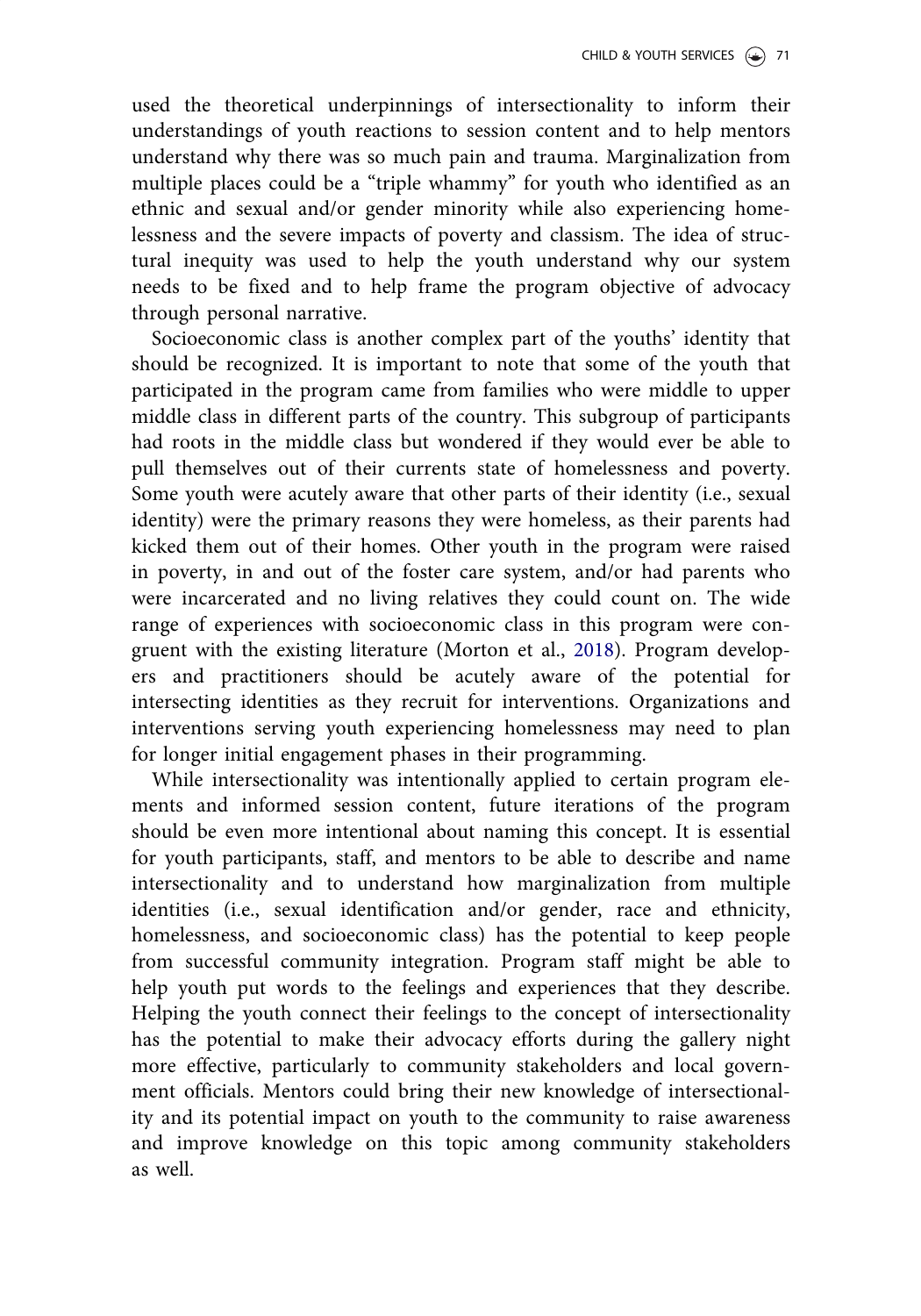used the theoretical underpinnings of intersectionality to inform their understandings of youth reactions to session content and to help mentors understand why there was so much pain and trauma. Marginalization from multiple places could be a "triple whammy" for youth who identified as an ethnic and sexual and/or gender minority while also experiencing homelessness and the severe impacts of poverty and classism. The idea of structural inequity was used to help the youth understand why our system needs to be fixed and to help frame the program objective of advocacy through personal narrative.

Socioeconomic class is another complex part of the youths' identity that should be recognized. It is important to note that some of the youth that participated in the program came from families who were middle to upper middle class in different parts of the country. This subgroup of participants had roots in the middle class but wondered if they would ever be able to pull themselves out of their currents state of homelessness and poverty. Some youth were acutely aware that other parts of their identity (i.e., sexual identity) were the primary reasons they were homeless, as their parents had kicked them out of their homes. Other youth in the program were raised in poverty, in and out of the foster care system, and/or had parents who were incarcerated and no living relatives they could count on. The wide range of experiences with socioeconomic class in this program were congruent with the existing literature (Morton et al., [2018](#page-36-0)). Program developers and practitioners should be acutely aware of the potential for intersecting identities as they recruit for interventions. Organizations and interventions serving youth experiencing homelessness may need to plan for longer initial engagement phases in their programming.

While intersectionality was intentionally applied to certain program elements and informed session content, future iterations of the program should be even more intentional about naming this concept. It is essential for youth participants, staff, and mentors to be able to describe and name intersectionality and to understand how marginalization from multiple identities (i.e., sexual identification and/or gender, race and ethnicity, homelessness, and socioeconomic class) has the potential to keep people from successful community integration. Program staff might be able to help youth put words to the feelings and experiences that they describe. Helping the youth connect their feelings to the concept of intersectionality has the potential to make their advocacy efforts during the gallery night more effective, particularly to community stakeholders and local government officials. Mentors could bring their new knowledge of intersectionality and its potential impact on youth to the community to raise awareness and improve knowledge on this topic among community stakeholders as well.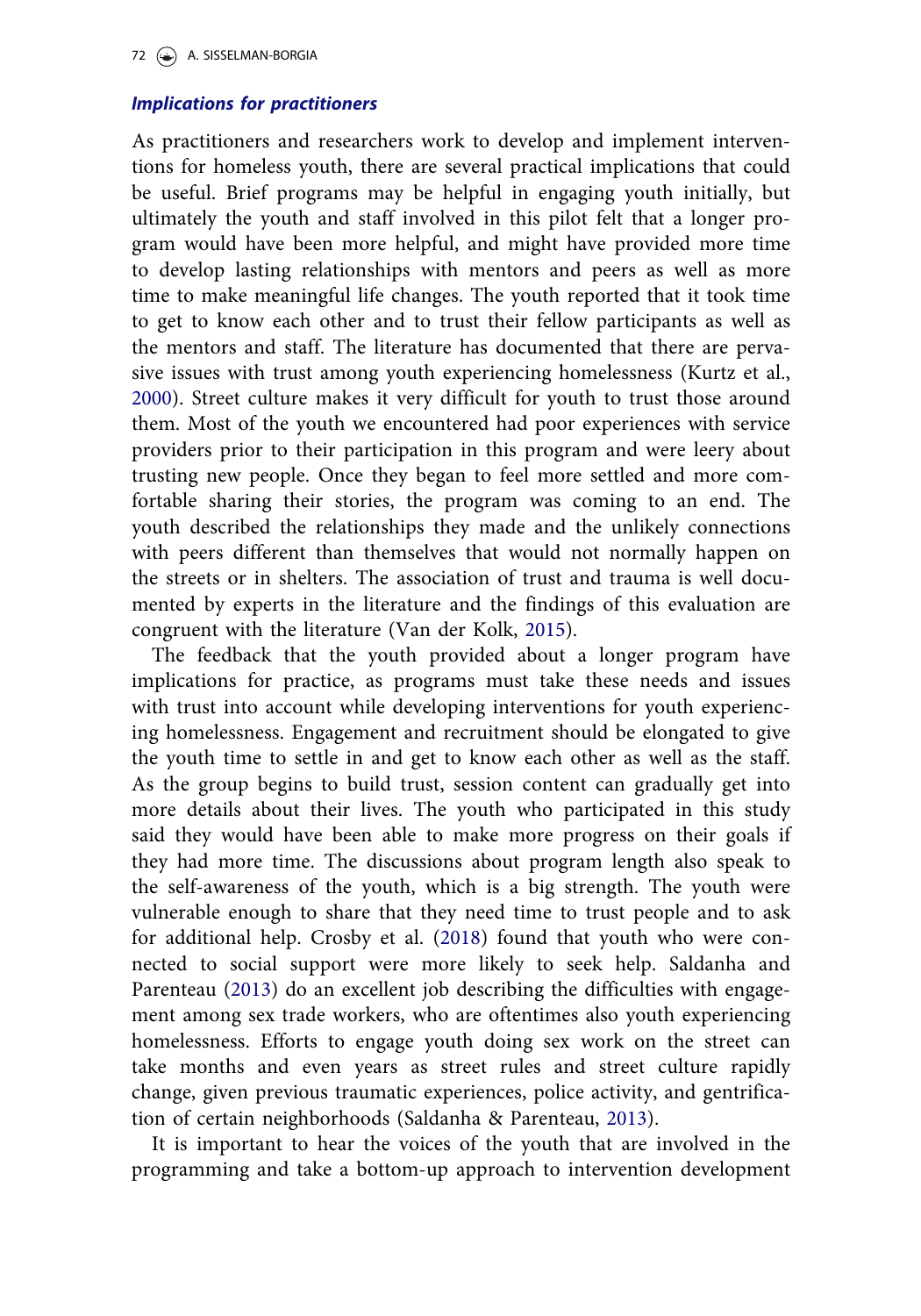# <span id="page-30-0"></span>Implications for practitioners

As practitioners and researchers work to develop and implement interventions for homeless youth, there are several practical implications that could be useful. Brief programs may be helpful in engaging youth initially, but ultimately the youth and staff involved in this pilot felt that a longer program would have been more helpful, and might have provided more time to develop lasting relationships with mentors and peers as well as more time to make meaningful life changes. The youth reported that it took time to get to know each other and to trust their fellow participants as well as the mentors and staff. The literature has documented that there are pervasive issues with trust among youth experiencing homelessness (Kurtz et al., [2000](#page-36-0)). Street culture makes it very difficult for youth to trust those around them. Most of the youth we encountered had poor experiences with service providers prior to their participation in this program and were leery about trusting new people. Once they began to feel more settled and more comfortable sharing their stories, the program was coming to an end. The youth described the relationships they made and the unlikely connections with peers different than themselves that would not normally happen on the streets or in shelters. The association of trust and trauma is well documented by experts in the literature and the findings of this evaluation are congruent with the literature (Van der Kolk, [2015](#page-37-0)).

The feedback that the youth provided about a longer program have implications for practice, as programs must take these needs and issues with trust into account while developing interventions for youth experiencing homelessness. Engagement and recruitment should be elongated to give the youth time to settle in and get to know each other as well as the staff. As the group begins to build trust, session content can gradually get into more details about their lives. The youth who participated in this study said they would have been able to make more progress on their goals if they had more time. The discussions about program length also speak to the self-awareness of the youth, which is a big strength. The youth were vulnerable enough to share that they need time to trust people and to ask for additional help. Crosby et al. ([2018](#page-35-0)) found that youth who were connected to social support were more likely to seek help. Saldanha and Parenteau [\(2013](#page-36-0)) do an excellent job describing the difficulties with engagement among sex trade workers, who are oftentimes also youth experiencing homelessness. Efforts to engage youth doing sex work on the street can take months and even years as street rules and street culture rapidly change, given previous traumatic experiences, police activity, and gentrification of certain neighborhoods (Saldanha & Parenteau, [2013](#page-36-0)).

It is important to hear the voices of the youth that are involved in the programming and take a bottom-up approach to intervention development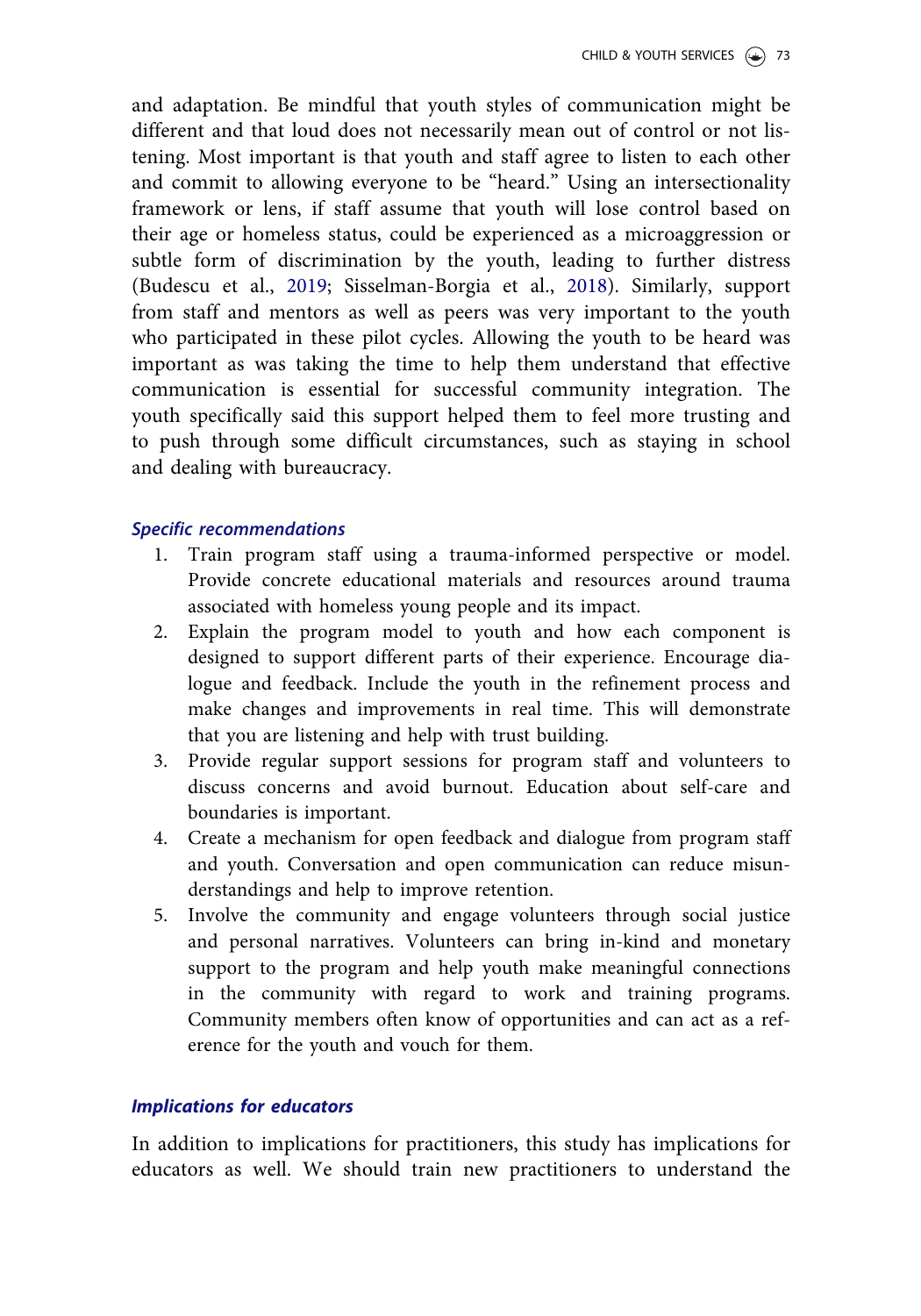and adaptation. Be mindful that youth styles of communication might be different and that loud does not necessarily mean out of control or not listening. Most important is that youth and staff agree to listen to each other and commit to allowing everyone to be "heard." Using an intersectionality framework or lens, if staff assume that youth will lose control based on their age or homeless status, could be experienced as a microaggression or subtle form of discrimination by the youth, leading to further distress (Budescu et al., [2019;](#page-34-0) Sisselman-Borgia et al., [2018](#page-37-0)). Similarly, support from staff and mentors as well as peers was very important to the youth who participated in these pilot cycles. Allowing the youth to be heard was important as was taking the time to help them understand that effective communication is essential for successful community integration. The youth specifically said this support helped them to feel more trusting and to push through some difficult circumstances, such as staying in school and dealing with bureaucracy.

#### Specific recommendations

- 1. Train program staff using a trauma-informed perspective or model. Provide concrete educational materials and resources around trauma associated with homeless young people and its impact.
- 2. Explain the program model to youth and how each component is designed to support different parts of their experience. Encourage dialogue and feedback. Include the youth in the refinement process and make changes and improvements in real time. This will demonstrate that you are listening and help with trust building.
- 3. Provide regular support sessions for program staff and volunteers to discuss concerns and avoid burnout. Education about self-care and boundaries is important.
- 4. Create a mechanism for open feedback and dialogue from program staff and youth. Conversation and open communication can reduce misunderstandings and help to improve retention.
- 5. Involve the community and engage volunteers through social justice and personal narratives. Volunteers can bring in-kind and monetary support to the program and help youth make meaningful connections in the community with regard to work and training programs. Community members often know of opportunities and can act as a reference for the youth and vouch for them.

## Implications for educators

In addition to implications for practitioners, this study has implications for educators as well. We should train new practitioners to understand the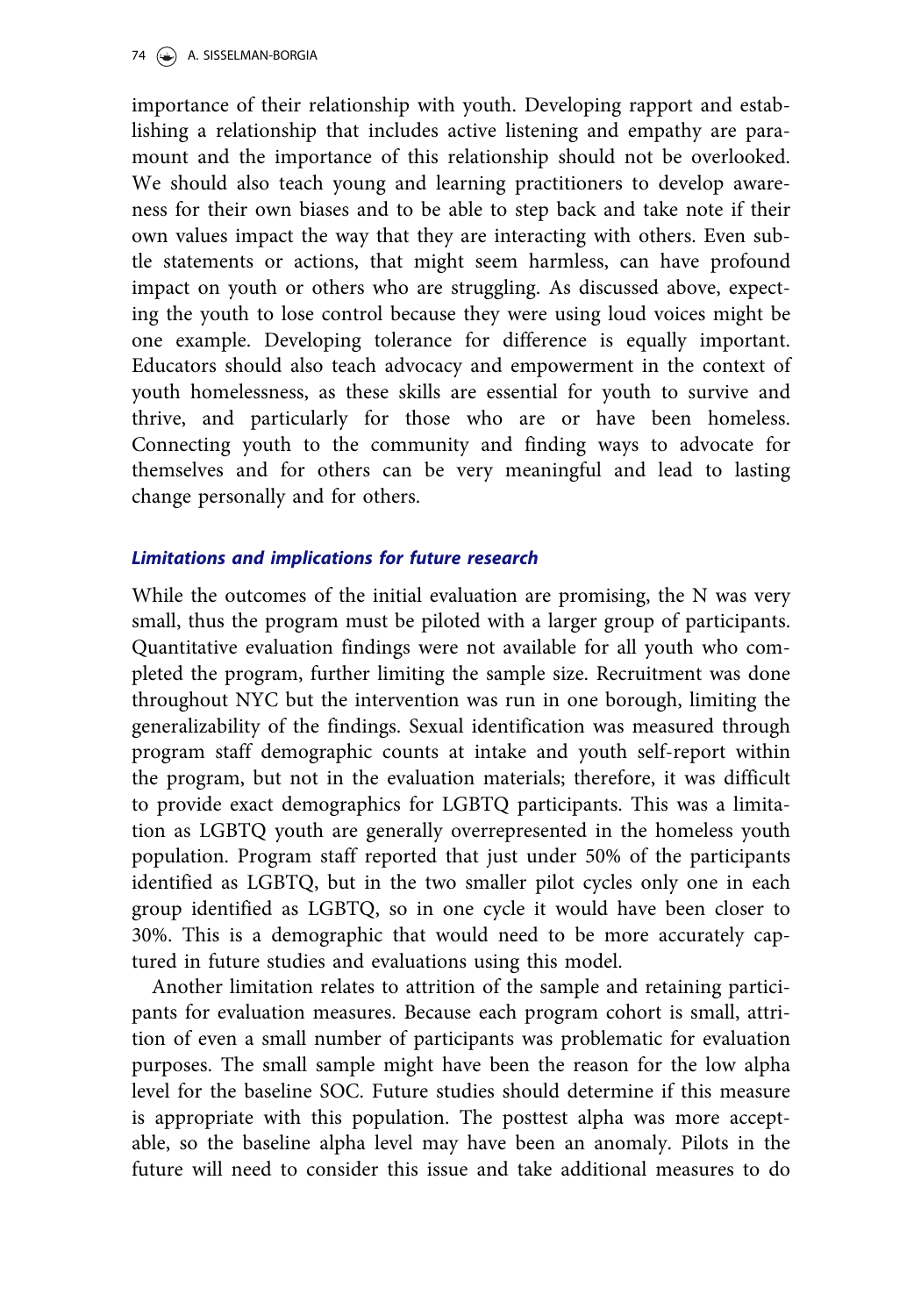importance of their relationship with youth. Developing rapport and establishing a relationship that includes active listening and empathy are paramount and the importance of this relationship should not be overlooked. We should also teach young and learning practitioners to develop awareness for their own biases and to be able to step back and take note if their own values impact the way that they are interacting with others. Even subtle statements or actions, that might seem harmless, can have profound impact on youth or others who are struggling. As discussed above, expecting the youth to lose control because they were using loud voices might be one example. Developing tolerance for difference is equally important. Educators should also teach advocacy and empowerment in the context of youth homelessness, as these skills are essential for youth to survive and thrive, and particularly for those who are or have been homeless. Connecting youth to the community and finding ways to advocate for themselves and for others can be very meaningful and lead to lasting change personally and for others.

# Limitations and implications for future research

While the outcomes of the initial evaluation are promising, the N was very small, thus the program must be piloted with a larger group of participants. Quantitative evaluation findings were not available for all youth who completed the program, further limiting the sample size. Recruitment was done throughout NYC but the intervention was run in one borough, limiting the generalizability of the findings. Sexual identification was measured through program staff demographic counts at intake and youth self-report within the program, but not in the evaluation materials; therefore, it was difficult to provide exact demographics for LGBTQ participants. This was a limitation as LGBTQ youth are generally overrepresented in the homeless youth population. Program staff reported that just under 50% of the participants identified as LGBTQ, but in the two smaller pilot cycles only one in each group identified as LGBTQ, so in one cycle it would have been closer to 30%. This is a demographic that would need to be more accurately captured in future studies and evaluations using this model.

Another limitation relates to attrition of the sample and retaining participants for evaluation measures. Because each program cohort is small, attrition of even a small number of participants was problematic for evaluation purposes. The small sample might have been the reason for the low alpha level for the baseline SOC. Future studies should determine if this measure is appropriate with this population. The posttest alpha was more acceptable, so the baseline alpha level may have been an anomaly. Pilots in the future will need to consider this issue and take additional measures to do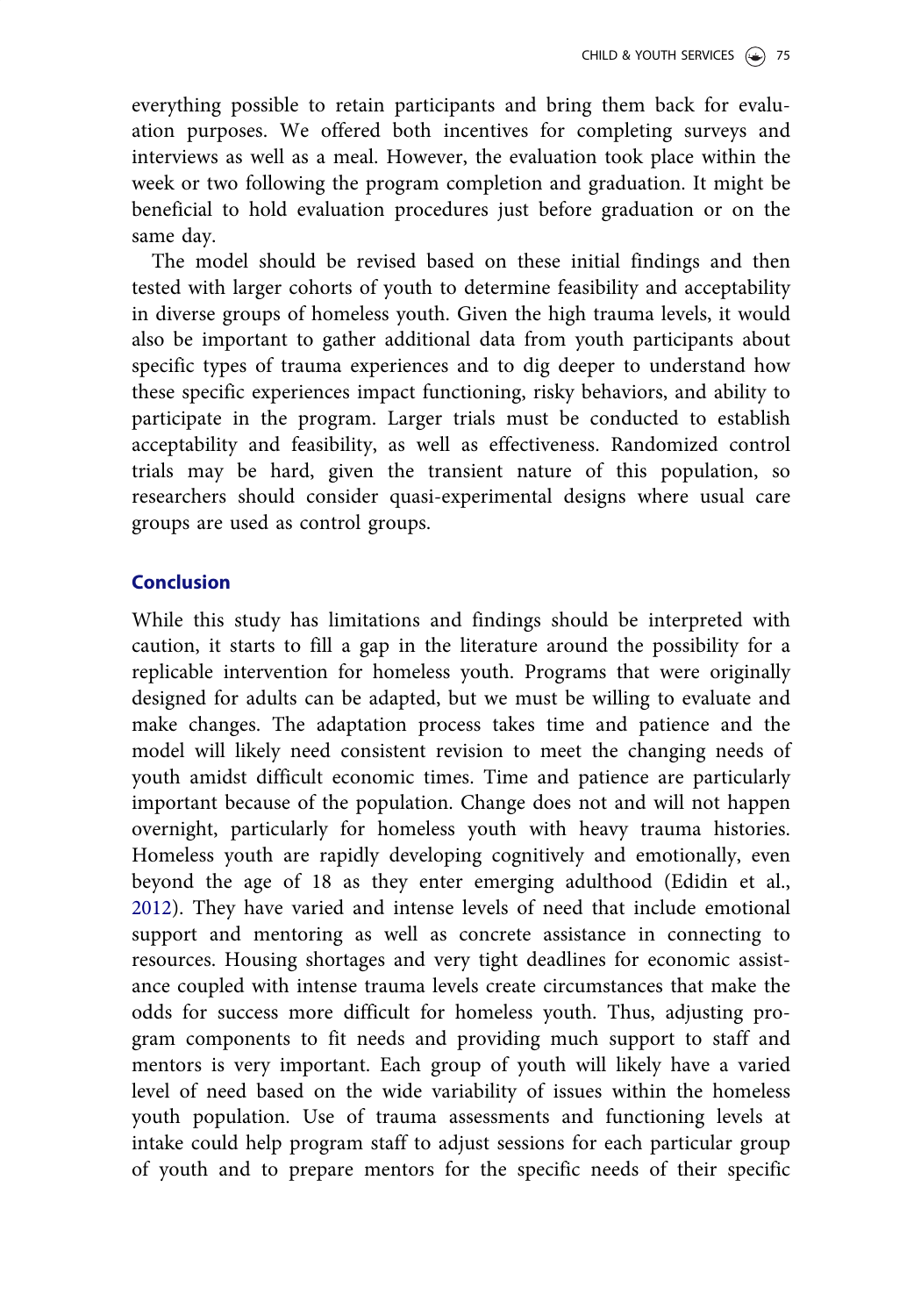everything possible to retain participants and bring them back for evaluation purposes. We offered both incentives for completing surveys and interviews as well as a meal. However, the evaluation took place within the week or two following the program completion and graduation. It might be beneficial to hold evaluation procedures just before graduation or on the same day.

The model should be revised based on these initial findings and then tested with larger cohorts of youth to determine feasibility and acceptability in diverse groups of homeless youth. Given the high trauma levels, it would also be important to gather additional data from youth participants about specific types of trauma experiences and to dig deeper to understand how these specific experiences impact functioning, risky behaviors, and ability to participate in the program. Larger trials must be conducted to establish acceptability and feasibility, as well as effectiveness. Randomized control trials may be hard, given the transient nature of this population, so researchers should consider quasi-experimental designs where usual care groups are used as control groups.

## Conclusion

While this study has limitations and findings should be interpreted with caution, it starts to fill a gap in the literature around the possibility for a replicable intervention for homeless youth. Programs that were originally designed for adults can be adapted, but we must be willing to evaluate and make changes. The adaptation process takes time and patience and the model will likely need consistent revision to meet the changing needs of youth amidst difficult economic times. Time and patience are particularly important because of the population. Change does not and will not happen overnight, particularly for homeless youth with heavy trauma histories. Homeless youth are rapidly developing cognitively and emotionally, even beyond the age of 18 as they enter emerging adulthood (Edidin et al., [2012](#page-35-0)). They have varied and intense levels of need that include emotional support and mentoring as well as concrete assistance in connecting to resources. Housing shortages and very tight deadlines for economic assistance coupled with intense trauma levels create circumstances that make the odds for success more difficult for homeless youth. Thus, adjusting program components to fit needs and providing much support to staff and mentors is very important. Each group of youth will likely have a varied level of need based on the wide variability of issues within the homeless youth population. Use of trauma assessments and functioning levels at intake could help program staff to adjust sessions for each particular group of youth and to prepare mentors for the specific needs of their specific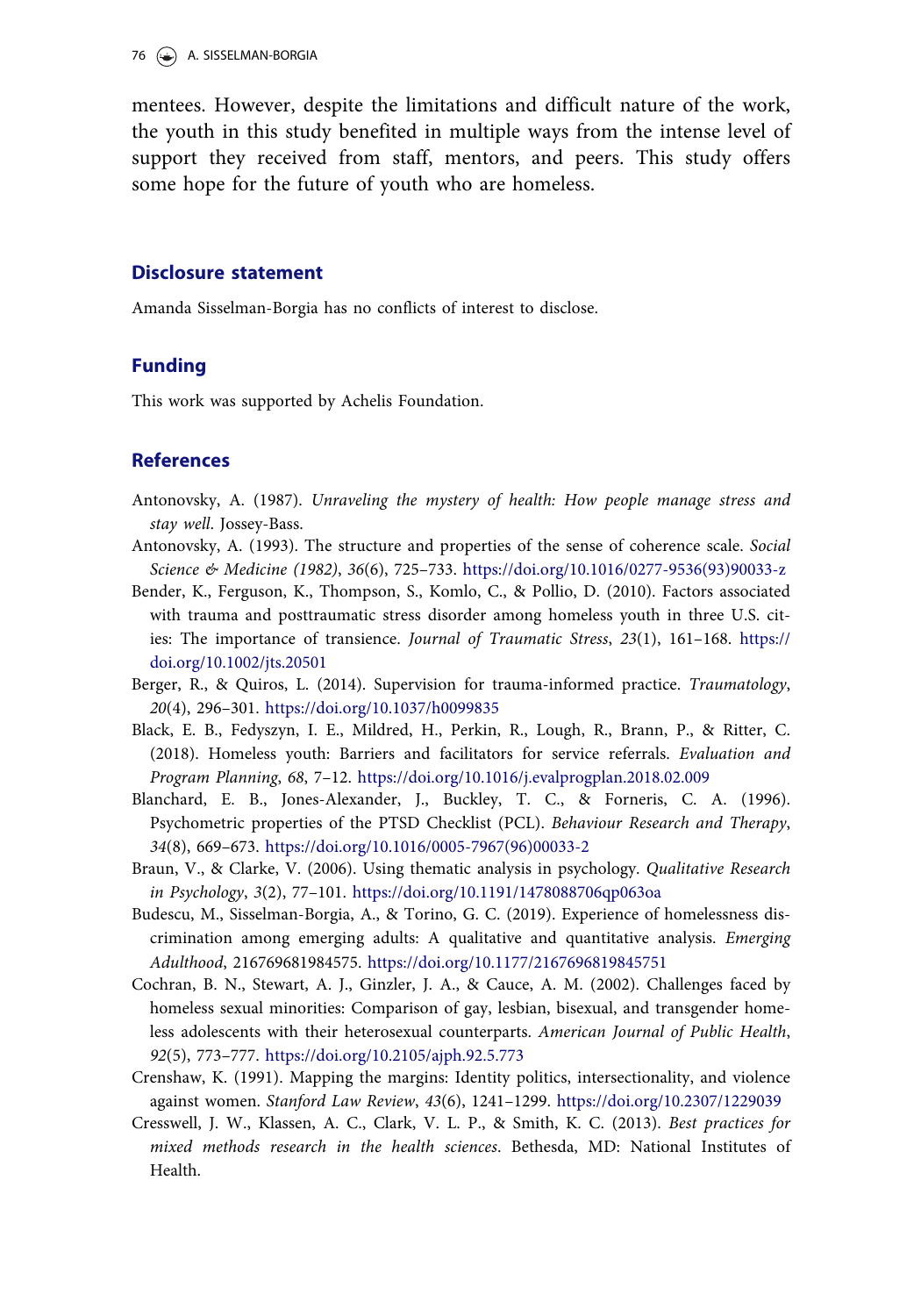<span id="page-34-0"></span>mentees. However, despite the limitations and difficult nature of the work, the youth in this study benefited in multiple ways from the intense level of support they received from staff, mentors, and peers. This study offers some hope for the future of youth who are homeless.

#### Disclosure statement

Amanda Sisselman-Borgia has no conflicts of interest to disclose.

#### Funding

This work was supported by Achelis Foundation.

#### References

- Antonovsky, A. ([1987](#page-19-0)). Unraveling the mystery of health: How people manage stress and stay well. Jossey-Bass.
- Antonovsky, A. ([1993\)](#page-18-0). The structure and properties of the sense of coherence scale. Social Science & Medicine (1982), 36(6), 725–733. [https://doi.org/10.1016/0277-9536\(93\)90033-z](https://doi.org/10.1016/0277-9536(93)90033-z)
- Bender, K., Ferguson, K., Thompson, S., Komlo, C., & Pollio, D. [\(2010](#page-2-0)). Factors associated with trauma and posttraumatic stress disorder among homeless youth in three U.S. cities: The importance of transience. Journal of Traumatic Stress, 23(1), 161–168. [https://](https://doi.org/10.1002/jts.20501) [doi.org/10.1002/jts.20501](https://doi.org/10.1002/jts.20501)
- Berger, R., & Quiros, L. ([2014\)](#page-3-0). Supervision for trauma-informed practice. Traumatology, 20(4), 296–301. <https://doi.org/10.1037/h0099835>
- Black, E. B., Fedyszyn, I. E., Mildred, H., Perkin, R., Lough, R., Brann, P., & Ritter, C. [\(2018\)](#page-3-0). Homeless youth: Barriers and facilitators for service referrals. Evaluation and Program Planning, 68, 7–12. <https://doi.org/10.1016/j.evalprogplan.2018.02.009>
- Blanchard, E. B., Jones-Alexander, J., Buckley, T. C., & Forneris, C. A. ([1996](#page-19-0)). Psychometric properties of the PTSD Checklist (PCL). Behaviour Research and Therapy, 34(8), 669–673. [https://doi.org/10.1016/0005-7967\(96\)00033-2](https://doi.org/10.1016/0005-7967(96)00033-2)
- Braun, V., & Clarke, V. [\(2006\)](#page-21-0). Using thematic analysis in psychology. Qualitative Research in Psychology, 3(2), 77–101. <https://doi.org/10.1191/1478088706qp063oa>
- Budescu, M., Sisselman-Borgia, A., & Torino, G. C. [\(2019\)](#page-3-0). Experience of homelessness discrimination among emerging adults: A qualitative and quantitative analysis. Emerging Adulthood, 216769681984575. <https://doi.org/10.1177/2167696819845751>
- Cochran, B. N., Stewart, A. J., Ginzler, J. A., & Cauce, A. M. [\(2002\)](#page-3-0). Challenges faced by homeless sexual minorities: Comparison of gay, lesbian, bisexual, and transgender homeless adolescents with their heterosexual counterparts. American Journal of Public Health, 92(5), 773–777. <https://doi.org/10.2105/ajph.92.5.773>
- Crenshaw, K. [\(1991](#page-2-0)). Mapping the margins: Identity politics, intersectionality, and violence against women. Stanford Law Review, 43(6), 1241–1299. <https://doi.org/10.2307/1229039>
- Cresswell, J. W., Klassen, A. C., Clark, V. L. P., & Smith, K. C. [\(2013](#page-16-0)). Best practices for mixed methods research in the health sciences. Bethesda, MD: National Institutes of Health.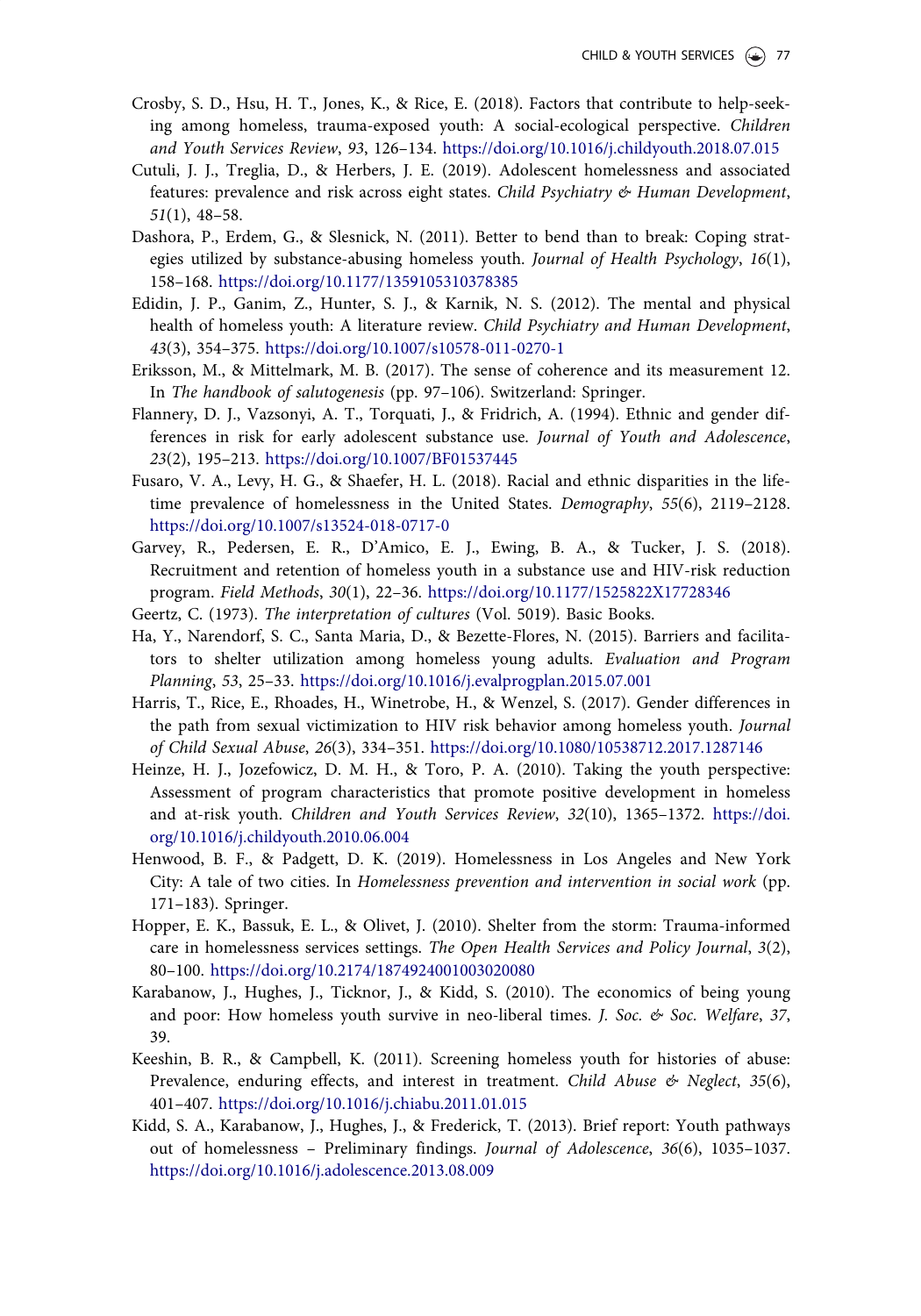- <span id="page-35-0"></span>Crosby, S. D., Hsu, H. T., Jones, K., & Rice, E. ([2018\)](#page-30-0). Factors that contribute to help-seeking among homeless, trauma-exposed youth: A social-ecological perspective. Children and Youth Services Review, 93, 126–134. <https://doi.org/10.1016/j.childyouth.2018.07.015>
- Cutuli, J. J., Treglia, D., & Herbers, J. E. [\(2019](#page-1-0)). Adolescent homelessness and associated features: prevalence and risk across eight states. Child Psychiatry & Human Development, 51(1), 48–58.
- Dashora, P., Erdem, G., & Slesnick, N. ([2011](#page-11-0)). Better to bend than to break: Coping strategies utilized by substance-abusing homeless youth. Journal of Health Psychology, 16(1), 158–168. <https://doi.org/10.1177/1359105310378385>
- Edidin, J. P., Ganim, Z., Hunter, S. J., & Karnik, N. S. ([2012\)](#page-3-0). The mental and physical health of homeless youth: A literature review. Child Psychiatry and Human Development, 43(3), 354–375. <https://doi.org/10.1007/s10578-011-0270-1>
- Eriksson, M., & Mittelmark, M. B. [\(2017](#page-19-0)). The sense of coherence and its measurement 12. In The handbook of salutogenesis (pp. 97–106). Switzerland: Springer.
- Flannery, D. J., Vazsonyi, A. T., Torquati, J., & Fridrich, A. [\(1994\)](#page-19-0). Ethnic and gender differences in risk for early adolescent substance use. Journal of Youth and Adolescence, 23(2), 195–213. <https://doi.org/10.1007/BF01537445>
- Fusaro, V. A., Levy, H. G., & Shaefer, H. L. [\(2018\)](#page-1-0). Racial and ethnic disparities in the lifetime prevalence of homelessness in the United States. Demography, 55(6), 2119–2128. <https://doi.org/10.1007/s13524-018-0717-0>
- Garvey, R., Pedersen, E. R., D'Amico, E. J., Ewing, B. A., & Tucker, J. S. ([2018](#page-12-0)). Recruitment and retention of homeless youth in a substance use and HIV-risk reduction program. Field Methods, 30(1), 22–36. <https://doi.org/10.1177/1525822X17728346>
- Geertz, C. ([1973\)](#page-21-0). The interpretation of cultures (Vol. 5019). Basic Books.
- Ha, Y., Narendorf, S. C., Santa Maria, D., & Bezette-Flores, N. [\(2015](#page-5-0)). Barriers and facilitators to shelter utilization among homeless young adults. Evaluation and Program Planning, 53, 25–33. <https://doi.org/10.1016/j.evalprogplan.2015.07.001>
- Harris, T., Rice, E., Rhoades, H., Winetrobe, H., & Wenzel, S. [\(2017\)](#page-4-0). Gender differences in the path from sexual victimization to HIV risk behavior among homeless youth. Journal of Child Sexual Abuse, 26(3), 334–351. <https://doi.org/10.1080/10538712.2017.1287146>
- Heinze, H. J., Jozefowicz, D. M. H., & Toro, P. A. ([2010](#page-6-0)). Taking the youth perspective: Assessment of program characteristics that promote positive development in homeless and at-risk youth. Children and Youth Services Review, 32(10), 1365–1372. [https://doi.](https://doi.org/10.1016/j.childyouth.2010.06.004) [org/10.1016/j.childyouth.2010.06.004](https://doi.org/10.1016/j.childyouth.2010.06.004)
- Henwood, B. F., & Padgett, D. K. [\(2019\)](#page-5-0). Homelessness in Los Angeles and New York City: A tale of two cities. In Homelessness prevention and intervention in social work (pp. 171–183). Springer.
- Hopper, E. K., Bassuk, E. L., & Olivet, J. ([2010\)](#page-2-0). Shelter from the storm: Trauma-informed care in homelessness services settings. The Open Health Services and Policy Journal, 3(2), 80–100. <https://doi.org/10.2174/1874924001003020080>
- Karabanow, J., Hughes, J., Ticknor, J., & Kidd, S. ([2010](#page-10-0)). The economics of being young and poor: How homeless youth survive in neo-liberal times. J. Soc.  $\&$  Soc. Welfare, 37, 39.
- Keeshin, B. R., & Campbell, K. ([2011\)](#page-4-0). Screening homeless youth for histories of abuse: Prevalence, enduring effects, and interest in treatment. Child Abuse  $\mathcal{E}$  Neglect, 35(6), 401–407. <https://doi.org/10.1016/j.chiabu.2011.01.015>
- Kidd, S. A., Karabanow, J., Hughes, J., & Frederick, T. ([2013](#page-5-0)). Brief report: Youth pathways out of homelessness – Preliminary findings. Journal of Adolescence, 36(6), 1035–1037. <https://doi.org/10.1016/j.adolescence.2013.08.009>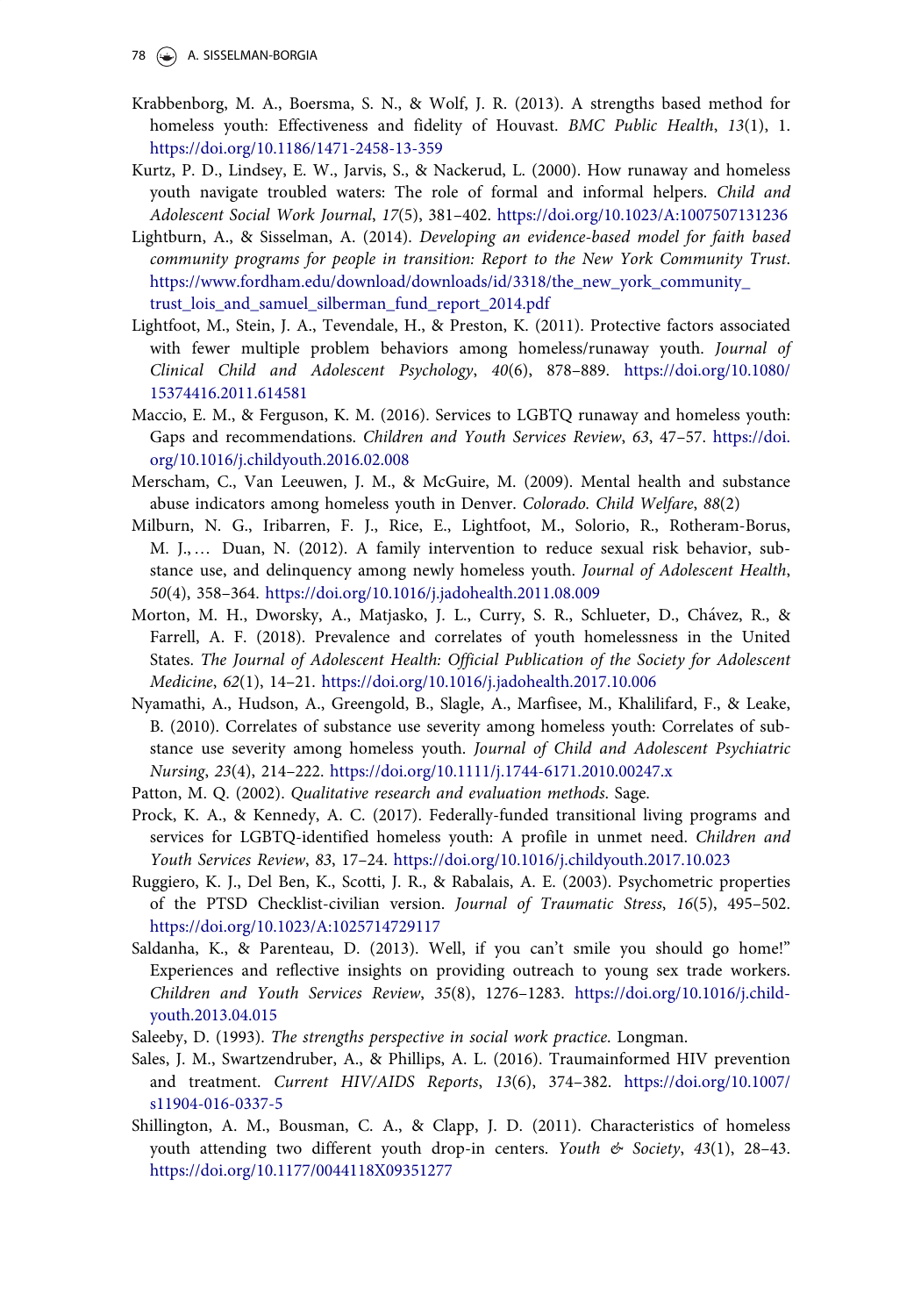- <span id="page-36-0"></span>Krabbenborg, M. A., Boersma, S. N., & Wolf, J. R. ([2013](#page-3-0)). A strengths based method for homeless youth: Effectiveness and fidelity of Houvast. BMC Public Health, 13(1), 1. <https://doi.org/10.1186/1471-2458-13-359>
- Kurtz, P. D., Lindsey, E. W., Jarvis, S., & Nackerud, L. [\(2000](#page-30-0)). How runaway and homeless youth navigate troubled waters: The role of formal and informal helpers. Child and Adolescent Social Work Journal, 17(5), 381–402. <https://doi.org/10.1023/A:1007507131236>
- Lightburn, A., & Sisselman, A. ([2014](#page-2-0)). Developing an evidence-based model for faith based community programs for people in transition: Report to the New York Community Trust. [https://www.fordham.edu/download/downloads/id/3318/the\\_new\\_york\\_community\\_](https://www.fordham.edu/download/downloads/id/3318/the_new_york_community_trust_lois_and_samuel_silberman_fund_report_2014.pdf) [trust\\_lois\\_and\\_samuel\\_silberman\\_fund\\_report\\_2014.pdf](https://www.fordham.edu/download/downloads/id/3318/the_new_york_community_trust_lois_and_samuel_silberman_fund_report_2014.pdf)
- Lightfoot, M., Stein, J. A., Tevendale, H., & Preston, K. ([2011](#page-6-0)). Protective factors associated with fewer multiple problem behaviors among homeless/runaway youth. Journal of Clinical Child and Adolescent Psychology, 40(6), 878–889. [https://doi.org/10.1080/](https://doi.org/10.1080/15374416.2011.614581) [15374416.2011.614581](https://doi.org/10.1080/15374416.2011.614581)
- Maccio, E. M., & Ferguson, K. M. [\(2016\)](#page-7-0). Services to LGBTQ runaway and homeless youth: Gaps and recommendations. Children and Youth Services Review, 63, 47–57. [https://doi.](https://doi.org/10.1016/j.childyouth.2016.02.008) [org/10.1016/j.childyouth.2016.02.008](https://doi.org/10.1016/j.childyouth.2016.02.008)
- Merscham, C., Van Leeuwen, J. M., & McGuire, M. ([2009](#page-11-0)). Mental health and substance abuse indicators among homeless youth in Denver. Colorado. Child Welfare, 88(2)
- Milburn, N. G., Iribarren, F. J., Rice, E., Lightfoot, M., Solorio, R., Rotheram-Borus, M. J., … Duan, N. ([2012\)](#page-5-0). A family intervention to reduce sexual risk behavior, substance use, and delinquency among newly homeless youth. Journal of Adolescent Health, 50(4), 358–364. <https://doi.org/10.1016/j.jadohealth.2011.08.009>
- Morton, M. H., Dworsky, A., Matjasko, J. L., Curry, S. R., Schlueter, D., Chavez, R., & Farrell, A. F. ([2018\)](#page-2-0). Prevalence and correlates of youth homelessness in the United States. The Journal of Adolescent Health: Official Publication of the Society for Adolescent Medicine, 62(1), 14–21. <https://doi.org/10.1016/j.jadohealth.2017.10.006>
- Nyamathi, A., Hudson, A., Greengold, B., Slagle, A., Marfisee, M., Khalilifard, F., & Leake, B. [\(2010\)](#page-4-0). Correlates of substance use severity among homeless youth: Correlates of substance use severity among homeless youth. Journal of Child and Adolescent Psychiatric Nursing, 23(4), 214–222. <https://doi.org/10.1111/j.1744-6171.2010.00247.x>
- Patton, M. Q. [\(2002](#page-20-0)). Qualitative research and evaluation methods. Sage.
- Prock, K. A., & Kennedy, A. C. [\(2017](#page-7-0)). Federally-funded transitional living programs and services for LGBTQ-identified homeless youth: A profile in unmet need. Children and Youth Services Review, 83, 17–24. <https://doi.org/10.1016/j.childyouth.2017.10.023>
- Ruggiero, K. J., Del Ben, K., Scotti, J. R., & Rabalais, A. E. [\(2003](#page-19-0)). Psychometric properties of the PTSD Checklist-civilian version. Journal of Traumatic Stress, 16(5), 495–502. <https://doi.org/10.1023/A:1025714729117>
- Saldanha, K., & Parenteau, D. ([2013\)](#page-30-0). Well, if you can't smile you should go home!" Experiences and reflective insights on providing outreach to young sex trade workers. Children and Youth Services Review, 35(8), 1276–1283. [https://doi.org/10.1016/j.child](https://doi.org/10.1016/j.childyouth.2013.04.015)[youth.2013.04.015](https://doi.org/10.1016/j.childyouth.2013.04.015)
- Saleeby, D. [\(1993\)](#page-2-0). The strengths perspective in social work practice. Longman.
- Sales, J. M., Swartzendruber, A., & Phillips, A. L. [\(2016](#page-10-0)). Traumainformed HIV prevention and treatment. Current HIV/AIDS Reports, 13(6), 374–382. [https://doi.org/10.1007/](https://doi.org/10.1007/s11904-016-0337-5) [s11904-016-0337-5](https://doi.org/10.1007/s11904-016-0337-5)
- Shillington, A. M., Bousman, C. A., & Clapp, J. D. [\(2011\)](#page-4-0). Characteristics of homeless youth attending two different youth drop-in centers. Youth  $\mathfrak{G}$  Society, 43(1), 28-43. <https://doi.org/10.1177/0044118X09351277>